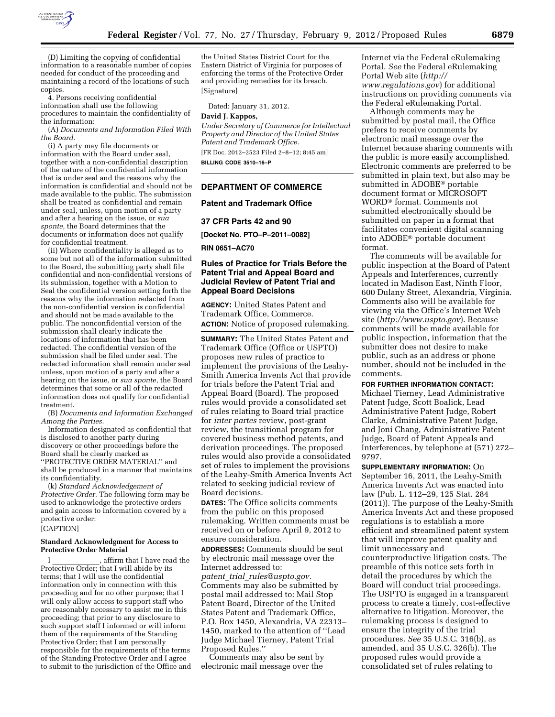

(D) Limiting the copying of confidential information to a reasonable number of copies needed for conduct of the proceeding and maintaining a record of the locations of such copies.

4. Persons receiving confidential information shall use the following procedures to maintain the confidentiality of the information:

(A) *Documents and Information Filed With the Board.* 

(i) A party may file documents or information with the Board under seal, together with a non-confidential description of the nature of the confidential information that is under seal and the reasons why the information is confidential and should not be made available to the public. The submission shall be treated as confidential and remain under seal, unless, upon motion of a party and after a hearing on the issue, or *sua sponte,* the Board determines that the documents or information does not qualify for confidential treatment.

(ii) Where confidentiality is alleged as to some but not all of the information submitted to the Board, the submitting party shall file confidential and non-confidential versions of its submission, together with a Motion to Seal the confidential version setting forth the reasons why the information redacted from the non-confidential version is confidential and should not be made available to the public. The nonconfidential version of the submission shall clearly indicate the locations of information that has been redacted. The confidential version of the submission shall be filed under seal. The redacted information shall remain under seal unless, upon motion of a party and after a hearing on the issue, or *sua sponte,* the Board determines that some or all of the redacted information does not qualify for confidential treatment.

(B) *Documents and Information Exchanged Among the Parties.* 

Information designated as confidential that is disclosed to another party during discovery or other proceedings before the Board shall be clearly marked as ''PROTECTIVE ORDER MATERIAL'' and shall be produced in a manner that maintains its confidentiality.

(k) *Standard Acknowledgement of Protective Order.* The following form may be used to acknowledge the protective orders and gain access to information covered by a protective order:

# [CAPTION]

## **Standard Acknowledgment for Access to Protective Order Material**

I consistent in that I have read the Protective Order; that I will abide by its terms; that I will use the confidential information only in connection with this proceeding and for no other purpose; that I will only allow access to support staff who are reasonably necessary to assist me in this proceeding; that prior to any disclosure to such support staff I informed or will inform them of the requirements of the Standing Protective Order; that I am personally responsible for the requirements of the terms of the Standing Protective Order and I agree to submit to the jurisdiction of the Office and

the United States District Court for the Eastern District of Virginia for purposes of enforcing the terms of the Protective Order and providing remedies for its breach. [Signature]

Dated: January 31, 2012.

#### **David J. Kappos,**

*Under Secretary of Commerce for Intellectual Property and Director of the United States Patent and Trademark Office.* 

[FR Doc. 2012–2523 Filed 2–8–12; 8:45 am] **BILLING CODE 3510–16–P** 

## **DEPARTMENT OF COMMERCE**

#### **Patent and Trademark Office**

#### **37 CFR Parts 42 and 90**

**[Docket No. PTO–P–2011–0082]** 

**RIN 0651–AC70** 

# **Rules of Practice for Trials Before the Patent Trial and Appeal Board and Judicial Review of Patent Trial and Appeal Board Decisions**

**AGENCY:** United States Patent and Trademark Office, Commerce. **ACTION:** Notice of proposed rulemaking.

**SUMMARY:** The United States Patent and Trademark Office (Office or USPTO) proposes new rules of practice to implement the provisions of the Leahy-Smith America Invents Act that provide for trials before the Patent Trial and Appeal Board (Board). The proposed rules would provide a consolidated set of rules relating to Board trial practice for *inter partes* review, post-grant review, the transitional program for covered business method patents, and derivation proceedings. The proposed rules would also provide a consolidated set of rules to implement the provisions of the Leahy-Smith America Invents Act related to seeking judicial review of Board decisions.

**DATES:** The Office solicits comments from the public on this proposed rulemaking. Written comments must be received on or before April 9, 2012 to ensure consideration.

**ADDRESSES:** Comments should be sent by electronic mail message over the Internet addressed to:

*patent*\_*trial*\_*[rules@uspto.gov.](mailto:patent_trial_rules@uspto.gov)*  Comments may also be submitted by postal mail addressed to: Mail Stop Patent Board, Director of the United States Patent and Trademark Office, P.O. Box 1450, Alexandria, VA 22313– 1450, marked to the attention of ''Lead Judge Michael Tierney, Patent Trial Proposed Rules.''

Comments may also be sent by electronic mail message over the

Internet via the Federal eRulemaking Portal. *See* the Federal eRulemaking Portal Web site (*[http://](http://www.regulations.gov) [www.regulations.gov](http://www.regulations.gov)*) for additional instructions on providing comments via the Federal eRulemaking Portal.

Although comments may be submitted by postal mail, the Office prefers to receive comments by electronic mail message over the Internet because sharing comments with the public is more easily accomplished. Electronic comments are preferred to be submitted in plain text, but also may be submitted in ADOBE® portable document format or MICROSOFT WORD® format. Comments not submitted electronically should be submitted on paper in a format that facilitates convenient digital scanning into ADOBE® portable document format.

The comments will be available for public inspection at the Board of Patent Appeals and Interferences, currently located in Madison East, Ninth Floor, 600 Dulany Street, Alexandria, Virginia. Comments also will be available for viewing via the Office's Internet Web site (*<http://www.uspto.gov>*). Because comments will be made available for public inspection, information that the submitter does not desire to make public, such as an address or phone number, should not be included in the comments.

#### **FOR FURTHER INFORMATION CONTACT:**

Michael Tierney, Lead Administrative Patent Judge, Scott Boalick, Lead Administrative Patent Judge, Robert Clarke, Administrative Patent Judge, and Joni Chang, Administrative Patent Judge, Board of Patent Appeals and Interferences, by telephone at (571) 272– 9797.

#### **SUPPLEMENTARY INFORMATION:** On

September 16, 2011, the Leahy-Smith America Invents Act was enacted into law (Pub. L. 112–29, 125 Stat. 284 (2011)). The purpose of the Leahy-Smith America Invents Act and these proposed regulations is to establish a more efficient and streamlined patent system that will improve patent quality and limit unnecessary and counterproductive litigation costs. The preamble of this notice sets forth in detail the procedures by which the Board will conduct trial proceedings. The USPTO is engaged in a transparent process to create a timely, cost-effective alternative to litigation. Moreover, the rulemaking process is designed to ensure the integrity of the trial procedures. *See* 35 U.S.C. 316(b), as amended, and 35 U.S.C. 326(b). The proposed rules would provide a consolidated set of rules relating to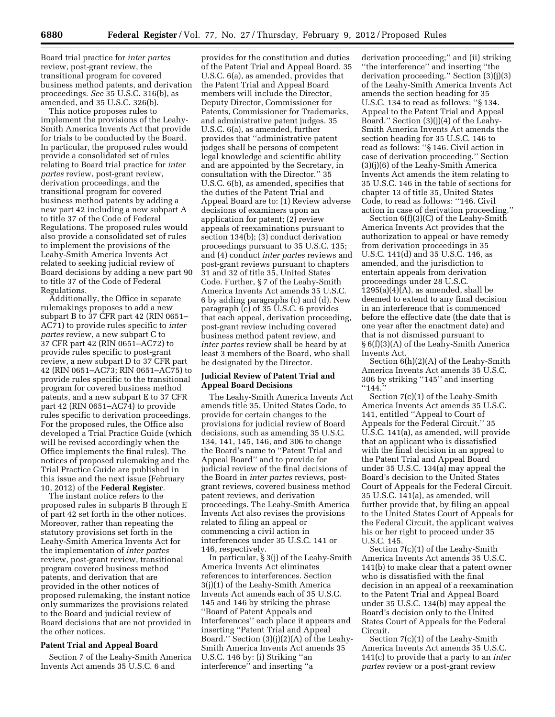Board trial practice for *inter partes*  review, post-grant review, the transitional program for covered business method patents, and derivation proceedings. *See* 35 U.S.C. 316(b), as amended, and 35 U.S.C. 326(b).

This notice proposes rules to implement the provisions of the Leahy-Smith America Invents Act that provide for trials to be conducted by the Board. In particular, the proposed rules would provide a consolidated set of rules relating to Board trial practice for *inter partes* review, post-grant review, derivation proceedings, and the transitional program for covered business method patents by adding a new part 42 including a new subpart A to title 37 of the Code of Federal Regulations. The proposed rules would also provide a consolidated set of rules to implement the provisions of the Leahy-Smith America Invents Act related to seeking judicial review of Board decisions by adding a new part 90 to title 37 of the Code of Federal Regulations.

Additionally, the Office in separate rulemakings proposes to add a new subpart B to 37 CFR part 42 (RIN 0651– AC71) to provide rules specific to *inter partes* review, a new subpart C to 37 CFR part 42 (RIN 0651–AC72) to provide rules specific to post-grant review, a new subpart D to 37 CFR part 42 (RIN 0651–AC73; RIN 0651–AC75) to provide rules specific to the transitional program for covered business method patents, and a new subpart E to 37 CFR part 42 (RIN 0651–AC74) to provide rules specific to derivation proceedings. For the proposed rules, the Office also developed a Trial Practice Guide (which will be revised accordingly when the Office implements the final rules). The notices of proposed rulemaking and the Trial Practice Guide are published in this issue and the next issue (February 10, 2012) of the **Federal Register**.

The instant notice refers to the proposed rules in subparts B through E of part 42 set forth in the other notices. Moreover, rather than repeating the statutory provisions set forth in the Leahy-Smith America Invents Act for the implementation of *inter partes*  review, post-grant review, transitional program covered business method patents, and derivation that are provided in the other notices of proposed rulemaking, the instant notice only summarizes the provisions related to the Board and judicial review of Board decisions that are not provided in the other notices.

## **Patent Trial and Appeal Board**

Section 7 of the Leahy-Smith America Invents Act amends 35 U.S.C. 6 and

provides for the constitution and duties of the Patent Trial and Appeal Board. 35 U.S.C. 6(a), as amended, provides that the Patent Trial and Appeal Board members will include the Director, Deputy Director, Commissioner for Patents, Commissioner for Trademarks, and administrative patent judges. 35 U.S.C. 6(a), as amended, further provides that ''administrative patent judges shall be persons of competent legal knowledge and scientific ability and are appointed by the Secretary, in consultation with the Director.'' 35 U.S.C. 6(b), as amended, specifies that the duties of the Patent Trial and Appeal Board are to: (1) Review adverse decisions of examiners upon an application for patent; (2) review appeals of reexaminations pursuant to section 134(b); (3) conduct derivation proceedings pursuant to 35 U.S.C. 135; and (4) conduct *inter partes* reviews and post-grant reviews pursuant to chapters 31 and 32 of title 35, United States Code. Further, § 7 of the Leahy-Smith America Invents Act amends 35 U.S.C. 6 by adding paragraphs (c) and (d). New paragraph (c) of 35 U.S.C. 6 provides that each appeal, derivation proceeding, post-grant review including covered business method patent review, and *inter partes* review shall be heard by at least 3 members of the Board, who shall be designated by the Director.

# **Judicial Review of Patent Trial and Appeal Board Decisions**

The Leahy-Smith America Invents Act amends title 35, United States Code, to provide for certain changes to the provisions for judicial review of Board decisions, such as amending 35 U.S.C. 134, 141, 145, 146, and 306 to change the Board's name to ''Patent Trial and Appeal Board'' and to provide for judicial review of the final decisions of the Board in *inter partes* reviews, postgrant reviews, covered business method patent reviews, and derivation proceedings. The Leahy-Smith America Invents Act also revises the provisions related to filing an appeal or commencing a civil action in interferences under 35 U.S.C. 141 or 146, respectively.

In particular, § 3(j) of the Leahy-Smith America Invents Act eliminates references to interferences. Section 3(j)(1) of the Leahy-Smith America Invents Act amends each of 35 U.S.C. 145 and 146 by striking the phrase ''Board of Patent Appeals and Interferences'' each place it appears and inserting ''Patent Trial and Appeal Board.'' Section (3)(j)(2)(A) of the Leahy-Smith America Invents Act amends 35 U.S.C. 146 by: (i) Striking ''an interference'' and inserting ''a

derivation proceeding;'' and (ii) striking ''the interference'' and inserting ''the derivation proceeding.'' Section (3)(j)(3) of the Leahy-Smith America Invents Act amends the section heading for 35 U.S.C. 134 to read as follows: ''§ 134. Appeal to the Patent Trial and Appeal Board.'' Section (3)(j)(4) of the Leahy-Smith America Invents Act amends the section heading for 35 U.S.C. 146 to read as follows: ''§ 146. Civil action in case of derivation proceeding.'' Section (3)(j)(6) of the Leahy-Smith America Invents Act amends the item relating to 35 U.S.C. 146 in the table of sections for chapter 13 of title 35, United States Code, to read as follows: ''146. Civil action in case of derivation proceeding.''

Section 6(f)(3)(C) of the Leahy-Smith America Invents Act provides that the authorization to appeal or have remedy from derivation proceedings in 35 U.S.C. 141(d) and 35 U.S.C. 146, as amended, and the jurisdiction to entertain appeals from derivation proceedings under 28 U.S.C. 1295(a)(4)(A), as amended, shall be deemed to extend to any final decision in an interference that is commenced before the effective date (the date that is one year after the enactment date) and that is not dismissed pursuant to § 6(f)(3)(A) of the Leahy-Smith America Invents Act.

Section 6(h)(2)(A) of the Leahy-Smith America Invents Act amends 35 U.S.C. 306 by striking ''145'' and inserting ''144.''

Section 7(c)(1) of the Leahy-Smith America Invents Act amends 35 U.S.C. 141, entitled ''Appeal to Court of Appeals for the Federal Circuit.'' 35 U.S.C. 141(a), as amended, will provide that an applicant who is dissatisfied with the final decision in an appeal to the Patent Trial and Appeal Board under 35 U.S.C. 134(a) may appeal the Board's decision to the United States Court of Appeals for the Federal Circuit. 35 U.S.C. 141(a), as amended, will further provide that, by filing an appeal to the United States Court of Appeals for the Federal Circuit, the applicant waives his or her right to proceed under 35 U.S.C. 145.

Section 7(c)(1) of the Leahy-Smith America Invents Act amends 35 U.S.C. 141(b) to make clear that a patent owner who is dissatisfied with the final decision in an appeal of a reexamination to the Patent Trial and Appeal Board under 35 U.S.C. 134(b) may appeal the Board's decision only to the United States Court of Appeals for the Federal Circuit.

Section 7(c)(1) of the Leahy-Smith America Invents Act amends 35 U.S.C. 141(c) to provide that a party to an *inter partes* review or a post-grant review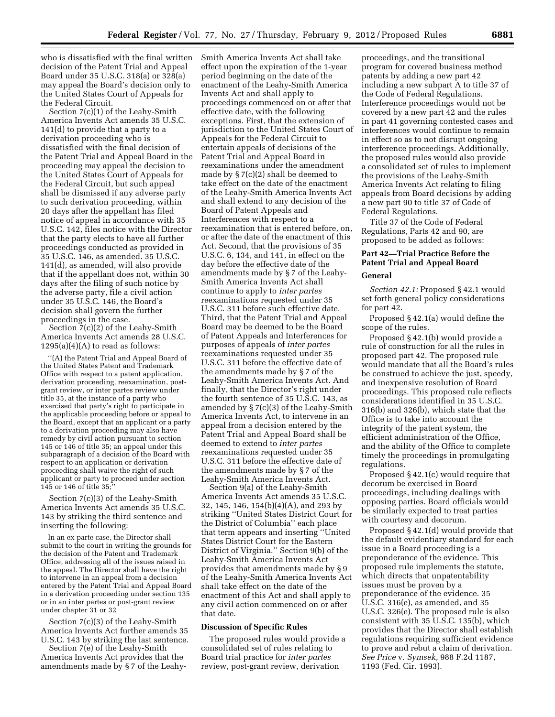who is dissatisfied with the final written decision of the Patent Trial and Appeal Board under 35 U.S.C. 318(a) or 328(a) may appeal the Board's decision only to the United States Court of Appeals for the Federal Circuit.

Section 7(c)(1) of the Leahy-Smith America Invents Act amends 35 U.S.C. 141(d) to provide that a party to a derivation proceeding who is dissatisfied with the final decision of the Patent Trial and Appeal Board in the proceeding may appeal the decision to the United States Court of Appeals for the Federal Circuit, but such appeal shall be dismissed if any adverse party to such derivation proceeding, within 20 days after the appellant has filed notice of appeal in accordance with 35 U.S.C. 142, files notice with the Director that the party elects to have all further proceedings conducted as provided in 35 U.S.C. 146, as amended. 35 U.S.C. 141(d), as amended, will also provide that if the appellant does not, within 30 days after the filing of such notice by the adverse party, file a civil action under 35 U.S.C. 146, the Board's decision shall govern the further proceedings in the case.

Section 7(c)(2) of the Leahy-Smith America Invents Act amends 28 U.S.C.  $1295(a)(4)(A)$  to read as follows:

''(A) the Patent Trial and Appeal Board of the United States Patent and Trademark Office with respect to a patent application, derivation proceeding, reexamination, postgrant review, or inter partes review under title 35, at the instance of a party who exercised that party's right to participate in the applicable proceeding before or appeal to the Board, except that an applicant or a party to a derivation proceeding may also have remedy by civil action pursuant to section 145 or 146 of title 35; an appeal under this subparagraph of a decision of the Board with respect to an application or derivation proceeding shall waive the right of such applicant or party to proceed under section 145 or 146 of title 35;''

Section 7(c)(3) of the Leahy-Smith America Invents Act amends 35 U.S.C. 143 by striking the third sentence and inserting the following:

In an ex parte case, the Director shall submit to the court in writing the grounds for the decision of the Patent and Trademark Office, addressing all of the issues raised in the appeal. The Director shall have the right to intervene in an appeal from a decision entered by the Patent Trial and Appeal Board in a derivation proceeding under section 135 or in an inter partes or post-grant review under chapter 31 or 32

Section 7(c)(3) of the Leahy-Smith America Invents Act further amends 35 U.S.C. 143 by striking the last sentence.

Section 7(e) of the Leahy-Smith America Invents Act provides that the amendments made by § 7 of the LeahySmith America Invents Act shall take effect upon the expiration of the 1-year period beginning on the date of the enactment of the Leahy-Smith America Invents Act and shall apply to proceedings commenced on or after that effective date, with the following exceptions. First, that the extension of jurisdiction to the United States Court of Appeals for the Federal Circuit to entertain appeals of decisions of the Patent Trial and Appeal Board in reexaminations under the amendment made by § 7(c)(2) shall be deemed to take effect on the date of the enactment of the Leahy-Smith America Invents Act and shall extend to any decision of the Board of Patent Appeals and Interferences with respect to a reexamination that is entered before, on, or after the date of the enactment of this Act. Second, that the provisions of 35 U.S.C. 6, 134, and 141, in effect on the day before the effective date of the amendments made by § 7 of the Leahy-Smith America Invents Act shall continue to apply to *inter partes*  reexaminations requested under 35 U.S.C. 311 before such effective date. Third, that the Patent Trial and Appeal Board may be deemed to be the Board of Patent Appeals and Interferences for purposes of appeals of *inter partes*  reexaminations requested under 35 U.S.C. 311 before the effective date of the amendments made by § 7 of the Leahy-Smith America Invents Act. And finally, that the Director's right under the fourth sentence of 35 U.S.C. 143, as amended by § 7(c)(3) of the Leahy-Smith America Invents Act, to intervene in an appeal from a decision entered by the Patent Trial and Appeal Board shall be deemed to extend to *inter partes*  reexaminations requested under 35 U.S.C. 311 before the effective date of the amendments made by § 7 of the Leahy-Smith America Invents Act.

Section 9(a) of the Leahy-Smith America Invents Act amends 35 U.S.C. 32, 145, 146, 154(b)(4)(A), and 293 by striking ''United States District Court for the District of Columbia'' each place that term appears and inserting ''United States District Court for the Eastern District of Virginia.'' Section 9(b) of the Leahy-Smith America Invents Act provides that amendments made by § 9 of the Leahy-Smith America Invents Act shall take effect on the date of the enactment of this Act and shall apply to any civil action commenced on or after that date.

#### **Discussion of Specific Rules**

The proposed rules would provide a consolidated set of rules relating to Board trial practice for *inter partes*  review, post-grant review, derivation

proceedings, and the transitional program for covered business method patents by adding a new part 42 including a new subpart A to title 37 of the Code of Federal Regulations. Interference proceedings would not be covered by a new part 42 and the rules in part 41 governing contested cases and interferences would continue to remain in effect so as to not disrupt ongoing interference proceedings. Additionally, the proposed rules would also provide a consolidated set of rules to implement the provisions of the Leahy-Smith America Invents Act relating to filing appeals from Board decisions by adding a new part 90 to title 37 of Code of Federal Regulations.

Title 37 of the Code of Federal Regulations, Parts 42 and 90, are proposed to be added as follows:

# **Part 42—Trial Practice Before the Patent Trial and Appeal Board**

## **General**

*Section 42.1:* Proposed § 42.1 would set forth general policy considerations for part 42.

Proposed § 42.1(a) would define the scope of the rules.

Proposed § 42.1(b) would provide a rule of construction for all the rules in proposed part 42. The proposed rule would mandate that all the Board's rules be construed to achieve the just, speedy, and inexpensive resolution of Board proceedings. This proposed rule reflects considerations identified in 35 U.S.C. 316(b) and 326(b), which state that the Office is to take into account the integrity of the patent system, the efficient administration of the Office, and the ability of the Office to complete timely the proceedings in promulgating regulations.

Proposed § 42.1(c) would require that decorum be exercised in Board proceedings, including dealings with opposing parties. Board officials would be similarly expected to treat parties with courtesy and decorum.

Proposed § 42.1(d) would provide that the default evidentiary standard for each issue in a Board proceeding is a preponderance of the evidence. This proposed rule implements the statute, which directs that unpatentability issues must be proven by a preponderance of the evidence. 35 U.S.C. 316(e), as amended, and 35 U.S.C. 326(e). The proposed rule is also consistent with 35 U.S.C. 135(b), which provides that the Director shall establish regulations requiring sufficient evidence to prove and rebut a claim of derivation. *See Price* v. *Symsek,* 988 F.2d 1187, 1193 (Fed. Cir. 1993).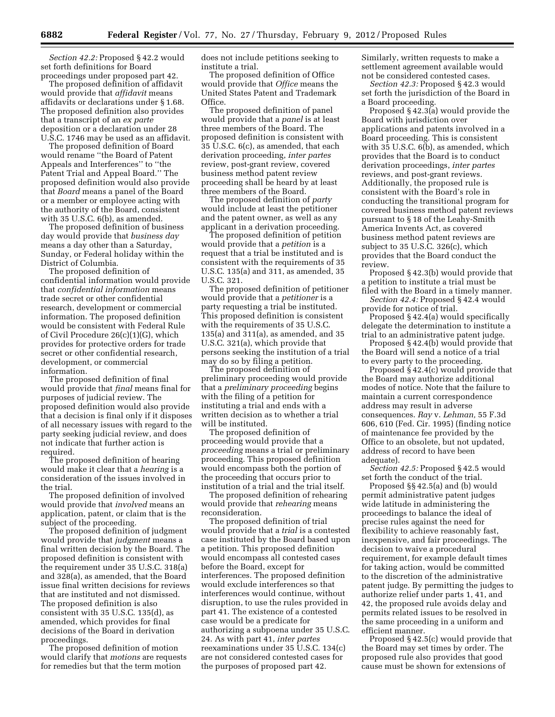*Section 42.2:* Proposed § 42.2 would set forth definitions for Board proceedings under proposed part 42.

The proposed definition of affidavit would provide that *affidavit* means affidavits or declarations under § 1.68. The proposed definition also provides that a transcript of an *ex parte*  deposition or a declaration under 28 U.S.C. 1746 may be used as an affidavit.

The proposed definition of Board would rename ''the Board of Patent Appeals and Interferences'' to ''the Patent Trial and Appeal Board.'' The proposed definition would also provide that *Board* means a panel of the Board or a member or employee acting with the authority of the Board, consistent with 35 U.S.C. 6(b), as amended.

The proposed definition of business day would provide that *business day*  means a day other than a Saturday, Sunday, or Federal holiday within the District of Columbia.

The proposed definition of confidential information would provide that *confidential information* means trade secret or other confidential research, development or commercial information. The proposed definition would be consistent with Federal Rule of Civil Procedure 26(c)(1)(G), which provides for protective orders for trade secret or other confidential research, development, or commercial information.

The proposed definition of final would provide that *final* means final for purposes of judicial review. The proposed definition would also provide that a decision is final only if it disposes of all necessary issues with regard to the party seeking judicial review, and does not indicate that further action is required.

The proposed definition of hearing would make it clear that a *hearing* is a consideration of the issues involved in the trial.

The proposed definition of involved would provide that *involved* means an application, patent, or claim that is the subject of the proceeding.

The proposed definition of judgment would provide that *judgment* means a final written decision by the Board. The proposed definition is consistent with the requirement under 35 U.S.C. 318(a) and 328(a), as amended, that the Board issue final written decisions for reviews that are instituted and not dismissed. The proposed definition is also consistent with 35 U.S.C. 135(d), as amended, which provides for final decisions of the Board in derivation proceedings.

The proposed definition of motion would clarify that *motions* are requests for remedies but that the term motion

does not include petitions seeking to institute a trial.

The proposed definition of Office would provide that *Office* means the United States Patent and Trademark Office.

The proposed definition of panel would provide that a *panel* is at least three members of the Board. The proposed definition is consistent with 35 U.S.C. 6(c), as amended, that each derivation proceeding, *inter partes*  review, post-grant review, covered business method patent review proceeding shall be heard by at least three members of the Board.

The proposed definition of *party*  would include at least the petitioner and the patent owner, as well as any applicant in a derivation proceeding.

The proposed definition of petition would provide that a *petition* is a request that a trial be instituted and is consistent with the requirements of 35 U.S.C. 135(a) and 311, as amended, 35 U.S.C. 321.

The proposed definition of petitioner would provide that a *petitioner* is a party requesting a trial be instituted. This proposed definition is consistent with the requirements of 35 U.S.C. 135(a) and 311(a), as amended, and 35 U.S.C. 321(a), which provide that persons seeking the institution of a trial may do so by filing a petition.

The proposed definition of preliminary proceeding would provide that a *preliminary proceeding* begins with the filing of a petition for instituting a trial and ends with a written decision as to whether a trial will be instituted.

The proposed definition of proceeding would provide that a *proceeding* means a trial or preliminary proceeding. This proposed definition would encompass both the portion of the proceeding that occurs prior to institution of a trial and the trial itself.

The proposed definition of rehearing would provide that *rehearing* means reconsideration.

The proposed definition of trial would provide that a *trial* is a contested case instituted by the Board based upon a petition. This proposed definition would encompass all contested cases before the Board, except for interferences. The proposed definition would exclude interferences so that interferences would continue, without disruption, to use the rules provided in part 41. The existence of a contested case would be a predicate for authorizing a subpoena under 35 U.S.C. 24. As with part 41, *inter partes*  reexaminations under 35 U.S.C. 134(c) are not considered contested cases for the purposes of proposed part 42.

Similarly, written requests to make a settlement agreement available would not be considered contested cases.

*Section 42.3:* Proposed § 42.3 would set forth the jurisdiction of the Board in a Board proceeding.

Proposed § 42.3(a) would provide the Board with jurisdiction over applications and patents involved in a Board proceeding. This is consistent with 35 U.S.C. 6(b), as amended, which provides that the Board is to conduct derivation proceedings, *inter partes*  reviews, and post-grant reviews. Additionally, the proposed rule is consistent with the Board's role in conducting the transitional program for covered business method patent reviews pursuant to § 18 of the Leahy-Smith America Invents Act, as covered business method patent reviews are subject to 35 U.S.C. 326(c), which provides that the Board conduct the review.

Proposed § 42.3(b) would provide that a petition to institute a trial must be filed with the Board in a timely manner.

*Section 42.4:* Proposed § 42.4 would provide for notice of trial.

Proposed § 42.4(a) would specifically delegate the determination to institute a trial to an administrative patent judge.

Proposed § 42.4(b) would provide that the Board will send a notice of a trial to every party to the proceeding.

Proposed § 42.4(c) would provide that the Board may authorize additional modes of notice. Note that the failure to maintain a current correspondence address may result in adverse consequences. *Ray* v. *Lehman,* 55 F.3d 606, 610 (Fed. Cir. 1995) (finding notice of maintenance fee provided by the Office to an obsolete, but not updated, address of record to have been adequate).

*Section 42.5:* Proposed § 42.5 would set forth the conduct of the trial.

Proposed §§ 42.5(a) and (b) would permit administrative patent judges wide latitude in administering the proceedings to balance the ideal of precise rules against the need for flexibility to achieve reasonably fast, inexpensive, and fair proceedings. The decision to waive a procedural requirement, for example default times for taking action, would be committed to the discretion of the administrative patent judge. By permitting the judges to authorize relief under parts 1, 41, and 42, the proposed rule avoids delay and permits related issues to be resolved in the same proceeding in a uniform and efficient manner.

Proposed § 42.5(c) would provide that the Board may set times by order. The proposed rule also provides that good cause must be shown for extensions of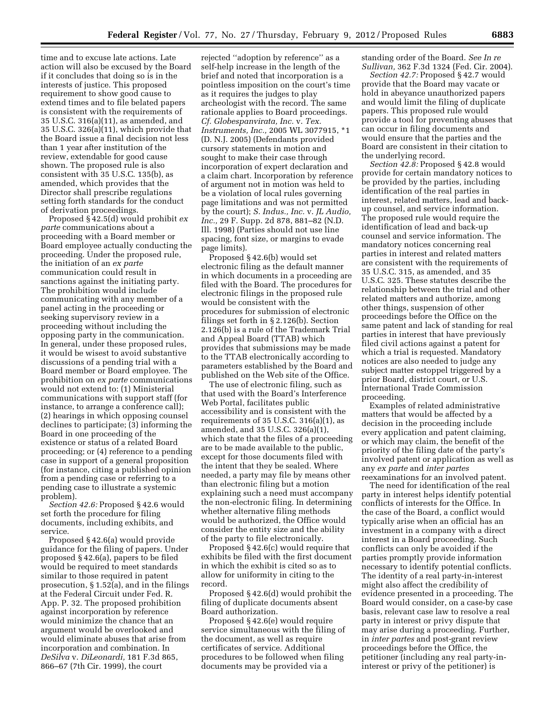time and to excuse late actions. Late action will also be excused by the Board if it concludes that doing so is in the interests of justice. This proposed requirement to show good cause to extend times and to file belated papers is consistent with the requirements of 35 U.S.C. 316(a)(11), as amended, and 35 U.S.C. 326(a)(11), which provide that the Board issue a final decision not less than 1 year after institution of the review, extendable for good cause shown. The proposed rule is also consistent with 35 U.S.C. 135(b), as amended, which provides that the Director shall prescribe regulations setting forth standards for the conduct of derivation proceedings.

Proposed § 42.5(d) would prohibit *ex parte* communications about a proceeding with a Board member or Board employee actually conducting the proceeding. Under the proposed rule, the initiation of an *ex parte*  communication could result in sanctions against the initiating party. The prohibition would include communicating with any member of a panel acting in the proceeding or seeking supervisory review in a proceeding without including the opposing party in the communication. In general, under these proposed rules, it would be wisest to avoid substantive discussions of a pending trial with a Board member or Board employee. The prohibition on *ex parte* communications would not extend to: (1) Ministerial communications with support staff (for instance, to arrange a conference call); (2) hearings in which opposing counsel declines to participate; (3) informing the Board in one proceeding of the existence or status of a related Board proceeding; or (4) reference to a pending case in support of a general proposition (for instance, citing a published opinion from a pending case or referring to a pending case to illustrate a systemic problem).

*Section 42.6:* Proposed § 42.6 would set forth the procedure for filing documents, including exhibits, and service.

Proposed § 42.6(a) would provide guidance for the filing of papers. Under proposed § 42.6(a), papers to be filed would be required to meet standards similar to those required in patent prosecution, § 1.52(a), and in the filings at the Federal Circuit under Fed. R. App. P. 32. The proposed prohibition against incorporation by reference would minimize the chance that an argument would be overlooked and would eliminate abuses that arise from incorporation and combination. In *DeSilva* v. *DiLeonardi,* 181 F.3d 865, 866–67 (7th Cir. 1999), the court

rejected ''adoption by reference'' as a self-help increase in the length of the brief and noted that incorporation is a pointless imposition on the court's time as it requires the judges to play archeologist with the record. The same rationale applies to Board proceedings. *Cf. Globespanvirata, Inc.* v. *Tex. Instruments, Inc.,* 2005 WL 3077915, \*1 (D. N.J. 2005) (Defendants provided cursory statements in motion and sought to make their case through incorporation of expert declaration and a claim chart. Incorporation by reference of argument not in motion was held to be a violation of local rules governing page limitations and was not permitted by the court); *S. Indus., Inc.* v. *JL Audio, Inc.,* 29 F. Supp. 2d 878, 881–82 (N.D. Ill. 1998) (Parties should not use line spacing, font size, or margins to evade page limits).

Proposed § 42.6(b) would set electronic filing as the default manner in which documents in a proceeding are filed with the Board. The procedures for electronic filings in the proposed rule would be consistent with the procedures for submission of electronic filings set forth in § 2.126(b). Section 2.126(b) is a rule of the Trademark Trial and Appeal Board (TTAB) which provides that submissions may be made to the TTAB electronically according to parameters established by the Board and published on the Web site of the Office.

The use of electronic filing, such as that used with the Board's Interference Web Portal, facilitates public accessibility and is consistent with the requirements of 35 U.S.C. 316(a)(1), as amended, and 35 U.S.C. 326(a)(1), which state that the files of a proceeding are to be made available to the public, except for those documents filed with the intent that they be sealed. Where needed, a party may file by means other than electronic filing but a motion explaining such a need must accompany the non-electronic filing. In determining whether alternative filing methods would be authorized, the Office would consider the entity size and the ability of the party to file electronically.

Proposed § 42.6(c) would require that exhibits be filed with the first document in which the exhibit is cited so as to allow for uniformity in citing to the record.

Proposed § 42.6(d) would prohibit the filing of duplicate documents absent Board authorization.

Proposed § 42.6(e) would require service simultaneous with the filing of the document, as well as require certificates of service. Additional procedures to be followed when filing documents may be provided via a

standing order of the Board. *See In re Sullivan,* 362 F.3d 1324 (Fed. Cir. 2004).

*Section 42.7:* Proposed § 42.7 would provide that the Board may vacate or hold in abeyance unauthorized papers and would limit the filing of duplicate papers. This proposed rule would provide a tool for preventing abuses that can occur in filing documents and would ensure that the parties and the Board are consistent in their citation to the underlying record.

*Section 42.8:* Proposed § 42.8 would provide for certain mandatory notices to be provided by the parties, including identification of the real parties in interest, related matters, lead and backup counsel, and service information. The proposed rule would require the identification of lead and back-up counsel and service information. The mandatory notices concerning real parties in interest and related matters are consistent with the requirements of 35 U.S.C. 315, as amended, and 35 U.S.C. 325. These statutes describe the relationship between the trial and other related matters and authorize, among other things, suspension of other proceedings before the Office on the same patent and lack of standing for real parties in interest that have previously filed civil actions against a patent for which a trial is requested. Mandatory notices are also needed to judge any subject matter estoppel triggered by a prior Board, district court, or U.S. International Trade Commission proceeding.

Examples of related administrative matters that would be affected by a decision in the proceeding include every application and patent claiming, or which may claim, the benefit of the priority of the filing date of the party's involved patent or application as well as any *ex parte* and *inter partes*  reexaminations for an involved patent.

The need for identification of the real party in interest helps identify potential conflicts of interests for the Office. In the case of the Board, a conflict would typically arise when an official has an investment in a company with a direct interest in a Board proceeding. Such conflicts can only be avoided if the parties promptly provide information necessary to identify potential conflicts. The identity of a real party-in-interest might also affect the credibility of evidence presented in a proceeding. The Board would consider, on a case-by case basis, relevant case law to resolve a real party in interest or privy dispute that may arise during a proceeding. Further, in *inter partes* and post-grant review proceedings before the Office, the petitioner (including any real party-ininterest or privy of the petitioner) is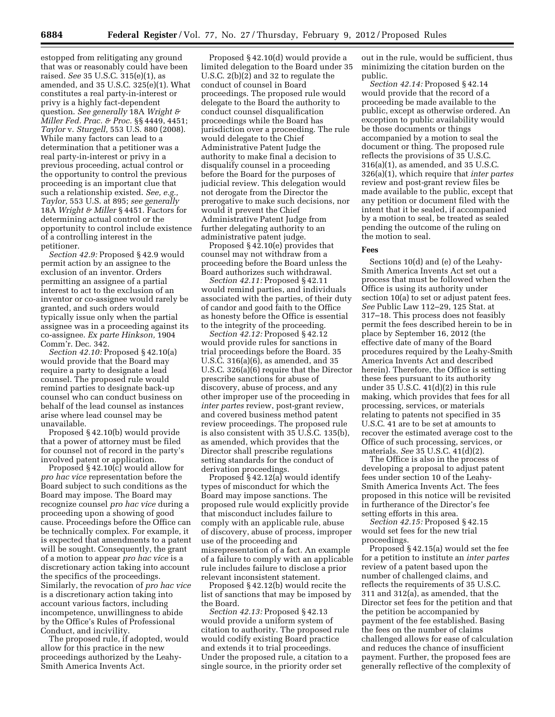estopped from relitigating any ground that was or reasonably could have been raised. *See* 35 U.S.C. 315(e)(1), as amended, and 35 U.S.C. 325(e)(1). What constitutes a real party-in-interest or privy is a highly fact-dependent question. *See generally* 18A *Wright & Miller Fed. Prac. & Proc.* §§ 4449, 4451; *Taylor* v. *Sturgell,* 553 U.S. 880 (2008). While many factors can lead to a determination that a petitioner was a real party-in-interest or privy in a previous proceeding, actual control or the opportunity to control the previous proceeding is an important clue that such a relationship existed. *See, e.g., Taylor,* 553 U.S. at 895; *see generally*  18A *Wright & Miller* § 4451. Factors for determining actual control or the opportunity to control include existence of a controlling interest in the petitioner.

*Section 42.9:* Proposed § 42.9 would permit action by an assignee to the exclusion of an inventor. Orders permitting an assignee of a partial interest to act to the exclusion of an inventor or co-assignee would rarely be granted, and such orders would typically issue only when the partial assignee was in a proceeding against its co-assignee. *Ex parte Hinkson,* 1904 Comm'r. Dec. 342.

*Section 42.10:* Proposed § 42.10(a) would provide that the Board may require a party to designate a lead counsel. The proposed rule would remind parties to designate back-up counsel who can conduct business on behalf of the lead counsel as instances arise where lead counsel may be unavailable.

Proposed § 42.10(b) would provide that a power of attorney must be filed for counsel not of record in the party's involved patent or application.

Proposed § 42.10(c) would allow for *pro hac vice* representation before the Board subject to such conditions as the Board may impose. The Board may recognize counsel *pro hac vice* during a proceeding upon a showing of good cause. Proceedings before the Office can be technically complex. For example, it is expected that amendments to a patent will be sought. Consequently, the grant of a motion to appear *pro hac vice* is a discretionary action taking into account the specifics of the proceedings. Similarly, the revocation of *pro hac vice*  is a discretionary action taking into account various factors, including incompetence, unwillingness to abide by the Office's Rules of Professional Conduct, and incivility.

The proposed rule, if adopted, would allow for this practice in the new proceedings authorized by the Leahy-Smith America Invents Act.

Proposed § 42.10(d) would provide a limited delegation to the Board under 35 U.S.C. 2(b)(2) and 32 to regulate the conduct of counsel in Board proceedings. The proposed rule would delegate to the Board the authority to conduct counsel disqualification proceedings while the Board has jurisdiction over a proceeding. The rule would delegate to the Chief Administrative Patent Judge the authority to make final a decision to disqualify counsel in a proceeding before the Board for the purposes of judicial review. This delegation would not derogate from the Director the prerogative to make such decisions, nor would it prevent the Chief Administrative Patent Judge from further delegating authority to an administrative patent judge.

Proposed § 42.10(e) provides that counsel may not withdraw from a proceeding before the Board unless the Board authorizes such withdrawal.

*Section 42.11:* Proposed § 42.11 would remind parties, and individuals associated with the parties, of their duty of candor and good faith to the Office as honesty before the Office is essential to the integrity of the proceeding.

*Section 42.12:* Proposed § 42.12 would provide rules for sanctions in trial proceedings before the Board. 35 U.S.C. 316(a)(6), as amended, and 35 U.S.C. 326(a)(6) require that the Director prescribe sanctions for abuse of discovery, abuse of process, and any other improper use of the proceeding in *inter partes* review, post-grant review, and covered business method patent review proceedings. The proposed rule is also consistent with 35 U.S.C. 135(b), as amended, which provides that the Director shall prescribe regulations setting standards for the conduct of derivation proceedings.

Proposed § 42.12(a) would identify types of misconduct for which the Board may impose sanctions. The proposed rule would explicitly provide that misconduct includes failure to comply with an applicable rule, abuse of discovery, abuse of process, improper use of the proceeding and misrepresentation of a fact. An example of a failure to comply with an applicable rule includes failure to disclose a prior relevant inconsistent statement.

Proposed § 42.12(b) would recite the list of sanctions that may be imposed by the Board.

*Section 42.13:* Proposed § 42.13 would provide a uniform system of citation to authority. The proposed rule would codify existing Board practice and extends it to trial proceedings. Under the proposed rule, a citation to a single source, in the priority order set

out in the rule, would be sufficient, thus minimizing the citation burden on the public.

*Section 42.14:* Proposed § 42.14 would provide that the record of a proceeding be made available to the public, except as otherwise ordered. An exception to public availability would be those documents or things accompanied by a motion to seal the document or thing. The proposed rule reflects the provisions of 35 U.S.C. 316(a)(1), as amended, and 35 U.S.C. 326(a)(1), which require that *inter partes*  review and post-grant review files be made available to the public, except that any petition or document filed with the intent that it be sealed, if accompanied by a motion to seal, be treated as sealed pending the outcome of the ruling on the motion to seal.

#### **Fees**

Sections 10(d) and (e) of the Leahy-Smith America Invents Act set out a process that must be followed when the Office is using its authority under section 10(a) to set or adjust patent fees. *See* Public Law 112–29, 125 Stat. at 317–18. This process does not feasibly permit the fees described herein to be in place by September 16, 2012 (the effective date of many of the Board procedures required by the Leahy-Smith America Invents Act and described herein). Therefore, the Office is setting these fees pursuant to its authority under 35 U.S.C. 41(d)(2) in this rule making, which provides that fees for all processing, services, or materials relating to patents not specified in 35 U.S.C. 41 are to be set at amounts to recover the estimated average cost to the Office of such processing, services, or materials. *See* 35 U.S.C. 41(d)(2).

The Office is also in the process of developing a proposal to adjust patent fees under section 10 of the Leahy-Smith America Invents Act. The fees proposed in this notice will be revisited in furtherance of the Director's fee setting efforts in this area.

*Section 42.15:* Proposed § 42.15 would set fees for the new trial proceedings.

Proposed § 42.15(a) would set the fee for a petition to institute an *inter partes*  review of a patent based upon the number of challenged claims, and reflects the requirements of 35 U.S.C. 311 and 312(a), as amended, that the Director set fees for the petition and that the petition be accompanied by payment of the fee established. Basing the fees on the number of claims challenged allows for ease of calculation and reduces the chance of insufficient payment. Further, the proposed fees are generally reflective of the complexity of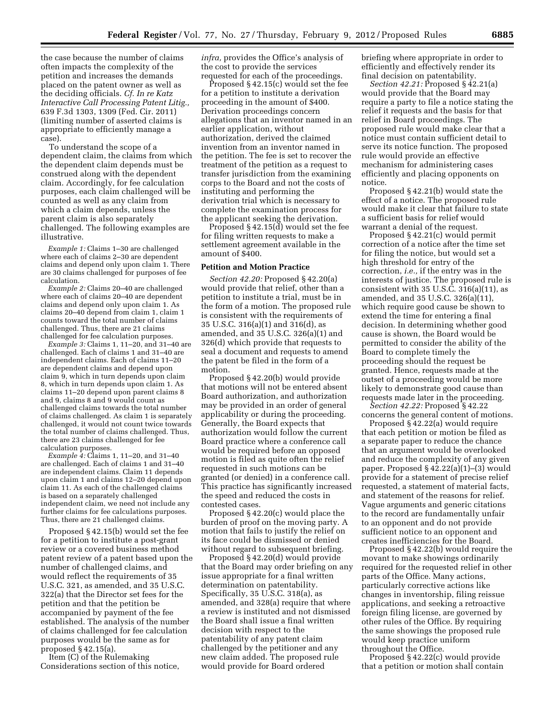the case because the number of claims often impacts the complexity of the petition and increases the demands placed on the patent owner as well as the deciding officials. *Cf. In re Katz Interactive Call Processing Patent Litig.,*  639 F.3d 1303, 1309 (Fed. Cir. 2011) (limiting number of asserted claims is appropriate to efficiently manage a case).

To understand the scope of a dependent claim, the claims from which the dependent claim depends must be construed along with the dependent claim. Accordingly, for fee calculation purposes, each claim challenged will be counted as well as any claim from which a claim depends, unless the parent claim is also separately challenged. The following examples are illustrative.

*Example 1:* Claims 1–30 are challenged where each of claims 2–30 are dependent claims and depend only upon claim 1. There are 30 claims challenged for purposes of fee calculation.

*Example 2:* Claims 20–40 are challenged where each of claims 20–40 are dependent claims and depend only upon claim 1. As claims 20–40 depend from claim 1, claim 1 counts toward the total number of claims challenged. Thus, there are 21 claims challenged for fee calculation purposes.

*Example 3:* Claims 1, 11–20, and 31–40 are challenged. Each of claims 1 and 31–40 are independent claims. Each of claims 11–20 are dependent claims and depend upon claim 9, which in turn depends upon claim 8, which in turn depends upon claim 1. As claims 11–20 depend upon parent claims 8 and 9, claims 8 and 9 would count as challenged claims towards the total number of claims challenged. As claim 1 is separately challenged, it would not count twice towards the total number of claims challenged. Thus, there are 23 claims challenged for fee calculation purposes.

*Example 4:* Claims 1, 11–20, and 31–40 are challenged. Each of claims 1 and 31–40 are independent claims. Claim 11 depends upon claim 1 and claims 12–20 depend upon claim 11. As each of the challenged claims is based on a separately challenged independent claim, we need not include any further claims for fee calculations purposes. Thus, there are 21 challenged claims.

Proposed § 42.15(b) would set the fee for a petition to institute a post-grant review or a covered business method patent review of a patent based upon the number of challenged claims, and would reflect the requirements of 35 U.S.C. 321, as amended, and 35 U.S.C. 322(a) that the Director set fees for the petition and that the petition be accompanied by payment of the fee established. The analysis of the number of claims challenged for fee calculation purposes would be the same as for proposed § 42.15(a).

Item (C) of the Rulemaking Considerations section of this notice, *infra,* provides the Office's analysis of the cost to provide the services requested for each of the proceedings.

Proposed § 42.15(c) would set the fee for a petition to institute a derivation proceeding in the amount of \$400. Derivation proceedings concern allegations that an inventor named in an earlier application, without authorization, derived the claimed invention from an inventor named in the petition. The fee is set to recover the treatment of the petition as a request to transfer jurisdiction from the examining corps to the Board and not the costs of instituting and performing the derivation trial which is necessary to complete the examination process for the applicant seeking the derivation.

Proposed § 42.15(d) would set the fee for filing written requests to make a settlement agreement available in the amount of \$400.

#### **Petition and Motion Practice**

*Section 42.20:* Proposed § 42.20(a) would provide that relief, other than a petition to institute a trial, must be in the form of a motion. The proposed rule is consistent with the requirements of 35 U.S.C. 316(a)(1) and 316(d), as amended, and 35 U.S.C. 326(a)(1) and 326(d) which provide that requests to seal a document and requests to amend the patent be filed in the form of a motion.

Proposed § 42.20(b) would provide that motions will not be entered absent Board authorization, and authorization may be provided in an order of general applicability or during the proceeding. Generally, the Board expects that authorization would follow the current Board practice where a conference call would be required before an opposed motion is filed as quite often the relief requested in such motions can be granted (or denied) in a conference call. This practice has significantly increased the speed and reduced the costs in contested cases.

Proposed § 42.20(c) would place the burden of proof on the moving party. A motion that fails to justify the relief on its face could be dismissed or denied without regard to subsequent briefing.

Proposed § 42.20(d) would provide that the Board may order briefing on any issue appropriate for a final written determination on patentability. Specifically, 35 U.S.C. 318(a), as amended, and 328(a) require that where a review is instituted and not dismissed the Board shall issue a final written decision with respect to the patentability of any patent claim challenged by the petitioner and any new claim added. The proposed rule would provide for Board ordered

briefing where appropriate in order to efficiently and effectively render its final decision on patentability.

*Section 42.21:* Proposed § 42.21(a) would provide that the Board may require a party to file a notice stating the relief it requests and the basis for that relief in Board proceedings. The proposed rule would make clear that a notice must contain sufficient detail to serve its notice function. The proposed rule would provide an effective mechanism for administering cases efficiently and placing opponents on notice.

Proposed § 42.21(b) would state the effect of a notice. The proposed rule would make it clear that failure to state a sufficient basis for relief would warrant a denial of the request.

Proposed § 42.21(c) would permit correction of a notice after the time set for filing the notice, but would set a high threshold for entry of the correction, *i.e.,* if the entry was in the interests of justice. The proposed rule is consistent with  $35 \text{ U.S.}$  $\overline{\text{C}}$ .  $316(a)(11)$ , as amended, and 35 U.S.C. 326(a)(11), which require good cause be shown to extend the time for entering a final decision. In determining whether good cause is shown, the Board would be permitted to consider the ability of the Board to complete timely the proceeding should the request be granted. Hence, requests made at the outset of a proceeding would be more likely to demonstrate good cause than requests made later in the proceeding.

*Section 42.22:* Proposed § 42.22 concerns the general content of motions.

Proposed § 42.22(a) would require that each petition or motion be filed as a separate paper to reduce the chance that an argument would be overlooked and reduce the complexity of any given paper. Proposed § 42.22(a)(1)–(3) would provide for a statement of precise relief requested, a statement of material facts, and statement of the reasons for relief. Vague arguments and generic citations to the record are fundamentally unfair to an opponent and do not provide sufficient notice to an opponent and creates inefficiencies for the Board.

Proposed § 42.22(b) would require the movant to make showings ordinarily required for the requested relief in other parts of the Office. Many actions, particularly corrective actions like changes in inventorship, filing reissue applications, and seeking a retroactive foreign filing license, are governed by other rules of the Office. By requiring the same showings the proposed rule would keep practice uniform throughout the Office.

Proposed § 42.22(c) would provide that a petition or motion shall contain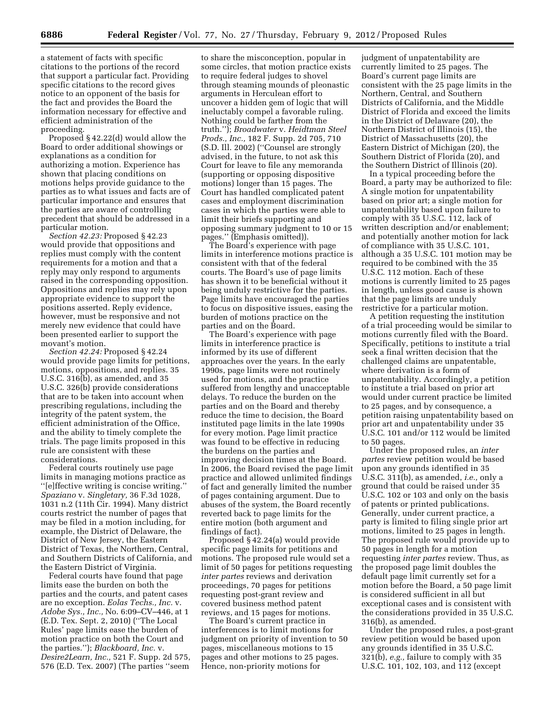a statement of facts with specific citations to the portions of the record that support a particular fact. Providing specific citations to the record gives notice to an opponent of the basis for the fact and provides the Board the information necessary for effective and efficient administration of the proceeding.

Proposed § 42.22(d) would allow the Board to order additional showings or explanations as a condition for authorizing a motion. Experience has shown that placing conditions on motions helps provide guidance to the parties as to what issues and facts are of particular importance and ensures that the parties are aware of controlling precedent that should be addressed in a particular motion.

*Section 42.23:* Proposed § 42.23 would provide that oppositions and replies must comply with the content requirements for a motion and that a reply may only respond to arguments raised in the corresponding opposition. Oppositions and replies may rely upon appropriate evidence to support the positions asserted. Reply evidence, however, must be responsive and not merely new evidence that could have been presented earlier to support the movant's motion.

*Section 42.24:* Proposed § 42.24 would provide page limits for petitions, motions, oppositions, and replies. 35 U.S.C. 316(b), as amended, and 35 U.S.C. 326(b) provide considerations that are to be taken into account when prescribing regulations, including the integrity of the patent system, the efficient administration of the Office, and the ability to timely complete the trials. The page limits proposed in this rule are consistent with these considerations.

Federal courts routinely use page limits in managing motions practice as ''[e]ffective writing is concise writing.'' *Spaziano* v. *Singletary,* 36 F.3d 1028, 1031 n.2 (11th Cir. 1994). Many district courts restrict the number of pages that may be filed in a motion including, for example, the District of Delaware, the District of New Jersey, the Eastern District of Texas, the Northern, Central, and Southern Districts of California, and the Eastern District of Virginia.

Federal courts have found that page limits ease the burden on both the parties and the courts, and patent cases are no exception. *Eolas Techs., Inc.* v. *Adobe Sys., Inc.,* No. 6:09–CV–446, at 1 (E.D. Tex. Sept. 2, 2010) (''The Local Rules' page limits ease the burden of motion practice on both the Court and the parties.''); *Blackboard, Inc.* v. *Desire2Learn, Inc.,* 521 F. Supp. 2d 575, 576 (E.D. Tex. 2007) (The parties ''seem

to share the misconception, popular in some circles, that motion practice exists to require federal judges to shovel through steaming mounds of pleonastic arguments in Herculean effort to uncover a hidden gem of logic that will ineluctably compel a favorable ruling. Nothing could be farther from the truth.''); *Broadwater* v. *Heidtman Steel Prods., Inc.,* 182 F. Supp. 2d 705, 710 (S.D. Ill. 2002) (''Counsel are strongly advised, in the future, to not ask this Court for leave to file any memoranda (supporting or opposing dispositive motions) longer than 15 pages. The Court has handled complicated patent cases and employment discrimination cases in which the parties were able to limit their briefs supporting and opposing summary judgment to 10 or 15 pages." (Emphasis omitted)).

The Board's experience with page limits in interference motions practice is consistent with that of the federal courts. The Board's use of page limits has shown it to be beneficial without it being unduly restrictive for the parties. Page limits have encouraged the parties to focus on dispositive issues, easing the burden of motions practice on the parties and on the Board.

The Board's experience with page limits in interference practice is informed by its use of different approaches over the years. In the early 1990s, page limits were not routinely used for motions, and the practice suffered from lengthy and unacceptable delays. To reduce the burden on the parties and on the Board and thereby reduce the time to decision, the Board instituted page limits in the late 1990s for every motion. Page limit practice was found to be effective in reducing the burdens on the parties and improving decision times at the Board. In 2006, the Board revised the page limit practice and allowed unlimited findings of fact and generally limited the number of pages containing argument. Due to abuses of the system, the Board recently reverted back to page limits for the entire motion (both argument and findings of fact).

Proposed § 42.24(a) would provide specific page limits for petitions and motions. The proposed rule would set a limit of 50 pages for petitions requesting *inter partes* reviews and derivation proceedings, 70 pages for petitions requesting post-grant review and covered business method patent reviews, and 15 pages for motions.

The Board's current practice in interferences is to limit motions for judgment on priority of invention to 50 pages, miscellaneous motions to 15 pages and other motions to 25 pages. Hence, non-priority motions for

judgment of unpatentability are currently limited to 25 pages. The Board's current page limits are consistent with the 25 page limits in the Northern, Central, and Southern Districts of California, and the Middle District of Florida and exceed the limits in the District of Delaware (20), the Northern District of Illinois (15), the District of Massachusetts (20), the Eastern District of Michigan (20), the Southern District of Florida (20), and the Southern District of Illinois (20).

In a typical proceeding before the Board, a party may be authorized to file: A single motion for unpatentability based on prior art; a single motion for unpatentability based upon failure to comply with 35 U.S.C. 112, lack of written description and/or enablement; and potentially another motion for lack of compliance with 35 U.S.C. 101, although a 35 U.S.C. 101 motion may be required to be combined with the 35 U.S.C. 112 motion. Each of these motions is currently limited to 25 pages in length, unless good cause is shown that the page limits are unduly restrictive for a particular motion.

A petition requesting the institution of a trial proceeding would be similar to motions currently filed with the Board. Specifically, petitions to institute a trial seek a final written decision that the challenged claims are unpatentable, where derivation is a form of unpatentability. Accordingly, a petition to institute a trial based on prior art would under current practice be limited to 25 pages, and by consequence, a petition raising unpatentability based on prior art and unpatentability under 35 U.S.C. 101 and/or 112 would be limited to 50 pages.

Under the proposed rules, an *inter partes* review petition would be based upon any grounds identified in 35 U.S.C. 311(b), as amended, *i.e.,* only a ground that could be raised under 35 U.S.C. 102 or 103 and only on the basis of patents or printed publications. Generally, under current practice, a party is limited to filing single prior art motions, limited to 25 pages in length. The proposed rule would provide up to 50 pages in length for a motion requesting *inter partes* review. Thus, as the proposed page limit doubles the default page limit currently set for a motion before the Board, a 50 page limit is considered sufficient in all but exceptional cases and is consistent with the considerations provided in 35 U.S.C. 316(b), as amended.

Under the proposed rules, a post-grant review petition would be based upon any grounds identified in 35 U.S.C. 321(b), *e.g.,* failure to comply with 35 U.S.C. 101, 102, 103, and 112 (except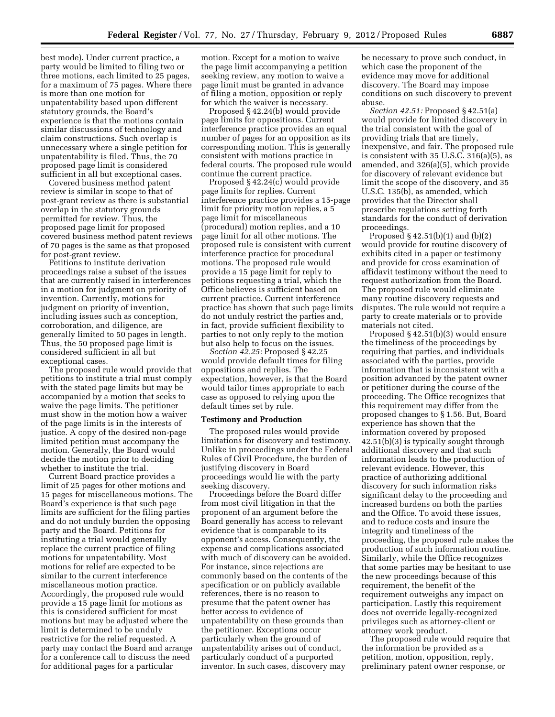best mode). Under current practice, a party would be limited to filing two or three motions, each limited to 25 pages, for a maximum of 75 pages. Where there is more than one motion for unpatentability based upon different statutory grounds, the Board's experience is that the motions contain similar discussions of technology and claim constructions. Such overlap is unnecessary where a single petition for unpatentability is filed. Thus, the 70 proposed page limit is considered sufficient in all but exceptional cases.

Covered business method patent review is similar in scope to that of post-grant review as there is substantial overlap in the statutory grounds permitted for review. Thus, the proposed page limit for proposed covered business method patent reviews of 70 pages is the same as that proposed for post-grant review.

Petitions to institute derivation proceedings raise a subset of the issues that are currently raised in interferences in a motion for judgment on priority of invention. Currently, motions for judgment on priority of invention, including issues such as conception, corroboration, and diligence, are generally limited to 50 pages in length. Thus, the 50 proposed page limit is considered sufficient in all but exceptional cases.

The proposed rule would provide that petitions to institute a trial must comply with the stated page limits but may be accompanied by a motion that seeks to waive the page limits. The petitioner must show in the motion how a waiver of the page limits is in the interests of justice. A copy of the desired non-page limited petition must accompany the motion. Generally, the Board would decide the motion prior to deciding whether to institute the trial.

Current Board practice provides a limit of 25 pages for other motions and 15 pages for miscellaneous motions. The Board's experience is that such page limits are sufficient for the filing parties and do not unduly burden the opposing party and the Board. Petitions for instituting a trial would generally replace the current practice of filing motions for unpatentability. Most motions for relief are expected to be similar to the current interference miscellaneous motion practice. Accordingly, the proposed rule would provide a 15 page limit for motions as this is considered sufficient for most motions but may be adjusted where the limit is determined to be unduly restrictive for the relief requested. A party may contact the Board and arrange for a conference call to discuss the need for additional pages for a particular

motion. Except for a motion to waive the page limit accompanying a petition seeking review, any motion to waive a page limit must be granted in advance of filing a motion, opposition or reply for which the waiver is necessary.

Proposed § 42.24(b) would provide page limits for oppositions. Current interference practice provides an equal number of pages for an opposition as its corresponding motion. This is generally consistent with motions practice in federal courts. The proposed rule would continue the current practice.

Proposed § 42.24(c) would provide page limits for replies. Current interference practice provides a 15-page limit for priority motion replies, a 5 page limit for miscellaneous (procedural) motion replies, and a 10 page limit for all other motions. The proposed rule is consistent with current interference practice for procedural motions. The proposed rule would provide a 15 page limit for reply to petitions requesting a trial, which the Office believes is sufficient based on current practice. Current interference practice has shown that such page limits do not unduly restrict the parties and, in fact, provide sufficient flexibility to parties to not only reply to the motion but also help to focus on the issues.

*Section 42.25:* Proposed § 42.25 would provide default times for filing oppositions and replies. The expectation, however, is that the Board would tailor times appropriate to each case as opposed to relying upon the default times set by rule.

#### **Testimony and Production**

The proposed rules would provide limitations for discovery and testimony. Unlike in proceedings under the Federal Rules of Civil Procedure, the burden of justifying discovery in Board proceedings would lie with the party seeking discovery.

Proceedings before the Board differ from most civil litigation in that the proponent of an argument before the Board generally has access to relevant evidence that is comparable to its opponent's access. Consequently, the expense and complications associated with much of discovery can be avoided. For instance, since rejections are commonly based on the contents of the specification or on publicly available references, there is no reason to presume that the patent owner has better access to evidence of unpatentability on these grounds than the petitioner. Exceptions occur particularly when the ground of unpatentability arises out of conduct, particularly conduct of a purported inventor. In such cases, discovery may

be necessary to prove such conduct, in which case the proponent of the evidence may move for additional discovery. The Board may impose conditions on such discovery to prevent abuse.

*Section 42.51:* Proposed § 42.51(a) would provide for limited discovery in the trial consistent with the goal of providing trials that are timely, inexpensive, and fair. The proposed rule is consistent with 35 U.S.C. 316(a)(5), as amended, and 326(a)(5), which provide for discovery of relevant evidence but limit the scope of the discovery, and 35 U.S.C. 135(b), as amended, which provides that the Director shall prescribe regulations setting forth standards for the conduct of derivation proceedings.

Proposed  $\S$  42.51(b)(1) and (b)(2) would provide for routine discovery of exhibits cited in a paper or testimony and provide for cross examination of affidavit testimony without the need to request authorization from the Board. The proposed rule would eliminate many routine discovery requests and disputes. The rule would not require a party to create materials or to provide materials not cited.

Proposed § 42.51(b)(3) would ensure the timeliness of the proceedings by requiring that parties, and individuals associated with the parties, provide information that is inconsistent with a position advanced by the patent owner or petitioner during the course of the proceeding. The Office recognizes that this requirement may differ from the proposed changes to § 1.56. But, Board experience has shown that the information covered by proposed 42.51(b)(3) is typically sought through additional discovery and that such information leads to the production of relevant evidence. However, this practice of authorizing additional discovery for such information risks significant delay to the proceeding and increased burdens on both the parties and the Office. To avoid these issues, and to reduce costs and insure the integrity and timeliness of the proceeding, the proposed rule makes the production of such information routine. Similarly, while the Office recognizes that some parties may be hesitant to use the new proceedings because of this requirement, the benefit of the requirement outweighs any impact on participation. Lastly this requirement does not override legally-recognized privileges such as attorney-client or attorney work product.

The proposed rule would require that the information be provided as a petition, motion, opposition, reply, preliminary patent owner response, or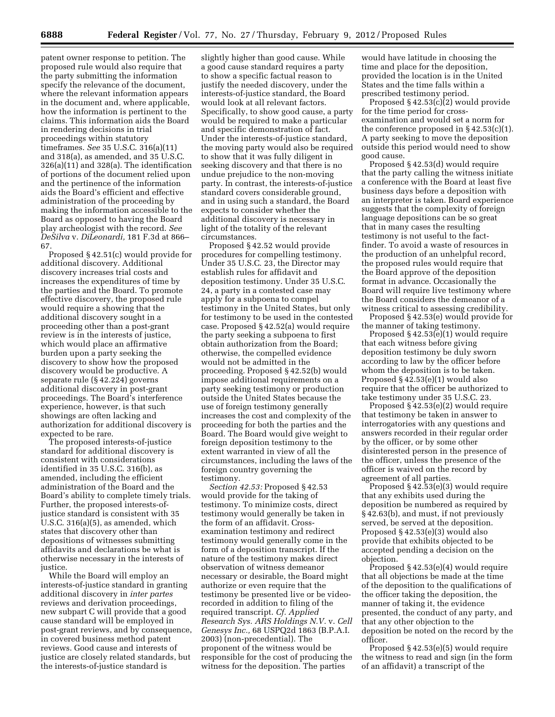patent owner response to petition. The proposed rule would also require that the party submitting the information specify the relevance of the document, where the relevant information appears in the document and, where applicable, how the information is pertinent to the claims. This information aids the Board in rendering decisions in trial proceedings within statutory timeframes. *See* 35 U.S.C. 316(a)(11) and 318(a), as amended, and 35 U.S.C. 326(a)(11) and 328(a). The identification of portions of the document relied upon and the pertinence of the information aids the Board's efficient and effective administration of the proceeding by making the information accessible to the Board as opposed to having the Board play archeologist with the record. *See DeSilva* v. *DiLeonardi,* 181 F.3d at 866– 67.

Proposed § 42.51(c) would provide for additional discovery. Additional discovery increases trial costs and increases the expenditures of time by the parties and the Board. To promote effective discovery, the proposed rule would require a showing that the additional discovery sought in a proceeding other than a post-grant review is in the interests of justice, which would place an affirmative burden upon a party seeking the discovery to show how the proposed discovery would be productive. A separate rule (§ 42.224) governs additional discovery in post-grant proceedings. The Board's interference experience, however, is that such showings are often lacking and authorization for additional discovery is expected to be rare.

The proposed interests-of-justice standard for additional discovery is consistent with considerations identified in 35 U.S.C. 316(b), as amended, including the efficient administration of the Board and the Board's ability to complete timely trials. Further, the proposed interests-ofjustice standard is consistent with 35 U.S.C. 316(a)(5), as amended, which states that discovery other than depositions of witnesses submitting affidavits and declarations be what is otherwise necessary in the interests of justice.

While the Board will employ an interests-of-justice standard in granting additional discovery in *inter partes*  reviews and derivation proceedings, new subpart C will provide that a good cause standard will be employed in post-grant reviews, and by consequence, in covered business method patent reviews. Good cause and interests of justice are closely related standards, but the interests-of-justice standard is

slightly higher than good cause. While a good cause standard requires a party to show a specific factual reason to justify the needed discovery, under the interests-of-justice standard, the Board would look at all relevant factors. Specifically, to show good cause, a party would be required to make a particular and specific demonstration of fact. Under the interests-of-justice standard, the moving party would also be required to show that it was fully diligent in seeking discovery and that there is no undue prejudice to the non-moving party. In contrast, the interests-of-justice standard covers considerable ground, and in using such a standard, the Board expects to consider whether the additional discovery is necessary in light of the totality of the relevant circumstances.

Proposed § 42.52 would provide procedures for compelling testimony. Under 35 U.S.C. 23, the Director may establish rules for affidavit and deposition testimony. Under 35 U.S.C. 24, a party in a contested case may apply for a subpoena to compel testimony in the United States, but only for testimony to be used in the contested case. Proposed § 42.52(a) would require the party seeking a subpoena to first obtain authorization from the Board; otherwise, the compelled evidence would not be admitted in the proceeding. Proposed § 42.52(b) would impose additional requirements on a party seeking testimony or production outside the United States because the use of foreign testimony generally increases the cost and complexity of the proceeding for both the parties and the Board. The Board would give weight to foreign deposition testimony to the extent warranted in view of all the circumstances, including the laws of the foreign country governing the testimony.

*Section 42.53:* Proposed § 42.53 would provide for the taking of testimony. To minimize costs, direct testimony would generally be taken in the form of an affidavit. Crossexamination testimony and redirect testimony would generally come in the form of a deposition transcript. If the nature of the testimony makes direct observation of witness demeanor necessary or desirable, the Board might authorize or even require that the testimony be presented live or be videorecorded in addition to filing of the required transcript. *Cf. Applied Research Sys. ARS Holdings N.V.* v. *Cell Genesys Inc.,* 68 USPQ2d 1863 (B.P.A.I. 2003) (non-precedential). The proponent of the witness would be responsible for the cost of producing the witness for the deposition. The parties

would have latitude in choosing the time and place for the deposition, provided the location is in the United States and the time falls within a prescribed testimony period.

Proposed  $§$  42.53(c)(2) would provide for the time period for crossexamination and would set a norm for the conference proposed in  $\S$  42.53(c)(1). A party seeking to move the deposition outside this period would need to show good cause.

Proposed § 42.53(d) would require that the party calling the witness initiate a conference with the Board at least five business days before a deposition with an interpreter is taken. Board experience suggests that the complexity of foreign language depositions can be so great that in many cases the resulting testimony is not useful to the factfinder. To avoid a waste of resources in the production of an unhelpful record, the proposed rules would require that the Board approve of the deposition format in advance. Occasionally the Board will require live testimony where the Board considers the demeanor of a witness critical to assessing credibility.

Proposed § 42.53(e) would provide for the manner of taking testimony.

Proposed  $\S 42.53(e)(1)$  would require that each witness before giving deposition testimony be duly sworn according to law by the officer before whom the deposition is to be taken. Proposed § 42.53(e)(1) would also require that the officer be authorized to take testimony under 35 U.S.C. 23.

Proposed § 42.53(e)(2) would require that testimony be taken in answer to interrogatories with any questions and answers recorded in their regular order by the officer, or by some other disinterested person in the presence of the officer, unless the presence of the officer is waived on the record by agreement of all parties.

Proposed § 42.53(e)(3) would require that any exhibits used during the deposition be numbered as required by § 42.63(b), and must, if not previously served, be served at the deposition. Proposed § 42.53(e)(3) would also provide that exhibits objected to be accepted pending a decision on the objection.

Proposed § 42.53(e)(4) would require that all objections be made at the time of the deposition to the qualifications of the officer taking the deposition, the manner of taking it, the evidence presented, the conduct of any party, and that any other objection to the deposition be noted on the record by the officer.

Proposed § 42.53(e)(5) would require the witness to read and sign (in the form of an affidavit) a transcript of the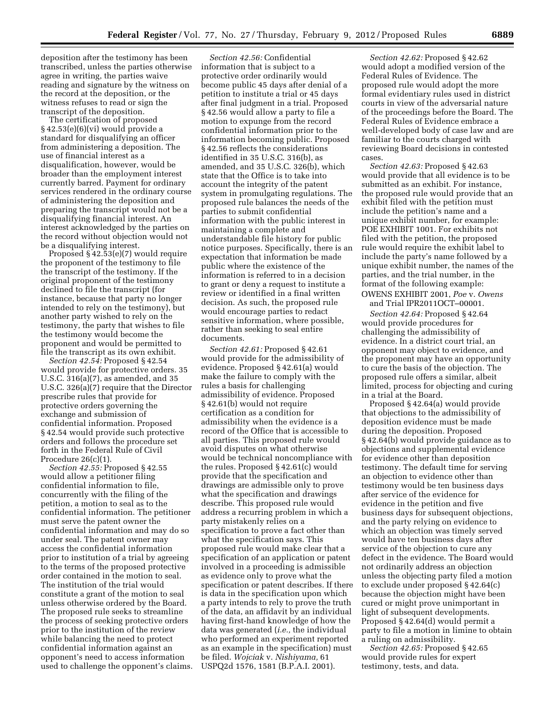deposition after the testimony has been transcribed, unless the parties otherwise agree in writing, the parties waive reading and signature by the witness on the record at the deposition, or the witness refuses to read or sign the transcript of the deposition.

The certification of proposed  $§ 42.53(e)(6)(vi)$  would provide a standard for disqualifying an officer from administering a deposition. The use of financial interest as a disqualification, however, would be broader than the employment interest currently barred. Payment for ordinary services rendered in the ordinary course of administering the deposition and preparing the transcript would not be a disqualifying financial interest. An interest acknowledged by the parties on the record without objection would not be a disqualifying interest.

Proposed § 42.53(e)(7) would require the proponent of the testimony to file the transcript of the testimony. If the original proponent of the testimony declined to file the transcript (for instance, because that party no longer intended to rely on the testimony), but another party wished to rely on the testimony, the party that wishes to file the testimony would become the proponent and would be permitted to file the transcript as its own exhibit.

*Section 42.54:* Proposed § 42.54 would provide for protective orders. 35 U.S.C. 316(a)(7), as amended, and 35 U.S.C. 326(a)(7) require that the Director prescribe rules that provide for protective orders governing the exchange and submission of confidential information. Proposed § 42.54 would provide such protective orders and follows the procedure set forth in the Federal Rule of Civil Procedure 26(c)(1).

*Section 42.55:* Proposed § 42.55 would allow a petitioner filing confidential information to file, concurrently with the filing of the petition, a motion to seal as to the confidential information. The petitioner must serve the patent owner the confidential information and may do so under seal. The patent owner may access the confidential information prior to institution of a trial by agreeing to the terms of the proposed protective order contained in the motion to seal. The institution of the trial would constitute a grant of the motion to seal unless otherwise ordered by the Board. The proposed rule seeks to streamline the process of seeking protective orders prior to the institution of the review while balancing the need to protect confidential information against an opponent's need to access information used to challenge the opponent's claims.

*Section 42.56:* Confidential information that is subject to a protective order ordinarily would become public 45 days after denial of a petition to institute a trial or 45 days after final judgment in a trial. Proposed § 42.56 would allow a party to file a motion to expunge from the record confidential information prior to the information becoming public. Proposed § 42.56 reflects the considerations identified in 35 U.S.C. 316(b), as amended, and 35 U.S.C. 326(b), which state that the Office is to take into account the integrity of the patent system in promulgating regulations. The proposed rule balances the needs of the parties to submit confidential information with the public interest in maintaining a complete and understandable file history for public notice purposes. Specifically, there is an expectation that information be made public where the existence of the information is referred to in a decision to grant or deny a request to institute a review or identified in a final written decision. As such, the proposed rule would encourage parties to redact sensitive information, where possible, rather than seeking to seal entire documents.

*Section 42.61:* Proposed § 42.61 would provide for the admissibility of evidence. Proposed § 42.61(a) would make the failure to comply with the rules a basis for challenging admissibility of evidence. Proposed § 42.61(b) would not require certification as a condition for admissibility when the evidence is a record of the Office that is accessible to all parties. This proposed rule would avoid disputes on what otherwise would be technical noncompliance with the rules. Proposed § 42.61(c) would provide that the specification and drawings are admissible only to prove what the specification and drawings describe. This proposed rule would address a recurring problem in which a party mistakenly relies on a specification to prove a fact other than what the specification says. This proposed rule would make clear that a specification of an application or patent involved in a proceeding is admissible as evidence only to prove what the specification or patent describes. If there is data in the specification upon which a party intends to rely to prove the truth of the data, an affidavit by an individual having first-hand knowledge of how the data was generated (*i.e.,* the individual who performed an experiment reported as an example in the specification) must be filed. *Wojciak* v. *Nishiyama,* 61 USPQ2d 1576, 1581 (B.P.A.I. 2001).

*Section 42.62:* Proposed § 42.62 would adopt a modified version of the Federal Rules of Evidence. The proposed rule would adopt the more formal evidentiary rules used in district courts in view of the adversarial nature of the proceedings before the Board. The Federal Rules of Evidence embrace a well-developed body of case law and are familiar to the courts charged with reviewing Board decisions in contested cases.

*Section 42.63:* Proposed § 42.63 would provide that all evidence is to be submitted as an exhibit. For instance, the proposed rule would provide that an exhibit filed with the petition must include the petition's name and a unique exhibit number, for example: POE EXHIBIT 1001. For exhibits not filed with the petition, the proposed rule would require the exhibit label to include the party's name followed by a unique exhibit number, the names of the parties, and the trial number, in the format of the following example: OWENS EXHIBIT 2001, *Poe* v. *Owens* 

and Trial IPR2011OCT–00001.

*Section 42.64:* Proposed § 42.64 would provide procedures for challenging the admissibility of evidence. In a district court trial, an opponent may object to evidence, and the proponent may have an opportunity to cure the basis of the objection. The proposed rule offers a similar, albeit limited, process for objecting and curing in a trial at the Board.

Proposed § 42.64(a) would provide that objections to the admissibility of deposition evidence must be made during the deposition. Proposed § 42.64(b) would provide guidance as to objections and supplemental evidence for evidence other than deposition testimony. The default time for serving an objection to evidence other than testimony would be ten business days after service of the evidence for evidence in the petition and five business days for subsequent objections, and the party relying on evidence to which an objection was timely served would have ten business days after service of the objection to cure any defect in the evidence. The Board would not ordinarily address an objection unless the objecting party filed a motion to exclude under proposed § 42.64(c) because the objection might have been cured or might prove unimportant in light of subsequent developments. Proposed § 42.64(d) would permit a party to file a motion in limine to obtain a ruling on admissibility.

*Section 42.65:* Proposed § 42.65 would provide rules for expert testimony, tests, and data.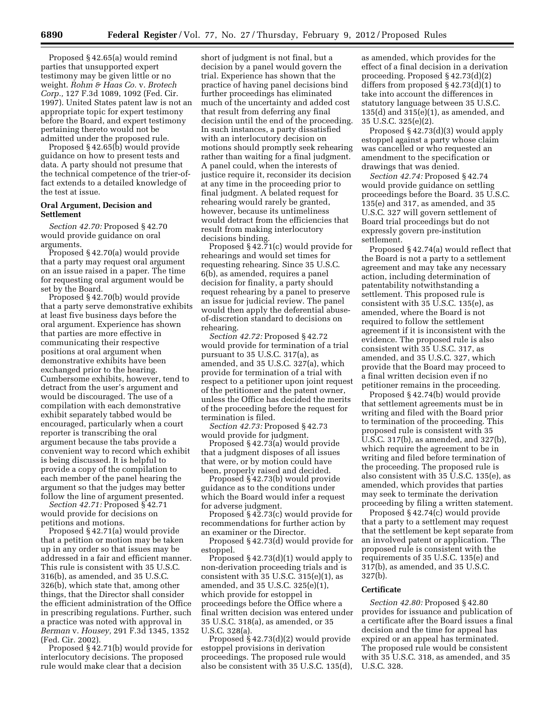Proposed § 42.65(a) would remind parties that unsupported expert testimony may be given little or no weight. *Rohm & Haas Co.* v. *Brotech Corp.,* 127 F.3d 1089, 1092 (Fed. Cir. 1997). United States patent law is not an appropriate topic for expert testimony before the Board, and expert testimony pertaining thereto would not be admitted under the proposed rule.

Proposed § 42.65(b) would provide guidance on how to present tests and data. A party should not presume that the technical competence of the trier-offact extends to a detailed knowledge of the test at issue.

# **Oral Argument, Decision and Settlement**

*Section 42.70:* Proposed § 42.70 would provide guidance on oral arguments.

Proposed § 42.70(a) would provide that a party may request oral argument on an issue raised in a paper. The time for requesting oral argument would be set by the Board.

Proposed § 42.70(b) would provide that a party serve demonstrative exhibits at least five business days before the oral argument. Experience has shown that parties are more effective in communicating their respective positions at oral argument when demonstrative exhibits have been exchanged prior to the hearing. Cumbersome exhibits, however, tend to detract from the user's argument and would be discouraged. The use of a compilation with each demonstrative exhibit separately tabbed would be encouraged, particularly when a court reporter is transcribing the oral argument because the tabs provide a convenient way to record which exhibit is being discussed. It is helpful to provide a copy of the compilation to each member of the panel hearing the argument so that the judges may better follow the line of argument presented.

*Section 42.71:* Proposed § 42.71 would provide for decisions on petitions and motions.

Proposed § 42.71(a) would provide that a petition or motion may be taken up in any order so that issues may be addressed in a fair and efficient manner. This rule is consistent with 35 U.S.C. 316(b), as amended, and 35 U.S.C. 326(b), which state that, among other things, that the Director shall consider the efficient administration of the Office in prescribing regulations. Further, such a practice was noted with approval in *Berman* v. *Housey,* 291 F.3d 1345, 1352 (Fed. Cir. 2002).

Proposed § 42.71(b) would provide for interlocutory decisions. The proposed rule would make clear that a decision

short of judgment is not final, but a decision by a panel would govern the trial. Experience has shown that the practice of having panel decisions bind further proceedings has eliminated much of the uncertainty and added cost that result from deferring any final decision until the end of the proceeding. In such instances, a party dissatisfied with an interlocutory decision on motions should promptly seek rehearing rather than waiting for a final judgment. A panel could, when the interests of justice require it, reconsider its decision at any time in the proceeding prior to final judgment. A belated request for rehearing would rarely be granted, however, because its untimeliness would detract from the efficiencies that result from making interlocutory decisions binding.

Proposed § 42.71(c) would provide for rehearings and would set times for requesting rehearing. Since 35 U.S.C. 6(b), as amended, requires a panel decision for finality, a party should request rehearing by a panel to preserve an issue for judicial review. The panel would then apply the deferential abuseof-discretion standard to decisions on rehearing.

*Section 42.72:* Proposed § 42.72 would provide for termination of a trial pursuant to 35 U.S.C. 317(a), as amended, and 35 U.S.C. 327(a), which provide for termination of a trial with respect to a petitioner upon joint request of the petitioner and the patent owner, unless the Office has decided the merits of the proceeding before the request for termination is filed.

*Section 42.73:* Proposed § 42.73 would provide for judgment.

Proposed § 42.73(a) would provide that a judgment disposes of all issues that were, or by motion could have been, properly raised and decided.

Proposed § 42.73(b) would provide guidance as to the conditions under which the Board would infer a request for adverse judgment.

Proposed § 42.73(c) would provide for recommendations for further action by an examiner or the Director.

Proposed § 42.73(d) would provide for estoppel.

Proposed § 42.73(d)(1) would apply to non-derivation proceeding trials and is consistent with  $35$  U.S.C.  $315(e)(1)$ , as amended, and 35 U.S.C. 325(e)(1), which provide for estoppel in proceedings before the Office where a final written decision was entered under 35 U.S.C. 318(a), as amended, or 35 U.S.C. 328(a).

Proposed § 42.73(d)(2) would provide estoppel provisions in derivation proceedings. The proposed rule would also be consistent with 35 U.S.C. 135(d),

as amended, which provides for the effect of a final decision in a derivation proceeding. Proposed § 42.73(d)(2) differs from proposed § 42.73(d)(1) to take into account the differences in statutory language between 35 U.S.C. 135(d) and 315(e)(1), as amended, and 35 U.S.C. 325(e)(2).

Proposed § 42.73(d)(3) would apply estoppel against a party whose claim was cancelled or who requested an amendment to the specification or drawings that was denied.

*Section 42.74:* Proposed § 42.74 would provide guidance on settling proceedings before the Board. 35 U.S.C. 135(e) and 317, as amended, and 35 U.S.C. 327 will govern settlement of Board trial proceedings but do not expressly govern pre-institution settlement.

Proposed § 42.74(a) would reflect that the Board is not a party to a settlement agreement and may take any necessary action, including determination of patentability notwithstanding a settlement. This proposed rule is consistent with  $35 \overline{U}$ .S.C. 135(e), as amended, where the Board is not required to follow the settlement agreement if it is inconsistent with the evidence. The proposed rule is also consistent with 35 U.S.C. 317, as amended, and 35 U.S.C. 327, which provide that the Board may proceed to a final written decision even if no petitioner remains in the proceeding.

Proposed § 42.74(b) would provide that settlement agreements must be in writing and filed with the Board prior to termination of the proceeding. This proposed rule is consistent with 35 U.S.C. 317(b), as amended, and 327(b), which require the agreement to be in writing and filed before termination of the proceeding. The proposed rule is also consistent with 35 U.S.C. 135(e), as amended, which provides that parties may seek to terminate the derivation proceeding by filing a written statement.

Proposed § 42.74(c) would provide that a party to a settlement may request that the settlement be kept separate from an involved patent or application. The proposed rule is consistent with the requirements of 35 U.S.C. 135(e) and 317(b), as amended, and 35 U.S.C. 327(b).

#### **Certificate**

*Section 42.80:* Proposed § 42.80 provides for issuance and publication of a certificate after the Board issues a final decision and the time for appeal has expired or an appeal has terminated. The proposed rule would be consistent with 35 U.S.C. 318, as amended, and 35 U.S.C. 328.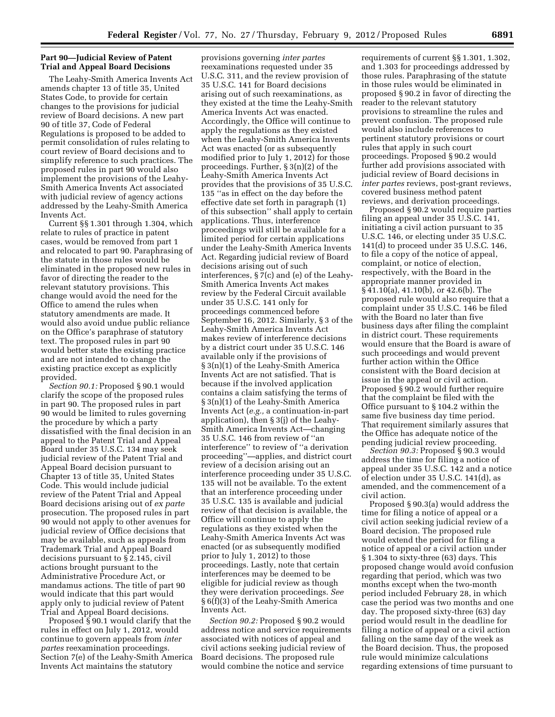# **Part 90—Judicial Review of Patent Trial and Appeal Board Decisions**

The Leahy-Smith America Invents Act amends chapter 13 of title 35, United States Code, to provide for certain changes to the provisions for judicial review of Board decisions. A new part 90 of title 37, Code of Federal Regulations is proposed to be added to permit consolidation of rules relating to court review of Board decisions and to simplify reference to such practices. The proposed rules in part 90 would also implement the provisions of the Leahy-Smith America Invents Act associated with judicial review of agency actions addressed by the Leahy-Smith America Invents Act.

Current §§ 1.301 through 1.304, which relate to rules of practice in patent cases, would be removed from part 1 and relocated to part 90. Paraphrasing of the statute in those rules would be eliminated in the proposed new rules in favor of directing the reader to the relevant statutory provisions. This change would avoid the need for the Office to amend the rules when statutory amendments are made. It would also avoid undue public reliance on the Office's paraphrase of statutory text. The proposed rules in part 90 would better state the existing practice and are not intended to change the existing practice except as explicitly provided.

*Section 90.1:* Proposed § 90.1 would clarify the scope of the proposed rules in part 90. The proposed rules in part 90 would be limited to rules governing the procedure by which a party dissatisfied with the final decision in an appeal to the Patent Trial and Appeal Board under 35 U.S.C. 134 may seek judicial review of the Patent Trial and Appeal Board decision pursuant to Chapter 13 of title 35, United States Code. This would include judicial review of the Patent Trial and Appeal Board decisions arising out of *ex parte*  prosecution. The proposed rules in part 90 would not apply to other avenues for judicial review of Office decisions that may be available, such as appeals from Trademark Trial and Appeal Board decisions pursuant to § 2.145, civil actions brought pursuant to the Administrative Procedure Act, or mandamus actions. The title of part 90 would indicate that this part would apply only to judicial review of Patent Trial and Appeal Board decisions.

Proposed § 90.1 would clarify that the rules in effect on July 1, 2012, would continue to govern appeals from *inter partes* reexamination proceedings. Section 7(e) of the Leahy-Smith America Invents Act maintains the statutory

provisions governing *inter partes*  reexaminations requested under 35 U.S.C. 311, and the review provision of 35 U.S.C. 141 for Board decisions arising out of such reexaminations, as they existed at the time the Leahy-Smith America Invents Act was enacted. Accordingly, the Office will continue to apply the regulations as they existed when the Leahy-Smith America Invents Act was enacted (or as subsequently modified prior to July 1, 2012) for those proceedings. Further, § 3(n)(2) of the Leahy-Smith America Invents Act provides that the provisions of 35 U.S.C. 135 ''as in effect on the day before the effective date set forth in paragraph (1) of this subsection'' shall apply to certain applications. Thus, interference proceedings will still be available for a limited period for certain applications under the Leahy-Smith America Invents Act. Regarding judicial review of Board decisions arising out of such interferences, § 7(c) and (e) of the Leahy-Smith America Invents Act makes review by the Federal Circuit available under 35 U.S.C. 141 only for proceedings commenced before September 16, 2012. Similarly, § 3 of the Leahy-Smith America Invents Act makes review of interference decisions by a district court under 35 U.S.C. 146 available only if the provisions of § 3(n)(1) of the Leahy-Smith America Invents Act are not satisfied. That is because if the involved application contains a claim satisfying the terms of § 3(n)(1) of the Leahy-Smith America Invents Act (*e.g.,* a continuation-in-part application), then § 3(j) of the Leahy-Smith America Invents Act—changing 35 U.S.C. 146 from review of ''an interference'' to review of ''a derivation proceeding''—applies, and district court review of a decision arising out an interference proceeding under 35 U.S.C. 135 will not be available. To the extent that an interference proceeding under 35 U.S.C. 135 is available and judicial review of that decision is available, the Office will continue to apply the regulations as they existed when the Leahy-Smith America Invents Act was enacted (or as subsequently modified prior to July 1, 2012) to those proceedings. Lastly, note that certain interferences may be deemed to be eligible for judicial review as though they were derivation proceedings. *See*  § 6(f)(3) of the Leahy-Smith America Invents Act.

*Section 90.2:* Proposed § 90.2 would address notice and service requirements associated with notices of appeal and civil actions seeking judicial review of Board decisions. The proposed rule would combine the notice and service

requirements of current §§ 1.301, 1.302, and 1.303 for proceedings addressed by those rules. Paraphrasing of the statute in those rules would be eliminated in proposed § 90.2 in favor of directing the reader to the relevant statutory provisions to streamline the rules and prevent confusion. The proposed rule would also include references to pertinent statutory provisions or court rules that apply in such court proceedings. Proposed § 90.2 would further add provisions associated with judicial review of Board decisions in *inter partes* reviews, post-grant reviews, covered business method patent reviews, and derivation proceedings.

Proposed § 90.2 would require parties filing an appeal under 35 U.S.C. 141, initiating a civil action pursuant to 35 U.S.C. 146, or electing under 35 U.S.C. 141(d) to proceed under 35 U.S.C. 146, to file a copy of the notice of appeal, complaint, or notice of election, respectively, with the Board in the appropriate manner provided in § 41.10(a), 41.10(b), or 42.6(b). The proposed rule would also require that a complaint under 35 U.S.C. 146 be filed with the Board no later than five business days after filing the complaint in district court. These requirements would ensure that the Board is aware of such proceedings and would prevent further action within the Office consistent with the Board decision at issue in the appeal or civil action. Proposed § 90.2 would further require that the complaint be filed with the Office pursuant to § 104.2 within the same five business day time period. That requirement similarly assures that the Office has adequate notice of the pending judicial review proceeding.

*Section 90.3:* Proposed § 90.3 would address the time for filing a notice of appeal under 35 U.S.C. 142 and a notice of election under 35 U.S.C. 141(d), as amended, and the commencement of a civil action.

Proposed § 90.3(a) would address the time for filing a notice of appeal or a civil action seeking judicial review of a Board decision. The proposed rule would extend the period for filing a notice of appeal or a civil action under § 1.304 to sixty-three (63) days. This proposed change would avoid confusion regarding that period, which was two months except when the two-month period included February 28, in which case the period was two months and one day. The proposed sixty-three (63) day period would result in the deadline for filing a notice of appeal or a civil action falling on the same day of the week as the Board decision. Thus, the proposed rule would minimize calculations regarding extensions of time pursuant to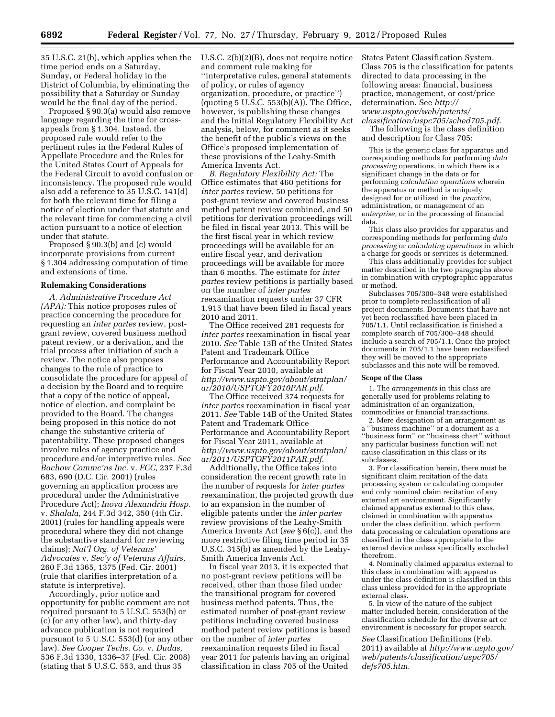35 U.S.C. 21(b), which applies when the time period ends on a Saturday, Sunday, or Federal holiday in the District of Columbia, by eliminating the possibility that a Saturday or Sunday would be the final day of the period.

Proposed § 90.3(a) would also remove language regarding the time for crossappeals from § 1.304. Instead, the proposed rule would refer to the pertinent rules in the Federal Rules of Appellate Procedure and the Rules for the United States Court of Appeals for the Federal Circuit to avoid confusion or inconsistency. The proposed rule would also add a reference to 35 U.S.C. 141(d) for both the relevant time for filing a notice of election under that statute and the relevant time for commencing a civil action pursuant to a notice of election under that statute.

Proposed § 90.3(b) and (c) would incorporate provisions from current § 1.304 addressing computation of time and extensions of time.

#### **Rulemaking Considerations**

*A. Administrative Procedure Act (APA):* This notice proposes rules of practice concerning the procedure for requesting an *inter partes* review, postgrant review, covered business method patent review, or a derivation, and the trial process after initiation of such a review. The notice also proposes changes to the rule of practice to consolidate the procedure for appeal of a decision by the Board and to require that a copy of the notice of appeal, notice of election, and complaint be provided to the Board. The changes being proposed in this notice do not change the substantive criteria of patentability. These proposed changes involve rules of agency practice and procedure and/or interpretive rules. *See Bachow Commc'ns Inc.* v. *FCC,* 237 F.3d 683, 690 (D.C. Cir. 2001) (rules governing an application process are procedural under the Administrative Procedure Act); *Inova Alexandria Hosp.*  v. *Shalala,* 244 F.3d 342, 350 (4th Cir. 2001) (rules for handling appeals were procedural where they did not change the substantive standard for reviewing claims); *Nat'l Org. of Veterans' Advocates* v. *Sec'y of Veterans Affairs,*  260 F.3d 1365, 1375 (Fed. Cir. 2001) (rule that clarifies interpretation of a statute is interpretive).

Accordingly, prior notice and opportunity for public comment are not required pursuant to 5 U.S.C. 553(b) or (c) (or any other law), and thirty-day advance publication is not required pursuant to 5 U.S.C. 553(d) (or any other law). *See Cooper Techs. Co.* v. *Dudas,*  536 F.3d 1330, 1336–37 (Fed. Cir. 2008) (stating that 5 U.S.C. 553, and thus 35

U.S.C. 2(b)(2)(B), does not require notice and comment rule making for ''interpretative rules, general statements of policy, or rules of agency organization, procedure, or practice'')  $($ quoting 5 U.S.C. 553 $(b)(A)$ ). The Office, however, is publishing these changes and the Initial Regulatory Flexibility Act analysis, below, for comment as it seeks the benefit of the public's views on the Office's proposed implementation of these provisions of the Leahy-Smith America Invents Act.

*B. Regulatory Flexibility Act:* The Office estimates that 460 petitions for *inter partes* review, 50 petitions for post-grant review and covered business method patent review combined, and 50 petitions for derivation proceedings will be filed in fiscal year 2013. This will be the first fiscal year in which review proceedings will be available for an entire fiscal year, and derivation proceedings will be available for more than 6 months. The estimate for *inter partes* review petitions is partially based on the number of *inter partes*  reexamination requests under 37 CFR 1.915 that have been filed in fiscal years 2010 and 2011.

The Office received 281 requests for *inter partes* reexamination in fiscal year 2010. *See* Table 13B of the United States Patent and Trademark Office Performance and Accountability Report for Fiscal Year 2010, available at *[http://www.uspto.gov/about/stratplan/](http://www.uspto.gov/about/stratplan/ar/2010/USPTOFY2010PAR.pdf)  [ar/2010/USPTOFY2010PAR.pdf](http://www.uspto.gov/about/stratplan/ar/2010/USPTOFY2010PAR.pdf)*.

The Office received 374 requests for *inter partes* reexamination in fiscal year 2011. *See* Table 14B of the United States Patent and Trademark Office Performance and Accountability Report for Fiscal Year 2011, available at *[http://www.uspto.gov/about/stratplan/](http://www.uspto.gov/about/stratplan/ar/2011/USPTOFY2011PAR.pdf)  [ar/2011/USPTOFY2011PAR.pdf](http://www.uspto.gov/about/stratplan/ar/2011/USPTOFY2011PAR.pdf)*.

Additionally, the Office takes into consideration the recent growth rate in the number of requests for *inter partes*  reexamination, the projected growth due to an expansion in the number of eligible patents under the *inter partes*  review provisions of the Leahy-Smith America Invents Act (*see* § 6(c)), and the more restrictive filing time period in 35 U.S.C. 315(b) as amended by the Leahy-Smith America Invents Act.

In fiscal year 2013, it is expected that no post-grant review petitions will be received, other than those filed under the transitional program for covered business method patents. Thus, the estimated number of post-grant review petitions including covered business method patent review petitions is based on the number of *inter partes*  reexamination requests filed in fiscal year 2011 for patents having an original classification in class 705 of the United

States Patent Classification System. Class 705 is the classification for patents directed to data processing in the following areas: financial, business practice, management, or cost/price determination. See *[http://](http://www.uspto.gov/web/patents/classification/uspc705/sched705.pdf)  [www.uspto.gov/web/patents/](http://www.uspto.gov/web/patents/classification/uspc705/sched705.pdf)* 

*[classification/uspc705/sched705.pdf](http://www.uspto.gov/web/patents/classification/uspc705/sched705.pdf)*. The following is the class definition and description for Class 705:

This is the generic class for apparatus and corresponding methods for performing *data processing* operations, in which there is a significant change in the data or for performing *calculation operations* wherein the apparatus or method is uniquely designed for or utilized in the *practice,*  administration, or management of an *enterprise,* or in the processing of financial data.

This class also provides for apparatus and corresponding methods for performing *data processing* or *calculating operations* in which a charge for goods or services is determined.

This class additionally provides for subject matter described in the two paragraphs above in combination with cryptographic apparatus or method.

Subclasses 705/300–348 were established prior to complete reclassification of all project documents. Documents that have not yet been reclassified have been placed in 705/1.1. Until reclassification is finished a complete search of 705/300–348 should include a search of 705/1.1. Once the project documents in 705/1.1 have been reclassified they will be moved to the appropriate subclasses and this note will be removed.

#### **Scope of the Class**

1. The *arrangements* in this class are generally used for problems relating to administration of an organization, commodities or financial transactions.

2. Mere designation of an arrangement as a ''business machine'' or a document as a ''business form'' or ''business chart'' without any particular business function will not cause classification in this class or its subclasses.

3. For classification herein, there must be significant claim recitation of the data processing system or calculating computer and only nominal claim recitation of any external art environment. Significantly claimed apparatus external to this class, claimed in combination with apparatus under the class definition, which perform data processing or calculation operations are classified in the class appropriate to the external device unless specifically excluded therefrom.

4. Nominally claimed apparatus external to this class in combination with apparatus under the class definition is classified in this class unless provided for in the appropriate external class.

5. In view of the nature of the subject matter included herein, consideration of the classification schedule for the diverse art or environment is necessary for proper search.

*See* Classification Definitions (Feb. 2011) available at *[http://www.uspto.gov/](http://www.uspto.gov/web/patents/classification/uspc705/defs705.htm)  [web/patents/classification/uspc705/](http://www.uspto.gov/web/patents/classification/uspc705/defs705.htm) [defs705.htm](http://www.uspto.gov/web/patents/classification/uspc705/defs705.htm)*.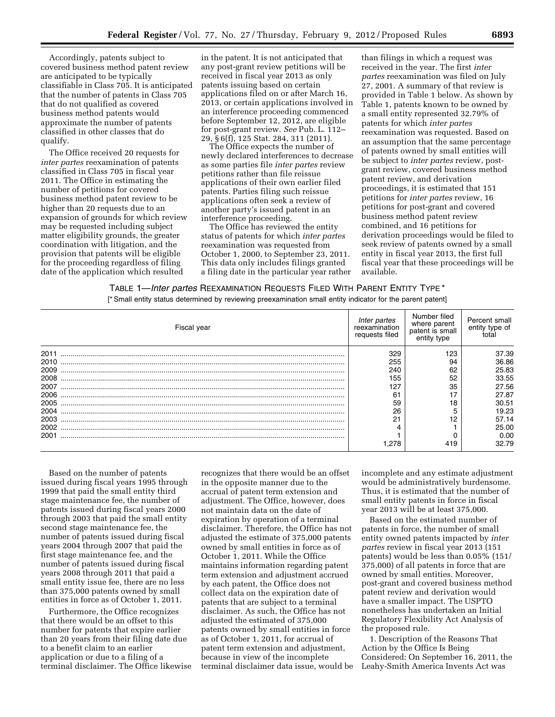Accordingly, patents subject to covered business method patent review are anticipated to be typically classifiable in Class 705. It is anticipated that the number of patents in Class 705 that do not qualified as covered business method patents would approximate the number of patents classified in other classes that do qualify.

The Office received 20 requests for *inter partes* reexamination of patents classified in Class 705 in fiscal year 2011. The Office in estimating the number of petitions for covered business method patent review to be higher than 20 requests due to an expansion of grounds for which review may be requested including subject matter eligibility grounds, the greater coordination with litigation, and the provision that patents will be eligible for the proceeding regardless of filing date of the application which resulted

in the patent. It is not anticipated that any post-grant review petitions will be received in fiscal year 2013 as only patents issuing based on certain applications filed on or after March 16, 2013, or certain applications involved in an interference proceeding commenced before September 12, 2012, are eligible for post-grant review. *See* Pub. L. 112– 29, § 6(f), 125 Stat. 284, 311 (2011).

The Office expects the number of newly declared interferences to decrease as some parties file *inter partes* review petitions rather than file reissue applications of their own earlier filed patents. Parties filing such reissue applications often seek a review of another party's issued patent in an interference proceeding.

The Office has reviewed the entity status of patents for which *inter partes*  reexamination was requested from October 1, 2000, to September 23, 2011. This data only includes filings granted a filing date in the particular year rather

than filings in which a request was received in the year. The first *inter partes* reexamination was filed on July 27, 2001. A summary of that review is provided in Table 1 below. As shown by Table 1, patents known to be owned by a small entity represented 32.79% of patents for which *inter partes*  reexamination was requested. Based on an assumption that the same percentage of patents owned by small entities will be subject to *inter partes* review, postgrant review, covered business method patent review, and derivation proceedings, it is estimated that 151 petitions for *inter partes* review, 16 petitions for post-grant and covered business method patent review combined, and 16 petitions for derivation proceedings would be filed to seek review of patents owned by a small entity in fiscal year 2013, the first full fiscal year that these proceedings will be available.

TABLE 1—*Inter partes* REEXAMINATION REQUESTS FILED WITH PARENT ENTITY TYPE \*

[\* Small entity status determined by reviewing preexamination small entity indicator for the parent patent]

| Fiscal year | Inter partes<br>reexamination<br>requests filed | Number filed<br>where parent<br>patent is small<br>entity type | Percent small<br>entity type of |
|-------------|-------------------------------------------------|----------------------------------------------------------------|---------------------------------|
| 2011        | 329                                             | 123                                                            | 37.39                           |
| 2010        | 255                                             | 94                                                             | 36.86                           |
| 2009        | 240                                             | 62                                                             | 25.83                           |
| 2008        | 155                                             | 52                                                             | 33.55                           |
| 2007        | 127                                             | 35                                                             | 27.56                           |
| 2006        | 61                                              |                                                                | 27.87                           |
| 2005        | 59                                              | 18                                                             | 30.51                           |
| 2004        | 26                                              |                                                                | 19.23                           |
| 2003        | 21                                              | 12                                                             | 57.14                           |
| 2002        |                                                 |                                                                | 25.00                           |
| 2001        |                                                 |                                                                | 0.00                            |
|             |                                                 | 419                                                            | 32.79                           |

Based on the number of patents issued during fiscal years 1995 through 1999 that paid the small entity third stage maintenance fee, the number of patents issued during fiscal years 2000 through 2003 that paid the small entity second stage maintenance fee, the number of patents issued during fiscal years 2004 through 2007 that paid the first stage maintenance fee, and the number of patents issued during fiscal years 2008 through 2011 that paid a small entity issue fee, there are no less than 375,000 patents owned by small entities in force as of October 1, 2011.

Furthermore, the Office recognizes that there would be an offset to this number for patents that expire earlier than 20 years from their filing date due to a benefit claim to an earlier application or due to a filing of a terminal disclaimer. The Office likewise

recognizes that there would be an offset in the opposite manner due to the accrual of patent term extension and adjustment. The Office, however, does not maintain data on the date of expiration by operation of a terminal disclaimer. Therefore, the Office has not adjusted the estimate of 375,000 patents owned by small entities in force as of October 1, 2011. While the Office maintains information regarding patent term extension and adjustment accrued by each patent, the Office does not collect data on the expiration date of patents that are subject to a terminal disclaimer. As such, the Office has not adjusted the estimated of 375,000 patents owned by small entities in force as of October 1, 2011, for accrual of patent term extension and adjustment, because in view of the incomplete terminal disclaimer data issue, would be incomplete and any estimate adjustment would be administratively burdensome. Thus, it is estimated that the number of small entity patents in force in fiscal year 2013 will be at least 375,000.

Based on the estimated number of patents in force, the number of small entity owned patents impacted by *inter partes* review in fiscal year 2013 (151 patents) would be less than 0.05% (151/ 375,000) of all patents in force that are owned by small entities. Moreover, post-grant and covered business method patent review and derivation would have a smaller impact. The USPTO nonetheless has undertaken an Initial Regulatory Flexibility Act Analysis of the proposed rule.

1. Description of the Reasons That Action by the Office Is Being Considered: On September 16, 2011, the Leahy-Smith America Invents Act was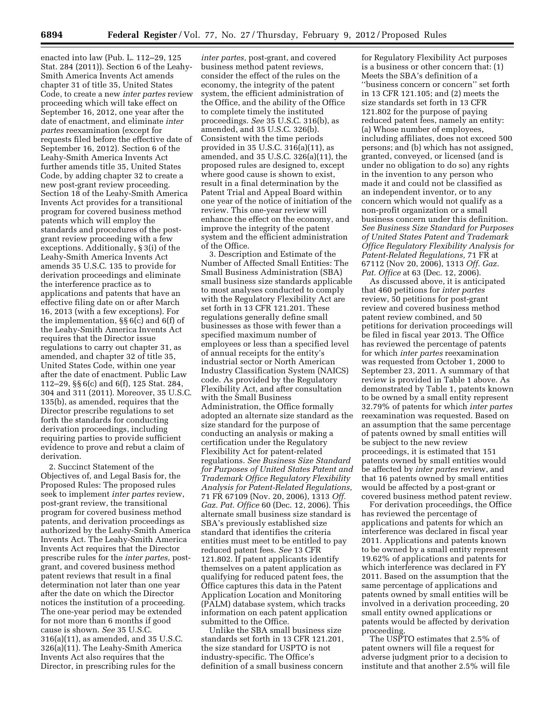enacted into law (Pub. L. 112–29, 125 Stat. 284 (2011)). Section 6 of the Leahy-Smith America Invents Act amends chapter 31 of title 35, United States Code, to create a new *inter partes* review proceeding which will take effect on September 16, 2012, one year after the date of enactment, and eliminate *inter partes* reexamination (except for requests filed before the effective date of September 16, 2012). Section 6 of the Leahy-Smith America Invents Act further amends title 35, United States Code, by adding chapter 32 to create a new post-grant review proceeding. Section 18 of the Leahy-Smith America Invents Act provides for a transitional program for covered business method patents which will employ the standards and procedures of the postgrant review proceeding with a few exceptions. Additionally, § 3(i) of the Leahy-Smith America Invents Act amends 35 U.S.C. 135 to provide for derivation proceedings and eliminate the interference practice as to applications and patents that have an effective filing date on or after March 16, 2013 (with a few exceptions). For the implementation, §§ 6(c) and 6(f) of the Leahy-Smith America Invents Act requires that the Director issue regulations to carry out chapter 31, as amended, and chapter 32 of title 35, United States Code, within one year after the date of enactment. Public Law 112–29, §§ 6(c) and 6(f), 125 Stat. 284, 304 and 311 (2011). Moreover, 35 U.S.C. 135(b), as amended, requires that the Director prescribe regulations to set forth the standards for conducting derivation proceedings, including requiring parties to provide sufficient evidence to prove and rebut a claim of derivation.

2. Succinct Statement of the Objectives of, and Legal Basis for, the Proposed Rules: The proposed rules seek to implement *inter partes* review, post-grant review, the transitional program for covered business method patents, and derivation proceedings as authorized by the Leahy-Smith America Invents Act. The Leahy-Smith America Invents Act requires that the Director prescribe rules for the *inter partes,* postgrant, and covered business method patent reviews that result in a final determination not later than one year after the date on which the Director notices the institution of a proceeding. The one-year period may be extended for not more than 6 months if good cause is shown. *See* 35 U.S.C. 316(a)(11), as amended, and 35 U.S.C. 326(a)(11). The Leahy-Smith America Invents Act also requires that the Director, in prescribing rules for the

*inter partes,* post-grant, and covered business method patent reviews, consider the effect of the rules on the economy, the integrity of the patent system, the efficient administration of the Office, and the ability of the Office to complete timely the instituted proceedings. *See* 35 U.S.C. 316(b), as amended, and 35 U.S.C. 326(b). Consistent with the time periods provided in 35 U.S.C. 316(a)(11), as amended, and 35 U.S.C. 326(a)(11), the proposed rules are designed to, except where good cause is shown to exist, result in a final determination by the Patent Trial and Appeal Board within one year of the notice of initiation of the review. This one-year review will enhance the effect on the economy, and improve the integrity of the patent system and the efficient administration of the Office.

3. Description and Estimate of the Number of Affected Small Entities: The Small Business Administration (SBA) small business size standards applicable to most analyses conducted to comply with the Regulatory Flexibility Act are set forth in 13 CFR 121.201. These regulations generally define small businesses as those with fewer than a specified maximum number of employees or less than a specified level of annual receipts for the entity's industrial sector or North American Industry Classification System (NAICS) code. As provided by the Regulatory Flexibility Act, and after consultation with the Small Business Administration, the Office formally adopted an alternate size standard as the size standard for the purpose of conducting an analysis or making a certification under the Regulatory Flexibility Act for patent-related regulations. *See Business Size Standard for Purposes of United States Patent and Trademark Office Regulatory Flexibility Analysis for Patent-Related Regulations,*  71 FR 67109 (Nov. 20, 2006), 1313 *Off. Gaz. Pat. Office* 60 (Dec. 12, 2006). This alternate small business size standard is SBA's previously established size standard that identifies the criteria entities must meet to be entitled to pay reduced patent fees. *See* 13 CFR 121.802. If patent applicants identify themselves on a patent application as qualifying for reduced patent fees, the Office captures this data in the Patent Application Location and Monitoring (PALM) database system, which tracks information on each patent application submitted to the Office.

Unlike the SBA small business size standards set forth in 13 CFR 121.201, the size standard for USPTO is not industry-specific. The Office's definition of a small business concern

for Regulatory Flexibility Act purposes is a business or other concern that: (1) Meets the SBA's definition of a ''business concern or concern'' set forth in 13 CFR 121.105; and (2) meets the size standards set forth in 13 CFR 121.802 for the purpose of paying reduced patent fees, namely an entity: (a) Whose number of employees, including affiliates, does not exceed 500 persons; and (b) which has not assigned, granted, conveyed, or licensed (and is under no obligation to do so) any rights in the invention to any person who made it and could not be classified as an independent inventor, or to any concern which would not qualify as a non-profit organization or a small business concern under this definition. *See Business Size Standard for Purposes of United States Patent and Trademark Office Regulatory Flexibility Analysis for Patent-Related Regulations,* 71 FR at 67112 (Nov 20, 2006), 1313 *Off. Gaz. Pat. Office* at 63 (Dec. 12, 2006).

As discussed above, it is anticipated that 460 petitions for *inter partes*  review, 50 petitions for post-grant review and covered business method patent review combined, and 50 petitions for derivation proceedings will be filed in fiscal year 2013. The Office has reviewed the percentage of patents for which *inter partes* reexamination was requested from October 1, 2000 to September 23, 2011. A summary of that review is provided in Table 1 above. As demonstrated by Table 1, patents known to be owned by a small entity represent 32.79% of patents for which *inter partes*  reexamination was requested. Based on an assumption that the same percentage of patents owned by small entities will be subject to the new review proceedings, it is estimated that 151 patents owned by small entities would be affected by *inter partes* review, and that 16 patents owned by small entities would be affected by a post-grant or covered business method patent review.

For derivation proceedings, the Office has reviewed the percentage of applications and patents for which an interference was declared in fiscal year 2011. Applications and patents known to be owned by a small entity represent 19.62% of applications and patents for which interference was declared in FY 2011. Based on the assumption that the same percentage of applications and patents owned by small entities will be involved in a derivation proceeding, 20 small entity owned applications or patents would be affected by derivation proceeding.

The USPTO estimates that 2.5% of patent owners will file a request for adverse judgment prior to a decision to institute and that another 2.5% will file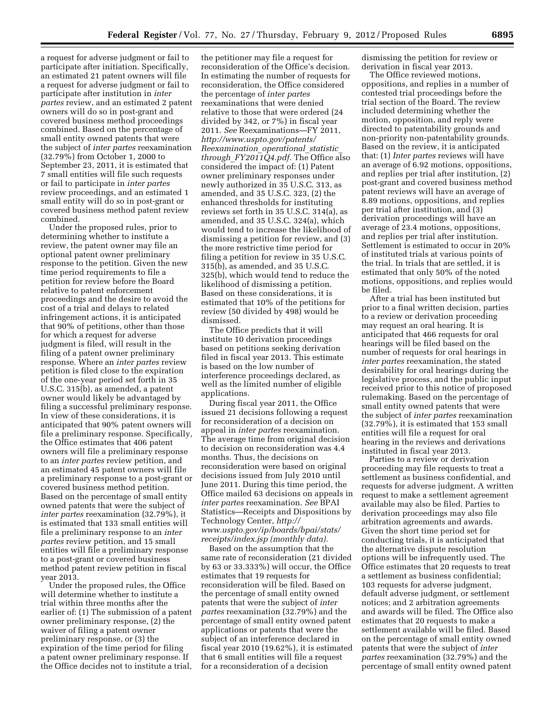a request for adverse judgment or fail to participate after initiation. Specifically, an estimated 21 patent owners will file a request for adverse judgment or fail to participate after institution in *inter partes* review, and an estimated 2 patent owners will do so in post-grant and covered business method proceedings combined. Based on the percentage of small entity owned patents that were the subject of *inter partes* reexamination (32.79%) from October 1, 2000 to September 23, 2011, it is estimated that 7 small entities will file such requests or fail to participate in *inter partes*  review proceedings, and an estimated 1 small entity will do so in post-grant or covered business method patent review combined.

Under the proposed rules, prior to determining whether to institute a review, the patent owner may file an optional patent owner preliminary response to the petition. Given the new time period requirements to file a petition for review before the Board relative to patent enforcement proceedings and the desire to avoid the cost of a trial and delays to related infringement actions, it is anticipated that 90% of petitions, other than those for which a request for adverse judgment is filed, will result in the filing of a patent owner preliminary response. Where an *inter partes* review petition is filed close to the expiration of the one-year period set forth in 35 U.S.C. 315(b), as amended, a patent owner would likely be advantaged by filing a successful preliminary response. In view of these considerations, it is anticipated that 90% patent owners will file a preliminary response. Specifically, the Office estimates that 406 patent owners will file a preliminary response to an *inter partes* review petition, and an estimated 45 patent owners will file a preliminary response to a post-grant or covered business method petition. Based on the percentage of small entity owned patents that were the subject of *inter partes* reexamination (32.79%), it is estimated that 133 small entities will file a preliminary response to an *inter partes* review petition, and 15 small entities will file a preliminary response to a post-grant or covered business method patent review petition in fiscal year 2013.

Under the proposed rules, the Office will determine whether to institute a trial within three months after the earlier of: (1) The submission of a patent owner preliminary response, (2) the waiver of filing a patent owner preliminary response, or (3) the expiration of the time period for filing a patent owner preliminary response. If the Office decides not to institute a trial,

the petitioner may file a request for reconsideration of the Office's decision. In estimating the number of requests for reconsideration, the Office considered the percentage of *inter partes*  reexaminations that were denied relative to those that were ordered (24 divided by 342, or 7%) in fiscal year 2011. *See* Reexaminations—FY 2011, *[http://www.uspto.gov/patents/](http://www.uspto.gov/patents/Reexamination_operational_statistic_through_FY2011Q4.pdf) [Reexamination](http://www.uspto.gov/patents/Reexamination_operational_statistic_through_FY2011Q4.pdf)*\_*operational*\_*statistic*\_ *through*\_*[FY2011Q4.pdf.](http://www.uspto.gov/patents/Reexamination_operational_statistic_through_FY2011Q4.pdf)* The Office also considered the impact of: (1) Patent owner preliminary responses under newly authorized in 35 U.S.C. 313, as amended, and 35 U.S.C. 323, (2) the enhanced thresholds for instituting reviews set forth in 35 U.S.C. 314(a), as amended, and 35 U.S.C. 324(a), which would tend to increase the likelihood of dismissing a petition for review, and (3) the more restrictive time period for filing a petition for review in 35 U.S.C. 315(b), as amended, and 35 U.S.C. 325(b), which would tend to reduce the likelihood of dismissing a petition. Based on these considerations, it is estimated that 10% of the petitions for review (50 divided by 498) would be dismissed.

The Office predicts that it will institute 10 derivation proceedings based on petitions seeking derivation filed in fiscal year 2013. This estimate is based on the low number of interference proceedings declared, as well as the limited number of eligible applications.

During fiscal year 2011, the Office issued 21 decisions following a request for reconsideration of a decision on appeal in *inter partes* reexamination. The average time from original decision to decision on reconsideration was 4.4 months. Thus, the decisions on reconsideration were based on original decisions issued from July 2010 until June 2011. During this time period, the Office mailed 63 decisions on appeals in *inter partes* reexamination. *See* BPAI Statistics—Receipts and Dispositions by Technology Center, *[http://](http://www.uspto.gov/ip/boards/bpai/stats/receipts/index.jsp) [www.uspto.gov/ip/boards/bpai/stats/](http://www.uspto.gov/ip/boards/bpai/stats/receipts/index.jsp) [receipts/index.jsp](http://www.uspto.gov/ip/boards/bpai/stats/receipts/index.jsp) (monthly data).* 

Based on the assumption that the same rate of reconsideration (21 divided by 63 or 33.333%) will occur, the Office estimates that 19 requests for reconsideration will be filed. Based on the percentage of small entity owned patents that were the subject of *inter partes* reexamination (32.79%) and the percentage of small entity owned patent applications or patents that were the subject of an interference declared in fiscal year 2010 (19.62%), it is estimated that 6 small entities will file a request for a reconsideration of a decision

dismissing the petition for review or derivation in fiscal year 2013.

The Office reviewed motions, oppositions, and replies in a number of contested trial proceedings before the trial section of the Board. The review included determining whether the motion, opposition, and reply were directed to patentability grounds and non-priority non-patentability grounds. Based on the review, it is anticipated that: (1) *Inter partes* reviews will have an average of 6.92 motions, oppositions, and replies per trial after institution, (2) post-grant and covered business method patent reviews will have an average of 8.89 motions, oppositions, and replies per trial after institution, and (3) derivation proceedings will have an average of 23.4 motions, oppositions, and replies per trial after institution. Settlement is estimated to occur in 20% of instituted trials at various points of the trial. In trials that are settled, it is estimated that only 50% of the noted motions, oppositions, and replies would be filed.

After a trial has been instituted but prior to a final written decision, parties to a review or derivation proceeding may request an oral hearing. It is anticipated that 466 requests for oral hearings will be filed based on the number of requests for oral hearings in *inter partes* reexamination, the stated desirability for oral hearings during the legislative process, and the public input received prior to this notice of proposed rulemaking. Based on the percentage of small entity owned patents that were the subject of *inter partes* reexamination (32.79%), it is estimated that 153 small entities will file a request for oral hearing in the reviews and derivations instituted in fiscal year 2013.

Parties to a review or derivation proceeding may file requests to treat a settlement as business confidential, and requests for adverse judgment. A written request to make a settlement agreement available may also be filed. Parties to derivation proceedings may also file arbitration agreements and awards. Given the short time period set for conducting trials, it is anticipated that the alternative dispute resolution options will be infrequently used. The Office estimates that 20 requests to treat a settlement as business confidential; 103 requests for adverse judgment, default adverse judgment, or settlement notices; and 2 arbitration agreements and awards will be filed. The Office also estimates that 20 requests to make a settlement available will be filed. Based on the percentage of small entity owned patents that were the subject of *inter partes* reexamination (32.79%) and the percentage of small entity owned patent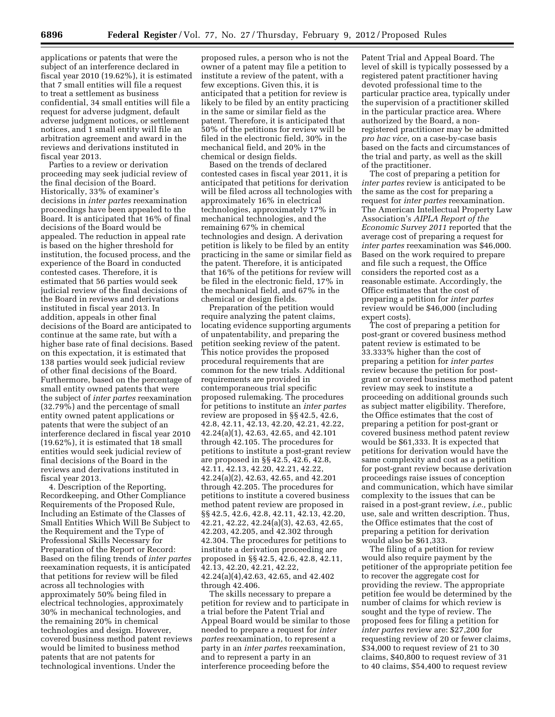applications or patents that were the subject of an interference declared in fiscal year 2010 (19.62%), it is estimated that 7 small entities will file a request to treat a settlement as business confidential, 34 small entities will file a request for adverse judgment, default adverse judgment notices, or settlement notices, and 1 small entity will file an arbitration agreement and award in the reviews and derivations instituted in fiscal year 2013.

Parties to a review or derivation proceeding may seek judicial review of the final decision of the Board. Historically, 33% of examiner's decisions in *inter partes* reexamination proceedings have been appealed to the Board. It is anticipated that 16% of final decisions of the Board would be appealed. The reduction in appeal rate is based on the higher threshold for institution, the focused process, and the experience of the Board in conducted contested cases. Therefore, it is estimated that 56 parties would seek judicial review of the final decisions of the Board in reviews and derivations instituted in fiscal year 2013. In addition, appeals in other final decisions of the Board are anticipated to continue at the same rate, but with a higher base rate of final decisions. Based on this expectation, it is estimated that 138 parties would seek judicial review of other final decisions of the Board. Furthermore, based on the percentage of small entity owned patents that were the subject of *inter partes* reexamination (32.79%) and the percentage of small entity owned patent applications or patents that were the subject of an interference declared in fiscal year 2010 (19.62%), it is estimated that 18 small entities would seek judicial review of final decisions of the Board in the reviews and derivations instituted in fiscal year 2013.

4. Description of the Reporting, Recordkeeping, and Other Compliance Requirements of the Proposed Rule, Including an Estimate of the Classes of Small Entities Which Will Be Subject to the Requirement and the Type of Professional Skills Necessary for Preparation of the Report or Record: Based on the filing trends of *inter partes*  reexamination requests, it is anticipated that petitions for review will be filed across all technologies with approximately 50% being filed in electrical technologies, approximately 30% in mechanical technologies, and the remaining 20% in chemical technologies and design. However, covered business method patent reviews would be limited to business method patents that are not patents for technological inventions. Under the

proposed rules, a person who is not the owner of a patent may file a petition to institute a review of the patent, with a few exceptions. Given this, it is anticipated that a petition for review is likely to be filed by an entity practicing in the same or similar field as the patent. Therefore, it is anticipated that 50% of the petitions for review will be filed in the electronic field, 30% in the mechanical field, and 20% in the chemical or design fields.

Based on the trends of declared contested cases in fiscal year 2011, it is anticipated that petitions for derivation will be filed across all technologies with approximately 16% in electrical technologies, approximately 17% in mechanical technologies, and the remaining 67% in chemical technologies and design. A derivation petition is likely to be filed by an entity practicing in the same or similar field as the patent. Therefore, it is anticipated that 16% of the petitions for review will be filed in the electronic field, 17% in the mechanical field, and 67% in the chemical or design fields.

Preparation of the petition would require analyzing the patent claims, locating evidence supporting arguments of unpatentability, and preparing the petition seeking review of the patent. This notice provides the proposed procedural requirements that are common for the new trials. Additional requirements are provided in contemporaneous trial specific proposed rulemaking. The procedures for petitions to institute an *inter partes*  review are proposed in §§ 42.5, 42.6, 42.8, 42.11, 42.13, 42.20, 42.21, 42.22, 42.24(a)(1), 42.63, 42.65, and 42.101 through 42.105. The procedures for petitions to institute a post-grant review are proposed in §§ 42.5, 42.6, 42.8, 42.11, 42.13, 42.20, 42.21, 42.22, 42.24(a)(2), 42.63, 42.65, and 42.201 through 42.205. The procedures for petitions to institute a covered business method patent review are proposed in §§ 42.5, 42.6, 42.8, 42.11, 42.13, 42.20, 42.21, 42.22, 42.24(a)(3), 42.63, 42.65, 42.203, 42.205, and 42.302 through 42.304. The procedures for petitions to institute a derivation proceeding are proposed in §§ 42.5, 42.6, 42.8, 42.11, 42.13, 42.20, 42.21, 42.22, 42.24(a)(4),42.63, 42.65, and 42.402 through 42.406.

The skills necessary to prepare a petition for review and to participate in a trial before the Patent Trial and Appeal Board would be similar to those needed to prepare a request for *inter partes* reexamination, to represent a party in an *inter partes* reexamination, and to represent a party in an interference proceeding before the

Patent Trial and Appeal Board. The level of skill is typically possessed by a registered patent practitioner having devoted professional time to the particular practice area, typically under the supervision of a practitioner skilled in the particular practice area. Where authorized by the Board, a nonregistered practitioner may be admitted *pro hac vice,* on a case-by-case basis based on the facts and circumstances of the trial and party, as well as the skill of the practitioner.

The cost of preparing a petition for *inter partes* review is anticipated to be the same as the cost for preparing a request for *inter partes* reexamination. The American Intellectual Property Law Association's *AIPLA Report of the Economic Survey 2011* reported that the average cost of preparing a request for *inter partes* reexamination was \$46,000. Based on the work required to prepare and file such a request, the Office considers the reported cost as a reasonable estimate. Accordingly, the Office estimates that the cost of preparing a petition for *inter partes*  review would be \$46,000 (including expert costs).

The cost of preparing a petition for post-grant or covered business method patent review is estimated to be 33.333% higher than the cost of preparing a petition for *inter partes*  review because the petition for postgrant or covered business method patent review may seek to institute a proceeding on additional grounds such as subject matter eligibility. Therefore, the Office estimates that the cost of preparing a petition for post-grant or covered business method patent review would be \$61,333. It is expected that petitions for derivation would have the same complexity and cost as a petition for post-grant review because derivation proceedings raise issues of conception and communication, which have similar complexity to the issues that can be raised in a post-grant review, *i.e.,* public use, sale and written description. Thus, the Office estimates that the cost of preparing a petition for derivation would also be \$61,333.

The filing of a petition for review would also require payment by the petitioner of the appropriate petition fee to recover the aggregate cost for providing the review. The appropriate petition fee would be determined by the number of claims for which review is sought and the type of review. The proposed fees for filing a petition for *inter partes* review are: \$27,200 for requesting review of 20 or fewer claims, \$34,000 to request review of 21 to 30 claims, \$40,800 to request review of 31 to 40 claims, \$54,400 to request review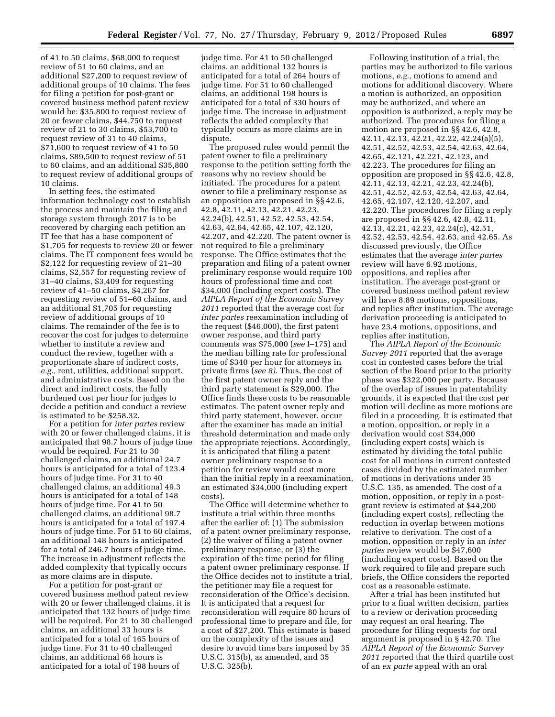of 41 to 50 claims, \$68,000 to request review of 51 to 60 claims, and an additional \$27,200 to request review of additional groups of 10 claims. The fees for filing a petition for post-grant or covered business method patent review would be: \$35,800 to request review of 20 or fewer claims, \$44,750 to request review of 21 to 30 claims, \$53,700 to request review of 31 to 40 claims, \$71,600 to request review of 41 to 50 claims, \$89,500 to request review of 51 to 60 claims, and an additional \$35,800 to request review of additional groups of 10 claims.

In setting fees, the estimated information technology cost to establish the process and maintain the filing and storage system through 2017 is to be recovered by charging each petition an IT fee that has a base component of \$1,705 for requests to review 20 or fewer claims. The IT component fees would be \$2,122 for requesting review of 21–30 claims, \$2,557 for requesting review of 31–40 claims, \$3,409 for requesting review of 41–50 claims, \$4,267 for requesting review of 51–60 claims, and an additional \$1,705 for requesting review of additional groups of 10 claims. The remainder of the fee is to recover the cost for judges to determine whether to institute a review and conduct the review, together with a proportionate share of indirect costs, *e.g.,* rent, utilities, additional support, and administrative costs. Based on the direct and indirect costs, the fully burdened cost per hour for judges to decide a petition and conduct a review is estimated to be \$258.32.

For a petition for *inter partes* review with 20 or fewer challenged claims, it is anticipated that 98.7 hours of judge time would be required. For 21 to 30 challenged claims, an additional 24.7 hours is anticipated for a total of 123.4 hours of judge time. For 31 to 40 challenged claims, an additional 49.3 hours is anticipated for a total of 148 hours of judge time. For 41 to 50 challenged claims, an additional 98.7 hours is anticipated for a total of 197.4 hours of judge time. For 51 to 60 claims, an additional 148 hours is anticipated for a total of 246.7 hours of judge time. The increase in adjustment reflects the added complexity that typically occurs as more claims are in dispute.

For a petition for post-grant or covered business method patent review with 20 or fewer challenged claims, it is anticipated that 132 hours of judge time will be required. For 21 to 30 challenged claims, an additional 33 hours is anticipated for a total of 165 hours of judge time. For 31 to 40 challenged claims, an additional 66 hours is anticipated for a total of 198 hours of

judge time. For 41 to 50 challenged claims, an additional 132 hours is anticipated for a total of 264 hours of judge time. For 51 to 60 challenged claims, an additional 198 hours is anticipated for a total of 330 hours of judge time. The increase in adjustment reflects the added complexity that typically occurs as more claims are in dispute.

The proposed rules would permit the patent owner to file a preliminary response to the petition setting forth the reasons why no review should be initiated. The procedures for a patent owner to file a preliminary response as an opposition are proposed in §§ 42.6, 42.8, 42.11, 42.13, 42.21, 42.23, 42.24(b), 42.51, 42.52, 42.53, 42.54, 42.63, 42.64, 42.65, 42.107, 42.120, 42.207, and 42.220. The patent owner is not required to file a preliminary response. The Office estimates that the preparation and filing of a patent owner preliminary response would require 100 hours of professional time and cost \$34,000 (including expert costs). The *AIPLA Report of the Economic Survey 2011* reported that the average cost for *inter partes* reexamination including of the request (\$46,000), the first patent owner response, and third party comments was \$75,000 (*see* I–175) and the median billing rate for professional time of \$340 per hour for attorneys in private firms (*see 8).* Thus, the cost of the first patent owner reply and the third party statement is \$29,000. The Office finds these costs to be reasonable estimates. The patent owner reply and third party statement, however, occur after the examiner has made an initial threshold determination and made only the appropriate rejections. Accordingly, it is anticipated that filing a patent owner preliminary response to a petition for review would cost more than the initial reply in a reexamination, an estimated \$34,000 (including expert costs).

The Office will determine whether to institute a trial within three months after the earlier of: (1) The submission of a patent owner preliminary response, (2) the waiver of filing a patent owner preliminary response, or (3) the expiration of the time period for filing a patent owner preliminary response. If the Office decides not to institute a trial, the petitioner may file a request for reconsideration of the Office's decision. It is anticipated that a request for reconsideration will require 80 hours of professional time to prepare and file, for a cost of \$27,200. This estimate is based on the complexity of the issues and desire to avoid time bars imposed by 35 U.S.C. 315(b), as amended, and 35 U.S.C. 325(b).

Following institution of a trial, the parties may be authorized to file various motions, *e.g.,* motions to amend and motions for additional discovery. Where a motion is authorized, an opposition may be authorized, and where an opposition is authorized, a reply may be authorized. The procedures for filing a motion are proposed in §§ 42.6, 42.8, 42.11, 42.13, 42.21, 42.22, 42.24(a)(5), 42.51, 42.52, 42.53, 42.54, 42.63, 42.64, 42.65, 42.121, 42.221, 42.123, and 42.223. The procedures for filing an opposition are proposed in §§ 42.6, 42.8, 42.11, 42.13, 42.21, 42.23, 42.24(b), 42.51, 42.52, 42.53, 42.54, 42.63, 42.64, 42.65, 42.107, 42.120, 42.207, and 42.220. The procedures for filing a reply are proposed in §§ 42.6, 42.8, 42.11, 42.13, 42.21, 42.23, 42.24(c), 42.51, 42.52, 42.53, 42.54, 42.63, and 42.65. As discussed previously, the Office estimates that the average *inter partes*  review will have 6.92 motions, oppositions, and replies after institution. The average post-grant or covered business method patent review will have 8.89 motions, oppositions, and replies after institution. The average derivation proceeding is anticipated to have 23.4 motions, oppositions, and replies after institution.

The *AIPLA Report of the Economic Survey 2011* reported that the average cost in contested cases before the trial section of the Board prior to the priority phase was \$322,000 per party. Because of the overlap of issues in patentability grounds, it is expected that the cost per motion will decline as more motions are filed in a proceeding. It is estimated that a motion, opposition, or reply in a derivation would cost \$34,000 (including expert costs) which is estimated by dividing the total public cost for all motions in current contested cases divided by the estimated number of motions in derivations under 35 U.S.C. 135, as amended. The cost of a motion, opposition, or reply in a postgrant review is estimated at \$44,200 (including expert costs), reflecting the reduction in overlap between motions relative to derivation. The cost of a motion, opposition or reply in an *inter partes* review would be \$47,600 (including expert costs). Based on the work required to file and prepare such briefs, the Office considers the reported cost as a reasonable estimate.

After a trial has been instituted but prior to a final written decision, parties to a review or derivation proceeding may request an oral hearing. The procedure for filing requests for oral argument is proposed in § 42.70. The *AIPLA Report of the Economic Survey 2011* reported that the third quartile cost of an *ex parte* appeal with an oral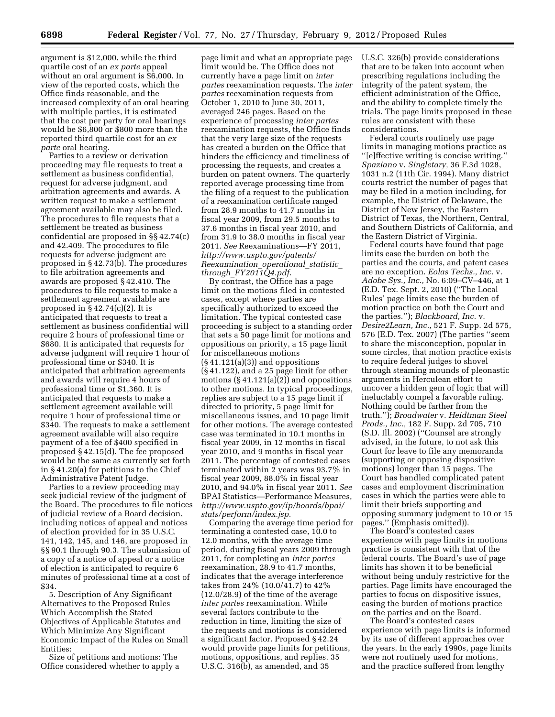argument is \$12,000, while the third quartile cost of an *ex parte* appeal without an oral argument is \$6,000. In view of the reported costs, which the Office finds reasonable, and the increased complexity of an oral hearing with multiple parties, it is estimated that the cost per party for oral hearings would be \$6,800 or \$800 more than the reported third quartile cost for an *ex parte* oral hearing.

Parties to a review or derivation proceeding may file requests to treat a settlement as business confidential, request for adverse judgment, and arbitration agreements and awards. A written request to make a settlement agreement available may also be filed. The procedures to file requests that a settlement be treated as business confidential are proposed in §§ 42.74(c) and 42.409. The procedures to file requests for adverse judgment are proposed in § 42.73(b). The procedures to file arbitration agreements and awards are proposed § 42.410. The procedures to file requests to make a settlement agreement available are proposed in  $\S 42.74(c)(2)$ . It is anticipated that requests to treat a settlement as business confidential will require 2 hours of professional time or \$680. It is anticipated that requests for adverse judgment will require 1 hour of professional time or \$340. It is anticipated that arbitration agreements and awards will require 4 hours of professional time or \$1,360. It is anticipated that requests to make a settlement agreement available will require 1 hour of professional time or \$340. The requests to make a settlement agreement available will also require payment of a fee of \$400 specified in proposed § 42.15(d). The fee proposed would be the same as currently set forth in § 41.20(a) for petitions to the Chief Administrative Patent Judge.

Parties to a review proceeding may seek judicial review of the judgment of the Board. The procedures to file notices of judicial review of a Board decision, including notices of appeal and notices of election provided for in 35 U.S.C. 141, 142, 145, and 146, are proposed in §§ 90.1 through 90.3. The submission of a copy of a notice of appeal or a notice of election is anticipated to require 6 minutes of professional time at a cost of \$34.

5. Description of Any Significant Alternatives to the Proposed Rules Which Accomplish the Stated Objectives of Applicable Statutes and Which Minimize Any Significant Economic Impact of the Rules on Small Entities:

Size of petitions and motions: The Office considered whether to apply a

page limit and what an appropriate page limit would be. The Office does not currently have a page limit on *inter partes* reexamination requests. The *inter partes* reexamination requests from October 1, 2010 to June 30, 2011, averaged 246 pages. Based on the experience of processing *inter partes*  reexamination requests, the Office finds that the very large size of the requests has created a burden on the Office that hinders the efficiency and timeliness of processing the requests, and creates a burden on patent owners. The quarterly reported average processing time from the filing of a request to the publication of a reexamination certificate ranged from 28.9 months to 41.7 months in fiscal year 2009, from 29.5 months to 37.6 months in fiscal year 2010, and from 31.9 to 38.0 months in fiscal year 2011. *See* Reexaminations—FY 2011, *[http://www.uspto.gov/patents/](http://www.uspto.gov/patents/Reexamination_operational_statistic_through_FY2011Q4.pdf) [Reexamination](http://www.uspto.gov/patents/Reexamination_operational_statistic_through_FY2011Q4.pdf)*\_*operational*\_*statistic*\_ *through*\_*[FY2011Q4.pdf](http://www.uspto.gov/patents/Reexamination_operational_statistic_through_FY2011Q4.pdf)*.

By contrast, the Office has a page limit on the motions filed in contested cases, except where parties are specifically authorized to exceed the limitation. The typical contested case proceeding is subject to a standing order that sets a 50 page limit for motions and oppositions on priority, a 15 page limit for miscellaneous motions  $(\S 41.121(a)(3))$  and oppositions (§ 41.122), and a 25 page limit for other motions  $(\S 41.121(a)(2))$  and oppositions to other motions. In typical proceedings, replies are subject to a 15 page limit if directed to priority, 5 page limit for miscellaneous issues, and 10 page limit for other motions. The average contested case was terminated in 10.1 months in fiscal year 2009, in 12 months in fiscal year 2010, and 9 months in fiscal year 2011. The percentage of contested cases terminated within 2 years was 93.7% in fiscal year 2009, 88.0% in fiscal year 2010, and 94.0% in fiscal year 2011. *See*  BPAI Statistics—Performance Measures, *[http://www.uspto.gov/ip/boards/bpai/](http://www.uspto.gov/ip/boards/bpai/stats/perform/index.jsp) [stats/perform/index.jsp](http://www.uspto.gov/ip/boards/bpai/stats/perform/index.jsp)*.

Comparing the average time period for terminating a contested case, 10.0 to 12.0 months, with the average time period, during fiscal years 2009 through 2011, for completing an *inter partes*  reexamination, 28.9 to 41.7 months, indicates that the average interference takes from 24% (10.0/41.7) to 42% (12.0/28.9) of the time of the average *inter partes* reexamination. While several factors contribute to the reduction in time, limiting the size of the requests and motions is considered a significant factor. Proposed § 42.24 would provide page limits for petitions, motions, oppositions, and replies. 35 U.S.C. 316(b), as amended, and 35

U.S.C. 326(b) provide considerations that are to be taken into account when prescribing regulations including the integrity of the patent system, the efficient administration of the Office, and the ability to complete timely the trials. The page limits proposed in these rules are consistent with these considerations.

Federal courts routinely use page limits in managing motions practice as ''[e]ffective writing is concise writing.'' *Spaziano* v. *Singletary,* 36 F.3d 1028, 1031 n.2 (11th Cir. 1994). Many district courts restrict the number of pages that may be filed in a motion including, for example, the District of Delaware, the District of New Jersey, the Eastern District of Texas, the Northern, Central, and Southern Districts of California, and the Eastern District of Virginia.

Federal courts have found that page limits ease the burden on both the parties and the courts, and patent cases are no exception. *Eolas Techs., Inc.* v. *Adobe Sys., Inc.,* No. 6:09–CV–446, at 1 (E.D. Tex. Sept. 2, 2010) (''The Local Rules' page limits ease the burden of motion practice on both the Court and the parties.''); *Blackboard, Inc.* v. *Desire2Learn, Inc.,* 521 F. Supp. 2d 575, 576 (E.D. Tex. 2007) (The parties ''seem to share the misconception, popular in some circles, that motion practice exists to require federal judges to shovel through steaming mounds of pleonastic arguments in Herculean effort to uncover a hidden gem of logic that will ineluctably compel a favorable ruling. Nothing could be farther from the truth.''); *Broadwater* v. *Heidtman Steel Prods., Inc.,* 182 F. Supp. 2d 705, 710 (S.D. Ill. 2002) (''Counsel are strongly advised, in the future, to not ask this Court for leave to file any memoranda (supporting or opposing dispositive motions) longer than 15 pages. The Court has handled complicated patent cases and employment discrimination cases in which the parties were able to limit their briefs supporting and opposing summary judgment to 10 or 15 pages.'' (Emphasis omitted)).

The Board's contested cases experience with page limits in motions practice is consistent with that of the federal courts. The Board's use of page limits has shown it to be beneficial without being unduly restrictive for the parties. Page limits have encouraged the parties to focus on dispositive issues, easing the burden of motions practice on the parties and on the Board.

The Board's contested cases experience with page limits is informed by its use of different approaches over the years. In the early 1990s, page limits were not routinely used for motions, and the practice suffered from lengthy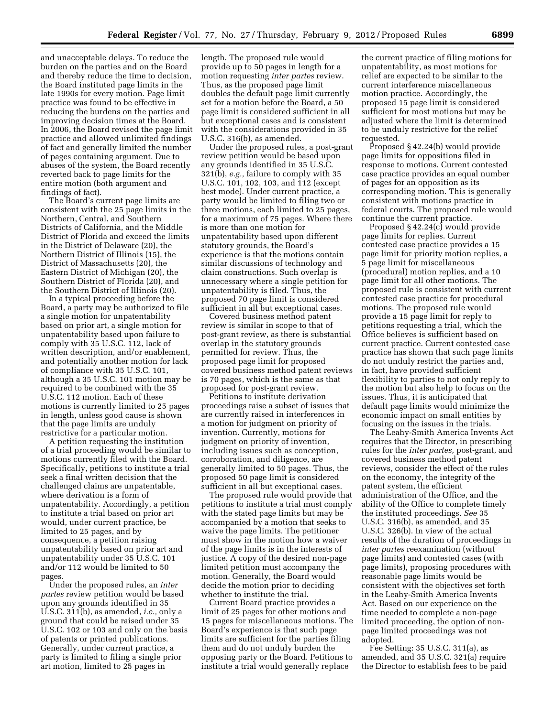and unacceptable delays. To reduce the burden on the parties and on the Board and thereby reduce the time to decision, the Board instituted page limits in the late 1990s for every motion. Page limit practice was found to be effective in reducing the burdens on the parties and improving decision times at the Board. In 2006, the Board revised the page limit practice and allowed unlimited findings of fact and generally limited the number of pages containing argument. Due to abuses of the system, the Board recently reverted back to page limits for the entire motion (both argument and findings of fact).

The Board's current page limits are consistent with the 25 page limits in the Northern, Central, and Southern Districts of California, and the Middle District of Florida and exceed the limits in the District of Delaware (20), the Northern District of Illinois (15), the District of Massachusetts (20), the Eastern District of Michigan (20), the Southern District of Florida (20), and the Southern District of Illinois (20).

In a typical proceeding before the Board, a party may be authorized to file a single motion for unpatentability based on prior art, a single motion for unpatentability based upon failure to comply with 35 U.S.C. 112, lack of written description, and/or enablement, and potentially another motion for lack of compliance with 35 U.S.C. 101, although a 35 U.S.C. 101 motion may be required to be combined with the 35 U.S.C. 112 motion. Each of these motions is currently limited to 25 pages in length, unless good cause is shown that the page limits are unduly restrictive for a particular motion.

A petition requesting the institution of a trial proceeding would be similar to motions currently filed with the Board. Specifically, petitions to institute a trial seek a final written decision that the challenged claims are unpatentable, where derivation is a form of unpatentability. Accordingly, a petition to institute a trial based on prior art would, under current practice, be limited to 25 pages, and by consequence, a petition raising unpatentability based on prior art and unpatentability under 35 U.S.C. 101 and/or 112 would be limited to 50 pages.

Under the proposed rules, an *inter partes* review petition would be based upon any grounds identified in 35 U.S.C. 311(b), as amended, *i.e.,* only a ground that could be raised under 35 U.S.C. 102 or 103 and only on the basis of patents or printed publications. Generally, under current practice, a party is limited to filing a single prior art motion, limited to 25 pages in

length. The proposed rule would provide up to 50 pages in length for a motion requesting *inter partes* review. Thus, as the proposed page limit doubles the default page limit currently set for a motion before the Board, a 50 page limit is considered sufficient in all but exceptional cases and is consistent with the considerations provided in 35 U.S.C. 316(b), as amended.

Under the proposed rules, a post-grant review petition would be based upon any grounds identified in 35 U.S.C. 321(b), *e.g.,* failure to comply with 35 U.S.C. 101, 102, 103, and 112 (except best mode). Under current practice, a party would be limited to filing two or three motions, each limited to 25 pages, for a maximum of 75 pages. Where there is more than one motion for unpatentability based upon different statutory grounds, the Board's experience is that the motions contain similar discussions of technology and claim constructions. Such overlap is unnecessary where a single petition for unpatentability is filed. Thus, the proposed 70 page limit is considered sufficient in all but exceptional cases.

Covered business method patent review is similar in scope to that of post-grant review, as there is substantial overlap in the statutory grounds permitted for review. Thus, the proposed page limit for proposed covered business method patent reviews is 70 pages, which is the same as that proposed for post-grant review.

Petitions to institute derivation proceedings raise a subset of issues that are currently raised in interferences in a motion for judgment on priority of invention. Currently, motions for judgment on priority of invention, including issues such as conception, corroboration, and diligence, are generally limited to 50 pages. Thus, the proposed 50 page limit is considered sufficient in all but exceptional cases.

The proposed rule would provide that petitions to institute a trial must comply with the stated page limits but may be accompanied by a motion that seeks to waive the page limits. The petitioner must show in the motion how a waiver of the page limits is in the interests of justice. A copy of the desired non-page limited petition must accompany the motion. Generally, the Board would decide the motion prior to deciding whether to institute the trial.

Current Board practice provides a limit of 25 pages for other motions and 15 pages for miscellaneous motions. The Board's experience is that such page limits are sufficient for the parties filing them and do not unduly burden the opposing party or the Board. Petitions to institute a trial would generally replace

the current practice of filing motions for unpatentability, as most motions for relief are expected to be similar to the current interference miscellaneous motion practice. Accordingly, the proposed 15 page limit is considered sufficient for most motions but may be adjusted where the limit is determined to be unduly restrictive for the relief requested.

Proposed § 42.24(b) would provide page limits for oppositions filed in response to motions. Current contested case practice provides an equal number of pages for an opposition as its corresponding motion. This is generally consistent with motions practice in federal courts. The proposed rule would continue the current practice.

Proposed § 42.24(c) would provide page limits for replies. Current contested case practice provides a 15 page limit for priority motion replies, a 5 page limit for miscellaneous (procedural) motion replies, and a 10 page limit for all other motions. The proposed rule is consistent with current contested case practice for procedural motions. The proposed rule would provide a 15 page limit for reply to petitions requesting a trial, which the Office believes is sufficient based on current practice. Current contested case practice has shown that such page limits do not unduly restrict the parties and, in fact, have provided sufficient flexibility to parties to not only reply to the motion but also help to focus on the issues. Thus, it is anticipated that default page limits would minimize the economic impact on small entities by focusing on the issues in the trials.

The Leahy-Smith America Invents Act requires that the Director, in prescribing rules for the *inter partes,* post-grant, and covered business method patent reviews, consider the effect of the rules on the economy, the integrity of the patent system, the efficient administration of the Office, and the ability of the Office to complete timely the instituted proceedings. *See* 35 U.S.C. 316(b), as amended, and 35 U.S.C. 326(b). In view of the actual results of the duration of proceedings in *inter partes* reexamination (without page limits) and contested cases (with page limits), proposing procedures with reasonable page limits would be consistent with the objectives set forth in the Leahy-Smith America Invents Act. Based on our experience on the time needed to complete a non-page limited proceeding, the option of nonpage limited proceedings was not adopted.

Fee Setting: 35 U.S.C. 311(a), as amended, and 35 U.S.C. 321(a) require the Director to establish fees to be paid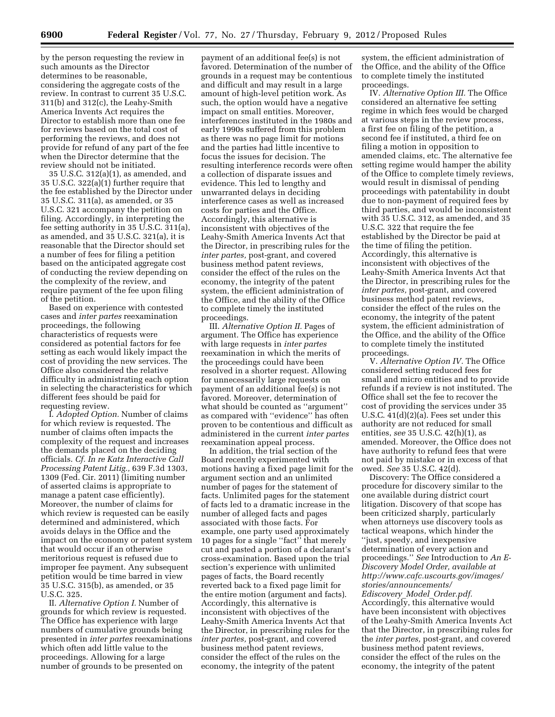by the person requesting the review in such amounts as the Director determines to be reasonable, considering the aggregate costs of the review. In contrast to current 35 U.S.C. 311(b) and 312(c), the Leahy-Smith America Invents Act requires the Director to establish more than one fee for reviews based on the total cost of performing the reviews, and does not provide for refund of any part of the fee when the Director determine that the review should not be initiated.

35 U.S.C. 312(a)(1), as amended, and 35 U.S.C. 322(a)(1) further require that the fee established by the Director under 35 U.S.C. 311(a), as amended, or 35 U.S.C. 321 accompany the petition on filing. Accordingly, in interpreting the fee setting authority in 35 U.S.C. 311(a), as amended, and 35 U.S.C. 321(a), it is reasonable that the Director should set a number of fees for filing a petition based on the anticipated aggregate cost of conducting the review depending on the complexity of the review, and require payment of the fee upon filing of the petition.

Based on experience with contested cases and *inter partes* reexamination proceedings, the following characteristics of requests were considered as potential factors for fee setting as each would likely impact the cost of providing the new services. The Office also considered the relative difficulty in administrating each option in selecting the characteristics for which different fees should be paid for requesting review.

I. *Adopted Option.* Number of claims for which review is requested. The number of claims often impacts the complexity of the request and increases the demands placed on the deciding officials. *Cf. In re Katz Interactive Call Processing Patent Litig.,* 639 F.3d 1303, 1309 (Fed. Cir. 2011) (limiting number of asserted claims is appropriate to manage a patent case efficiently). Moreover, the number of claims for which review is requested can be easily determined and administered, which avoids delays in the Office and the impact on the economy or patent system that would occur if an otherwise meritorious request is refused due to improper fee payment. Any subsequent petition would be time barred in view 35 U.S.C. 315(b), as amended, or 35 U.S.C. 325.

II. *Alternative Option I.* Number of grounds for which review is requested. The Office has experience with large numbers of cumulative grounds being presented in *inter partes* reexaminations which often add little value to the proceedings. Allowing for a large number of grounds to be presented on

payment of an additional fee(s) is not favored. Determination of the number of grounds in a request may be contentious and difficult and may result in a large amount of high-level petition work. As such, the option would have a negative impact on small entities. Moreover, interferences instituted in the 1980s and early 1990s suffered from this problem as there was no page limit for motions and the parties had little incentive to focus the issues for decision. The resulting interference records were often a collection of disparate issues and evidence. This led to lengthy and unwarranted delays in deciding interference cases as well as increased costs for parties and the Office. Accordingly, this alternative is inconsistent with objectives of the Leahy-Smith America Invents Act that the Director, in prescribing rules for the *inter partes,* post-grant, and covered business method patent reviews, consider the effect of the rules on the economy, the integrity of the patent system, the efficient administration of the Office, and the ability of the Office to complete timely the instituted proceedings.

III. *Alternative Option II.* Pages of argument. The Office has experience with large requests in *inter partes*  reexamination in which the merits of the proceedings could have been resolved in a shorter request. Allowing for unnecessarily large requests on payment of an additional fee(s) is not favored. Moreover, determination of what should be counted as ''argument'' as compared with ''evidence'' has often proven to be contentious and difficult as administered in the current *inter partes*  reexamination appeal process.

In addition, the trial section of the Board recently experimented with motions having a fixed page limit for the argument section and an unlimited number of pages for the statement of facts. Unlimited pages for the statement of facts led to a dramatic increase in the number of alleged facts and pages associated with those facts. For example, one party used approximately 10 pages for a single ''fact'' that merely cut and pasted a portion of a declarant's cross-examination. Based upon the trial section's experience with unlimited pages of facts, the Board recently reverted back to a fixed page limit for the entire motion (argument and facts). Accordingly, this alternative is inconsistent with objectives of the Leahy-Smith America Invents Act that the Director, in prescribing rules for the *inter partes,* post-grant, and covered business method patent reviews, consider the effect of the rules on the economy, the integrity of the patent

system, the efficient administration of the Office, and the ability of the Office to complete timely the instituted proceedings.

IV. *Alternative Option III.* The Office considered an alternative fee setting regime in which fees would be charged at various steps in the review process, a first fee on filing of the petition, a second fee if instituted, a third fee on filing a motion in opposition to amended claims, etc. The alternative fee setting regime would hamper the ability of the Office to complete timely reviews, would result in dismissal of pending proceedings with patentability in doubt due to non-payment of required fees by third parties, and would be inconsistent with 35 U.S.C. 312, as amended, and 35 U.S.C. 322 that require the fee established by the Director be paid at the time of filing the petition. Accordingly, this alternative is inconsistent with objectives of the Leahy-Smith America Invents Act that the Director, in prescribing rules for the *inter partes,* post-grant, and covered business method patent reviews, consider the effect of the rules on the economy, the integrity of the patent system, the efficient administration of the Office, and the ability of the Office to complete timely the instituted proceedings.

V. *Alternative Option IV.* The Office considered setting reduced fees for small and micro entities and to provide refunds if a review is not instituted. The Office shall set the fee to recover the cost of providing the services under 35 U.S.C. 41(d)(2)(a). Fees set under this authority are not reduced for small entities, *see* 35 U.S.C. 42(h)(1), as amended. Moreover, the Office does not have authority to refund fees that were not paid by mistake or in excess of that owed. *See* 35 U.S.C. 42(d).

Discovery: The Office considered a procedure for discovery similar to the one available during district court litigation. Discovery of that scope has been criticized sharply, particularly when attorneys use discovery tools as tactical weapons, which hinder the ''just, speedy, and inexpensive determination of every action and proceedings.'' *See* Introduction to *An E-Discovery Model Order, available at [http://www.cafc.uscourts.gov/images/](http://www.cafc.uscourts.gov/images/stories/announcements/Ediscovery_Model_Order.pdf)  [stories/announcements/](http://www.cafc.uscourts.gov/images/stories/announcements/Ediscovery_Model_Order.pdf)  [Ediscovery](http://www.cafc.uscourts.gov/images/stories/announcements/Ediscovery_Model_Order.pdf)*\_*Model*\_*Order.pdf.* 

Accordingly, this alternative would have been inconsistent with objectives of the Leahy-Smith America Invents Act that the Director, in prescribing rules for the *inter partes,* post-grant, and covered business method patent reviews, consider the effect of the rules on the economy, the integrity of the patent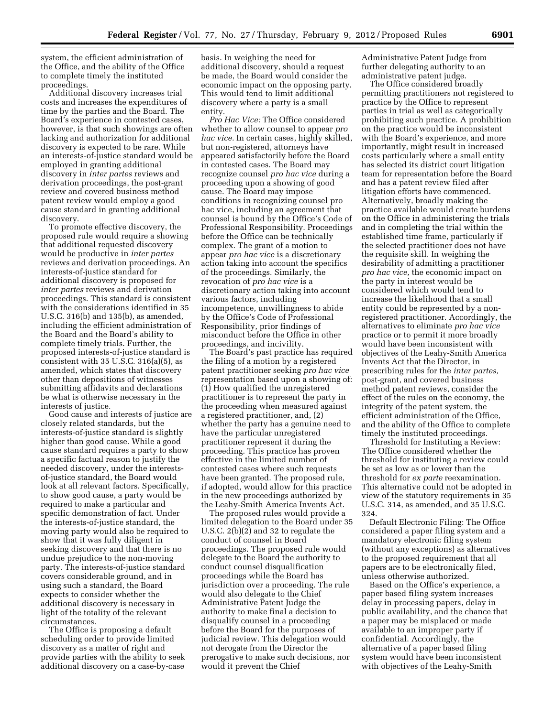system, the efficient administration of the Office, and the ability of the Office to complete timely the instituted proceedings.

Additional discovery increases trial costs and increases the expenditures of time by the parties and the Board. The Board's experience in contested cases, however, is that such showings are often lacking and authorization for additional discovery is expected to be rare. While an interests-of-justice standard would be employed in granting additional discovery in *inter partes* reviews and derivation proceedings, the post-grant review and covered business method patent review would employ a good cause standard in granting additional discovery.

To promote effective discovery, the proposed rule would require a showing that additional requested discovery would be productive in *inter partes*  reviews and derivation proceedings. An interests-of-justice standard for additional discovery is proposed for *inter partes* reviews and derivation proceedings. This standard is consistent with the considerations identified in 35 U.S.C. 316(b) and 135(b), as amended, including the efficient administration of the Board and the Board's ability to complete timely trials. Further, the proposed interests-of-justice standard is consistent with 35 U.S.C. 316(a)(5), as amended, which states that discovery other than depositions of witnesses submitting affidavits and declarations be what is otherwise necessary in the interests of justice.

Good cause and interests of justice are closely related standards, but the interests-of-justice standard is slightly higher than good cause. While a good cause standard requires a party to show a specific factual reason to justify the needed discovery, under the interestsof-justice standard, the Board would look at all relevant factors. Specifically, to show good cause, a party would be required to make a particular and specific demonstration of fact. Under the interests-of-justice standard, the moving party would also be required to show that it was fully diligent in seeking discovery and that there is no undue prejudice to the non-moving party. The interests-of-justice standard covers considerable ground, and in using such a standard, the Board expects to consider whether the additional discovery is necessary in light of the totality of the relevant circumstances.

The Office is proposing a default scheduling order to provide limited discovery as a matter of right and provide parties with the ability to seek additional discovery on a case-by-case basis. In weighing the need for additional discovery, should a request be made, the Board would consider the economic impact on the opposing party. This would tend to limit additional discovery where a party is a small entity.

*Pro Hac Vice:* The Office considered whether to allow counsel to appear *pro hac vice.* In certain cases, highly skilled, but non-registered, attorneys have appeared satisfactorily before the Board in contested cases. The Board may recognize counsel *pro hac vice* during a proceeding upon a showing of good cause. The Board may impose conditions in recognizing counsel pro hac vice, including an agreement that counsel is bound by the Office's Code of Professional Responsibility. Proceedings before the Office can be technically complex. The grant of a motion to appear *pro hac vice* is a discretionary action taking into account the specifics of the proceedings. Similarly, the revocation of *pro hac vice* is a discretionary action taking into account various factors, including incompetence, unwillingness to abide by the Office's Code of Professional Responsibility, prior findings of misconduct before the Office in other proceedings, and incivility.

The Board's past practice has required the filing of a motion by a registered patent practitioner seeking *pro hac vice*  representation based upon a showing of: (1) How qualified the unregistered practitioner is to represent the party in the proceeding when measured against a registered practitioner, and, (2) whether the party has a genuine need to have the particular unregistered practitioner represent it during the proceeding. This practice has proven effective in the limited number of contested cases where such requests have been granted. The proposed rule, if adopted, would allow for this practice in the new proceedings authorized by the Leahy-Smith America Invents Act.

The proposed rules would provide a limited delegation to the Board under 35 U.S.C. 2(b)(2) and 32 to regulate the conduct of counsel in Board proceedings. The proposed rule would delegate to the Board the authority to conduct counsel disqualification proceedings while the Board has jurisdiction over a proceeding. The rule would also delegate to the Chief Administrative Patent Judge the authority to make final a decision to disqualify counsel in a proceeding before the Board for the purposes of judicial review. This delegation would not derogate from the Director the prerogative to make such decisions, nor would it prevent the Chief

Administrative Patent Judge from further delegating authority to an administrative patent judge.

The Office considered broadly permitting practitioners not registered to practice by the Office to represent parties in trial as well as categorically prohibiting such practice. A prohibition on the practice would be inconsistent with the Board's experience, and more importantly, might result in increased costs particularly where a small entity has selected its district court litigation team for representation before the Board and has a patent review filed after litigation efforts have commenced. Alternatively, broadly making the practice available would create burdens on the Office in administering the trials and in completing the trial within the established time frame, particularly if the selected practitioner does not have the requisite skill. In weighing the desirability of admitting a practitioner *pro hac vice,* the economic impact on the party in interest would be considered which would tend to increase the likelihood that a small entity could be represented by a nonregistered practitioner. Accordingly, the alternatives to eliminate *pro hac vice*  practice or to permit it more broadly would have been inconsistent with objectives of the Leahy-Smith America Invents Act that the Director, in prescribing rules for the *inter partes,*  post-grant, and covered business method patent reviews, consider the effect of the rules on the economy, the integrity of the patent system, the efficient administration of the Office, and the ability of the Office to complete timely the instituted proceedings.

Threshold for Instituting a Review: The Office considered whether the threshold for instituting a review could be set as low as or lower than the threshold for *ex parte* reexamination. This alternative could not be adopted in view of the statutory requirements in 35 U.S.C. 314, as amended, and 35 U.S.C. 324.

Default Electronic Filing: The Office considered a paper filing system and a mandatory electronic filing system (without any exceptions) as alternatives to the proposed requirement that all papers are to be electronically filed, unless otherwise authorized.

Based on the Office's experience, a paper based filing system increases delay in processing papers, delay in public availability, and the chance that a paper may be misplaced or made available to an improper party if confidential. Accordingly, the alternative of a paper based filing system would have been inconsistent with objectives of the Leahy-Smith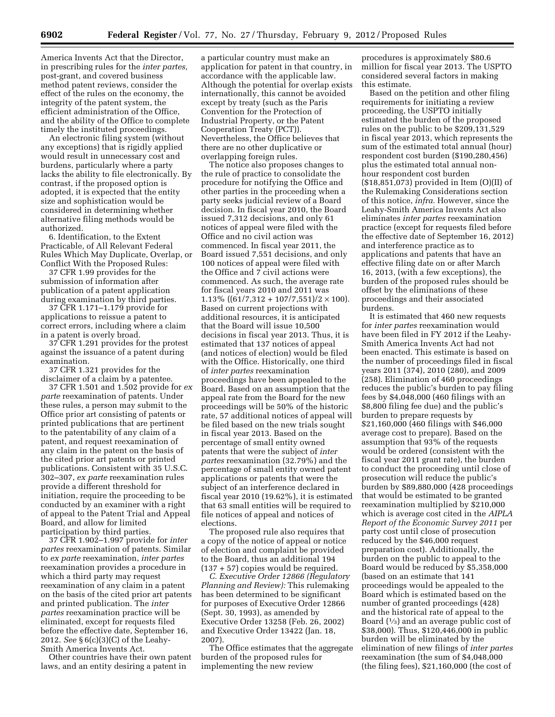America Invents Act that the Director, in prescribing rules for the *inter partes,*  post-grant, and covered business method patent reviews, consider the effect of the rules on the economy, the integrity of the patent system, the efficient administration of the Office, and the ability of the Office to complete timely the instituted proceedings.

An electronic filing system (without any exceptions) that is rigidly applied would result in unnecessary cost and burdens, particularly where a party lacks the ability to file electronically. By contrast, if the proposed option is adopted, it is expected that the entity size and sophistication would be considered in determining whether alternative filing methods would be authorized.

6. Identification, to the Extent Practicable, of All Relevant Federal Rules Which May Duplicate, Overlap, or Conflict With the Proposed Rules:

37 CFR 1.99 provides for the submission of information after publication of a patent application during examination by third parties.

37 CFR 1.171–1.179 provide for applications to reissue a patent to correct errors, including where a claim in a patent is overly broad.

37 CFR 1.291 provides for the protest against the issuance of a patent during examination.

37 CFR 1.321 provides for the disclaimer of a claim by a patentee.

37 CFR 1.501 and 1.502 provide for *ex parte* reexamination of patents. Under these rules, a person may submit to the Office prior art consisting of patents or printed publications that are pertinent to the patentability of any claim of a patent, and request reexamination of any claim in the patent on the basis of the cited prior art patents or printed publications. Consistent with 35 U.S.C. 302–307, *ex parte* reexamination rules provide a different threshold for initiation, require the proceeding to be conducted by an examiner with a right of appeal to the Patent Trial and Appeal Board, and allow for limited participation by third parties.

37 CFR 1.902–1.997 provide for *inter partes* reexamination of patents. Similar to *ex parte* reexamination, *inter partes*  reexamination provides a procedure in which a third party may request reexamination of any claim in a patent on the basis of the cited prior art patents and printed publication. The *inter partes* reexamination practice will be eliminated, except for requests filed before the effective date, September 16, 2012. *See* § 6(c)(3)(C) of the Leahy-Smith America Invents Act.

Other countries have their own patent laws, and an entity desiring a patent in

a particular country must make an application for patent in that country, in accordance with the applicable law. Although the potential for overlap exists internationally, this cannot be avoided except by treaty (such as the Paris Convention for the Protection of Industrial Property, or the Patent Cooperation Treaty (PCT)). Nevertheless, the Office believes that there are no other duplicative or overlapping foreign rules.

The notice also proposes changes to the rule of practice to consolidate the procedure for notifying the Office and other parties in the proceeding when a party seeks judicial review of a Board decision. In fiscal year 2010, the Board issued 7,312 decisions, and only 61 notices of appeal were filed with the Office and no civil action was commenced. In fiscal year 2011, the Board issued 7,551 decisions, and only 100 notices of appeal were filed with the Office and 7 civil actions were commenced. As such, the average rate for fiscal years 2010 and 2011 was 1.13% ( $(61/7,312 + 107/7,551)/2 \times 100$ ). Based on current projections with additional resources, it is anticipated that the Board will issue 10,500 decisions in fiscal year 2013. Thus, it is estimated that 137 notices of appeal (and notices of election) would be filed with the Office. Historically, one third of *inter partes* reexamination proceedings have been appealed to the Board. Based on an assumption that the appeal rate from the Board for the new proceedings will be 50% of the historic rate, 57 additional notices of appeal will be filed based on the new trials sought in fiscal year 2013. Based on the percentage of small entity owned patents that were the subject of *inter partes* reexamination (32.79%) and the percentage of small entity owned patent applications or patents that were the subject of an interference declared in fiscal year 2010 (19.62%), it is estimated that 63 small entities will be required to file notices of appeal and notices of elections.

The proposed rule also requires that a copy of the notice of appeal or notice of election and complaint be provided to the Board, thus an additional 194 (137 + 57) copies would be required.

*C. Executive Order 12866 (Regulatory Planning and Review):* This rulemaking has been determined to be significant for purposes of Executive Order 12866 (Sept. 30, 1993), as amended by Executive Order 13258 (Feb. 26, 2002) and Executive Order 13422 (Jan. 18, 2007).

The Office estimates that the aggregate burden of the proposed rules for implementing the new review

procedures is approximately \$80.6 million for fiscal year 2013. The USPTO considered several factors in making this estimate.

Based on the petition and other filing requirements for initiating a review proceeding, the USPTO initially estimated the burden of the proposed rules on the public to be \$209,131,529 in fiscal year 2013, which represents the sum of the estimated total annual (hour) respondent cost burden (\$190,280,456) plus the estimated total annual nonhour respondent cost burden (\$18,851,073) provided in Item (O)(II) of the Rulemaking Considerations section of this notice, *infra.* However, since the Leahy-Smith America Invents Act also eliminates *inter partes* reexamination practice (except for requests filed before the effective date of September 16, 2012) and interference practice as to applications and patents that have an effective filing date on or after March 16, 2013, (with a few exceptions), the burden of the proposed rules should be offset by the eliminations of these proceedings and their associated burdens.

It is estimated that 460 new requests for *inter partes* reexamination would have been filed in FY 2012 if the Leahy-Smith America Invents Act had not been enacted. This estimate is based on the number of proceedings filed in fiscal years 2011 (374), 2010 (280), and 2009 (258). Elimination of 460 proceedings reduces the public's burden to pay filing fees by \$4,048,000 (460 filings with an \$8,800 filing fee due) and the public's burden to prepare requests by \$21,160,000 (460 filings with \$46,000 average cost to prepare). Based on the assumption that 93% of the requests would be ordered (consistent with the fiscal year 2011 grant rate), the burden to conduct the proceeding until close of prosecution will reduce the public's burden by \$89,880,000 (428 proceedings that would be estimated to be granted reexamination multiplied by \$210,000 which is average cost cited in the *AIPLA Report of the Economic Survey 2011* per party cost until close of prosecution reduced by the \$46,000 request preparation cost). Additionally, the burden on the public to appeal to the Board would be reduced by \$5,358,000 (based on an estimate that 141 proceedings would be appealed to the Board which is estimated based on the number of granted proceedings (428) and the historical rate of appeal to the Board  $(1/3)$  and an average public cost of \$38,000). Thus, \$120,446,000 in public burden will be eliminated by the elimination of new filings of *inter partes*  reexamination (the sum of \$4,048,000 (the filing fees), \$21,160,000 (the cost of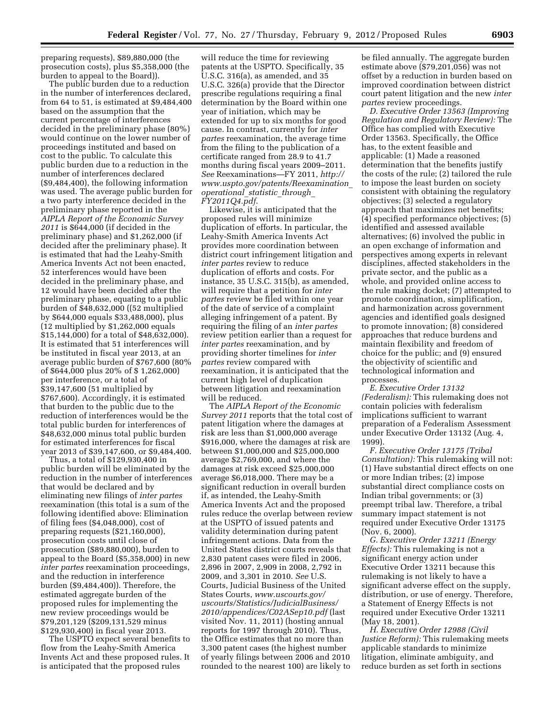preparing requests), \$89,880,000 (the prosecution costs), plus \$5,358,000 (the burden to appeal to the Board)).

The public burden due to a reduction in the number of interferences declared, from 64 to 51, is estimated at \$9,484,400 based on the assumption that the current percentage of interferences decided in the preliminary phase (80%) would continue on the lower number of proceedings instituted and based on cost to the public. To calculate this public burden due to a reduction in the number of interferences declared (\$9,484,400), the following information was used. The average public burden for a two party interference decided in the preliminary phase reported in the *AIPLA Report of the Economic Survey 2011* is \$644,000 (if decided in the preliminary phase) and \$1,262,000 (if decided after the preliminary phase). It is estimated that had the Leahy-Smith America Invents Act not been enacted, 52 interferences would have been decided in the preliminary phase, and 12 would have been decided after the preliminary phase, equating to a public burden of \$48,632,000 ((52 multiplied by \$644,000 equals \$33,488,000), plus (12 multiplied by \$1,262,000 equals \$15,144,000) for a total of \$48,632,000). It is estimated that 51 interferences will be instituted in fiscal year 2013, at an average public burden of \$767,600 (80% of \$644,000 plus 20% of \$ 1,262,000) per interference, or a total of \$39,147,600 (51 multiplied by \$767,600). Accordingly, it is estimated that burden to the public due to the reduction of interferences would be the total public burden for interferences of \$48,632,000 minus total public burden for estimated interferences for fiscal year 2013 of \$39,147,600, or \$9,484,400.

Thus, a total of \$129,930,400 in public burden will be eliminated by the reduction in the number of interferences that would be declared and by eliminating new filings of *inter partes*  reexamination (this total is a sum of the following identified above: Elimination of filing fees (\$4,048,000), cost of preparing requests (\$21,160,000), prosecution costs until close of prosecution (\$89,880,000), burden to appeal to the Board (\$5,358,000) in new *inter partes* reexamination proceedings, and the reduction in interference burden (\$9,484,400)). Therefore, the estimated aggregate burden of the proposed rules for implementing the new review proceedings would be \$79,201,129 (\$209,131,529 minus \$129,930,400) in fiscal year 2013.

The USPTO expect several benefits to flow from the Leahy-Smith America Invents Act and these proposed rules. It is anticipated that the proposed rules

will reduce the time for reviewing patents at the USPTO. Specifically, 35 U.S.C. 316(a), as amended, and 35 U.S.C. 326(a) provide that the Director prescribe regulations requiring a final determination by the Board within one year of initiation, which may be extended for up to six months for good cause. In contrast, currently for *inter partes* reexamination, the average time from the filing to the publication of a certificate ranged from 28.9 to 41.7 months during fiscal years 2009–2011. *See* Reexaminations—FY 2011, *[http://](http://www.uspto.gov/patents/Reexamination_operational_statistic_through_FY2011Q4.pdf) [www.uspto.gov/patents/Reexamination](http://www.uspto.gov/patents/Reexamination_operational_statistic_through_FY2011Q4.pdf)*\_ *[operational](http://www.uspto.gov/patents/Reexamination_operational_statistic_through_FY2011Q4.pdf)*\_*statistic*\_*through*\_ *[FY2011Q4.pdf](http://www.uspto.gov/patents/Reexamination_operational_statistic_through_FY2011Q4.pdf)*.

Likewise, it is anticipated that the proposed rules will minimize duplication of efforts. In particular, the Leahy-Smith America Invents Act provides more coordination between district court infringement litigation and *inter partes* review to reduce duplication of efforts and costs. For instance, 35 U.S.C. 315(b), as amended, will require that a petition for *inter partes* review be filed within one year of the date of service of a complaint alleging infringement of a patent. By requiring the filing of an *inter partes*  review petition earlier than a request for *inter partes* reexamination, and by providing shorter timelines for *inter partes* review compared with reexamination, it is anticipated that the current high level of duplication between litigation and reexamination will be reduced.

The *AIPLA Report of the Economic Survey 2011* reports that the total cost of patent litigation where the damages at risk are less than \$1,000,000 average \$916,000, where the damages at risk are between \$1,000,000 and \$25,000,000 average \$2,769,000, and where the damages at risk exceed \$25,000,000 average \$6,018,000. There may be a significant reduction in overall burden if, as intended, the Leahy-Smith America Invents Act and the proposed rules reduce the overlap between review at the USPTO of issued patents and validity determination during patent infringement actions. Data from the United States district courts reveals that 2,830 patent cases were filed in 2006, 2,896 in 2007, 2,909 in 2008, 2,792 in 2009, and 3,301 in 2010. *See* U.S. Courts, Judicial Business of the United States Courts, *[www.uscourts.gov/](http://www.uscourts.gov/uscourts/Statistics/JudicialBusiness/2010/appendices/C02ASep10.pdf) [uscourts/Statistics/JudicialBusiness/](http://www.uscourts.gov/uscourts/Statistics/JudicialBusiness/2010/appendices/C02ASep10.pdf) [2010/appendices/C02ASep10.pdf](http://www.uscourts.gov/uscourts/Statistics/JudicialBusiness/2010/appendices/C02ASep10.pdf)* (last visited Nov. 11, 2011) (hosting annual reports for 1997 through 2010). Thus, the Office estimates that no more than 3,300 patent cases (the highest number of yearly filings between 2006 and 2010 rounded to the nearest 100) are likely to

be filed annually. The aggregate burden estimate above (\$79,201,056) was not offset by a reduction in burden based on improved coordination between district court patent litigation and the new *inter partes* review proceedings.

*D. Executive Order 13563 (Improving Regulation and Regulatory Review):* The Office has complied with Executive Order 13563. Specifically, the Office has, to the extent feasible and applicable: (1) Made a reasoned determination that the benefits justify the costs of the rule; (2) tailored the rule to impose the least burden on society consistent with obtaining the regulatory objectives; (3) selected a regulatory approach that maximizes net benefits; (4) specified performance objectives; (5) identified and assessed available alternatives; (6) involved the public in an open exchange of information and perspectives among experts in relevant disciplines, affected stakeholders in the private sector, and the public as a whole, and provided online access to the rule making docket; (7) attempted to promote coordination, simplification, and harmonization across government agencies and identified goals designed to promote innovation; (8) considered approaches that reduce burdens and maintain flexibility and freedom of choice for the public; and (9) ensured the objectivity of scientific and technological information and processes.

*E. Executive Order 13132 (Federalism):* This rulemaking does not contain policies with federalism implications sufficient to warrant preparation of a Federalism Assessment under Executive Order 13132 (Aug. 4, 1999).

*F. Executive Order 13175 (Tribal Consultation):* This rulemaking will not: (1) Have substantial direct effects on one or more Indian tribes; (2) impose substantial direct compliance costs on Indian tribal governments; or (3) preempt tribal law. Therefore, a tribal summary impact statement is not required under Executive Order 13175 (Nov. 6, 2000).

*G. Executive Order 13211 (Energy Effects):* This rulemaking is not a significant energy action under Executive Order 13211 because this rulemaking is not likely to have a significant adverse effect on the supply, distribution, or use of energy. Therefore, a Statement of Energy Effects is not required under Executive Order 13211 (May 18, 2001).

*H. Executive Order 12988 (Civil Justice Reform):* This rulemaking meets applicable standards to minimize litigation, eliminate ambiguity, and reduce burden as set forth in sections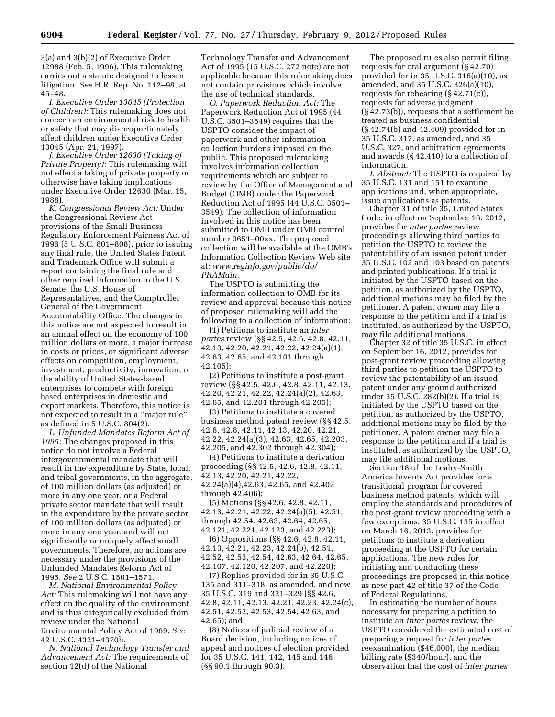3(a) and 3(b)(2) of Executive Order 12988 (Feb. 5, 1996). This rulemaking carries out a statute designed to lessen litigation. *See* H.R. Rep. No. 112–98, at 45–48.

*I. Executive Order 13045 (Protection of Children):* This rulemaking does not concern an environmental risk to health or safety that may disproportionately affect children under Executive Order 13045 (Apr. 21, 1997).

*J. Executive Order 12630 (Taking of Private Property):* This rulemaking will not effect a taking of private property or otherwise have taking implications under Executive Order 12630 (Mar. 15, 1988).

*K. Congressional Review Act:* Under the Congressional Review Act provisions of the Small Business Regulatory Enforcement Fairness Act of 1996 (5 U.S.C. 801–808), prior to issuing any final rule, the United States Patent and Trademark Office will submit a report containing the final rule and other required information to the U.S. Senate, the U.S. House of Representatives, and the Comptroller General of the Government Accountability Office. The changes in this notice are not expected to result in an annual effect on the economy of 100 million dollars or more, a major increase in costs or prices, or significant adverse effects on competition, employment, investment, productivity, innovation, or the ability of United States-based enterprises to compete with foreign based enterprises in domestic and export markets. Therefore, this notice is not expected to result in a ''major rule'' as defined in 5 U.S.C. 804(2).

*L. Unfunded Mandates Reform Act of 1995:* The changes proposed in this notice do not involve a Federal intergovernmental mandate that will result in the expenditure by State, local, and tribal governments, in the aggregate, of 100 million dollars (as adjusted) or more in any one year, or a Federal private sector mandate that will result in the expenditure by the private sector of 100 million dollars (as adjusted) or more in any one year, and will not significantly or uniquely affect small governments. Therefore, no actions are necessary under the provisions of the Unfunded Mandates Reform Act of 1995. *See* 2 U.S.C. 1501–1571.

*M. National Environmental Policy Act:* This rulemaking will not have any effect on the quality of the environment and is thus categorically excluded from review under the National Environmental Policy Act of 1969. *See* 

42 U.S.C. 4321–4370h.

*N. National Technology Transfer and Advancement Act:* The requirements of section 12(d) of the National

Technology Transfer and Advancement Act of 1995 (15 U.S.C. 272 note) are not applicable because this rulemaking does not contain provisions which involve the use of technical standards.

*O. Paperwork Reduction Act:* The Paperwork Reduction Act of 1995 (44 U.S.C. 3501–3549) requires that the USPTO consider the impact of paperwork and other information collection burdens imposed on the public. This proposed rulemaking involves information collection requirements which are subject to review by the Office of Management and Budget (OMB) under the Paperwork Reduction Act of 1995 (44 U.S.C. 3501– 3549). The collection of information involved in this notice has been submitted to OMB under OMB control number 0651–00xx. The proposed collection will be available at the OMB's Information Collection Review Web site at: *[www.reginfo.gov/public/do/](http://www.reginfo.gov/public/do/PRAMain) [PRAMain](http://www.reginfo.gov/public/do/PRAMain)*.

The USPTO is submitting the information collection to OMB for its review and approval because this notice of proposed rulemaking will add the following to a collection of information:

(1) Petitions to institute an *inter partes* review (§§ 42.5, 42.6, 42.8, 42.11, 42.13, 42.20, 42.21, 42.22, 42.24(a)(1), 42.63, 42.65, and 42.101 through 42.105);

(2) Petitions to institute a post-grant review (§§ 42.5, 42.6, 42.8, 42.11, 42.13, 42.20, 42.21, 42.22, 42.24(a)(2), 42.63, 42.65, and 42.201 through 42.205);

(3) Petitions to institute a covered business method patent review (§§ 42.5, 42.6, 42.8, 42.11, 42.13, 42.20, 42.21, 42.22, 42.24(a)(3), 42.63, 42.65, 42.203, 42.205, and 42.302 through 42.304);

(4) Petitions to institute a derivation proceeding (§§ 42.5, 42.6, 42.8, 42.11, 42.13, 42.20, 42.21, 42.22, 42.24(a)(4),42.63, 42.65, and 42.402 through 42.406);

(5) Motions (§§ 42.6, 42.8, 42.11, 42.13, 42.21, 42.22, 42.24(a)(5), 42.51, through 42.54, 42.63, 42.64, 42.65, 42.121, 42.221, 42.123, and 42.223);

(6) Oppositions (§§ 42.6, 42.8, 42.11, 42.13, 42.21, 42.23, 42.24(b), 42.51, 42.52, 42.53, 42.54, 42.63, 42.64, 42.65, 42.107, 42.120, 42.207, and 42.220);

(7) Replies provided for in 35 U.S.C. 135 and 311–318, as amended, and new 35 U.S.C. 319 and 321–329 (§§ 42.6, 42.8, 42.11, 42.13, 42.21, 42.23, 42.24(c), 42.51, 42.52, 42.53, 42.54, 42.63, and 42.65); and

(8) Notices of judicial review of a Board decision, including notices of appeal and notices of election provided for 35 U.S.C. 141, 142, 145 and 146 (§§ 90.1 through 90.3).

The proposed rules also permit filing requests for oral argument (§ 42.70) provided for in 35 U.S.C. 316(a)(10), as amended, and 35 U.S.C. 326(a)(10), requests for rehearing (§ 42.71(c)), requests for adverse judgment (§ 42.73(b)), requests that a settlement be treated as business confidential (§ 42.74(b) and 42.409) provided for in 35 U.S.C. 317, as amended, and 35 U.S.C. 327, and arbitration agreements and awards (§ 42.410) to a collection of information.

*I. Abstract:* The USPTO is required by 35 U.S.C. 131 and 151 to examine applications and, when appropriate, issue applications as patents.

Chapter 31 of title 35, United States Code, in effect on September 16, 2012, provides for *inter partes* review proceedings allowing third parties to petition the USPTO to review the patentability of an issued patent under 35 U.S.C. 102 and 103 based on patents and printed publications. If a trial is initiated by the USPTO based on the petition, as authorized by the USPTO, additional motions may be filed by the petitioner. A patent owner may file a response to the petition and if a trial is instituted, as authorized by the USPTO, may file additional motions.

Chapter 32 of title 35 U.S.C. in effect on September 16, 2012, provides for post-grant review proceeding allowing third parties to petition the USPTO to review the patentability of an issued patent under any ground authorized under 35 U.S.C. 282(b)(2). If a trial is initiated by the USPTO based on the petition, as authorized by the USPTO, additional motions may be filed by the petitioner. A patent owner may file a response to the petition and if a trial is instituted, as authorized by the USPTO, may file additional motions.

Section 18 of the Leahy-Smith America Invents Act provides for a transitional program for covered business method patents, which will employ the standards and procedures of the post-grant review proceeding with a few exceptions. 35 U.S.C. 135 in effect on March 16, 2013, provides for petitions to institute a derivation proceeding at the USPTO for certain applications. The new rules for initiating and conducting these proceedings are proposed in this notice as new part 42 of title 37 of the Code of Federal Regulations.

In estimating the number of hours necessary for preparing a petition to institute an *inter partes* review, the USPTO considered the estimated cost of preparing a request for *inter partes*  reexamination (\$46,000), the median billing rate (\$340/hour), and the observation that the cost of *inter partes*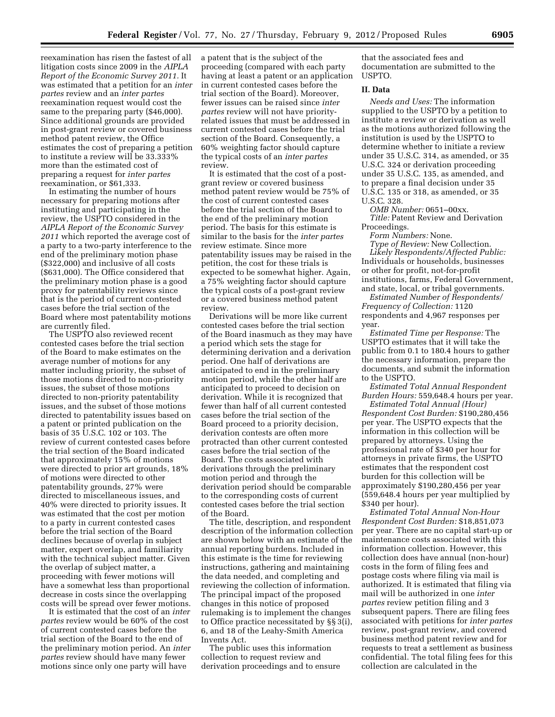reexamination has risen the fastest of all litigation costs since 2009 in the *AIPLA Report of the Economic Survey 2011.* It was estimated that a petition for an *inter partes* review and an *inter partes*  reexamination request would cost the same to the preparing party (\$46,000). Since additional grounds are provided in post-grant review or covered business method patent review, the Office estimates the cost of preparing a petition to institute a review will be 33.333% more than the estimated cost of preparing a request for *inter partes*  reexamination, or \$61,333.

In estimating the number of hours necessary for preparing motions after instituting and participating in the review, the USPTO considered in the *AIPLA Report of the Economic Survey 2011* which reported the average cost of a party to a two-party interference to the end of the preliminary motion phase (\$322,000) and inclusive of all costs (\$631,000). The Office considered that the preliminary motion phase is a good proxy for patentability reviews since that is the period of current contested cases before the trial section of the Board where most patentability motions are currently filed.

The USPTO also reviewed recent contested cases before the trial section of the Board to make estimates on the average number of motions for any matter including priority, the subset of those motions directed to non-priority issues, the subset of those motions directed to non-priority patentability issues, and the subset of those motions directed to patentability issues based on a patent or printed publication on the basis of 35 U.S.C. 102 or 103. The review of current contested cases before the trial section of the Board indicated that approximately 15% of motions were directed to prior art grounds, 18% of motions were directed to other patentability grounds, 27% were directed to miscellaneous issues, and 40% were directed to priority issues. It was estimated that the cost per motion to a party in current contested cases before the trial section of the Board declines because of overlap in subject matter, expert overlap, and familiarity with the technical subject matter. Given the overlap of subject matter, a proceeding with fewer motions will have a somewhat less than proportional decrease in costs since the overlapping costs will be spread over fewer motions.

It is estimated that the cost of an *inter partes* review would be 60% of the cost of current contested cases before the trial section of the Board to the end of the preliminary motion period. An *inter partes* review should have many fewer motions since only one party will have

a patent that is the subject of the proceeding (compared with each party having at least a patent or an application in current contested cases before the trial section of the Board). Moreover, fewer issues can be raised since *inter partes* review will not have priorityrelated issues that must be addressed in current contested cases before the trial section of the Board. Consequently, a 60% weighting factor should capture the typical costs of an *inter partes*  review.

It is estimated that the cost of a postgrant review or covered business method patent review would be 75% of the cost of current contested cases before the trial section of the Board to the end of the preliminary motion period. The basis for this estimate is similar to the basis for the *inter partes*  review estimate. Since more patentability issues may be raised in the petition, the cost for these trials is expected to be somewhat higher. Again, a 75% weighting factor should capture the typical costs of a post-grant review or a covered business method patent review.

Derivations will be more like current contested cases before the trial section of the Board inasmuch as they may have a period which sets the stage for determining derivation and a derivation period. One half of derivations are anticipated to end in the preliminary motion period, while the other half are anticipated to proceed to decision on derivation. While it is recognized that fewer than half of all current contested cases before the trial section of the Board proceed to a priority decision, derivation contests are often more protracted than other current contested cases before the trial section of the Board. The costs associated with derivations through the preliminary motion period and through the derivation period should be comparable to the corresponding costs of current contested cases before the trial section of the Board.

The title, description, and respondent description of the information collection are shown below with an estimate of the annual reporting burdens. Included in this estimate is the time for reviewing instructions, gathering and maintaining the data needed, and completing and reviewing the collection of information. The principal impact of the proposed changes in this notice of proposed rulemaking is to implement the changes to Office practice necessitated by §§ 3(i), 6, and 18 of the Leahy-Smith America Invents Act.

The public uses this information collection to request review and derivation proceedings and to ensure

that the associated fees and documentation are submitted to the USPTO.

## **II. Data**

*Needs and Uses:* The information supplied to the USPTO by a petition to institute a review or derivation as well as the motions authorized following the institution is used by the USPTO to determine whether to initiate a review under 35 U.S.C. 314, as amended, or 35 U.S.C. 324 or derivation proceeding under 35 U.S.C. 135, as amended, and to prepare a final decision under 35 U.S.C. 135 or 318, as amended, or 35 U.S.C. 328.

*OMB Number:* 0651–00xx. *Title:* Patent Review and Derivation Proceedings.

*Form Numbers:* None.

*Type of Review:* New Collection. *Likely Respondents/Affected Public:*  Individuals or households, businesses or other for profit, not-for-profit institutions, farms, Federal Government, and state, local, or tribal governments.

*Estimated Number of Respondents/ Frequency of Collection:* 1120 respondents and 4,967 responses per year.

*Estimated Time per Response:* The USPTO estimates that it will take the public from 0.1 to 180.4 hours to gather the necessary information, prepare the documents, and submit the information to the USPTO.

*Estimated Total Annual Respondent Burden Hours:* 559,648.4 hours per year.

*Estimated Total Annual (Hour) Respondent Cost Burden:* \$190,280,456 per year. The USPTO expects that the information in this collection will be prepared by attorneys. Using the professional rate of \$340 per hour for attorneys in private firms, the USPTO estimates that the respondent cost burden for this collection will be approximately \$190,280,456 per year (559,648.4 hours per year multiplied by \$340 per hour).

*Estimated Total Annual Non-Hour Respondent Cost Burden:* \$18,851,073 per year. There are no capital start-up or maintenance costs associated with this information collection. However, this collection does have annual (non-hour) costs in the form of filing fees and postage costs where filing via mail is authorized. It is estimated that filing via mail will be authorized in one *inter partes* review petition filing and 3 subsequent papers. There are filing fees associated with petitions for *inter partes*  review, post-grant review, and covered business method patent review and for requests to treat a settlement as business confidential. The total filing fees for this collection are calculated in the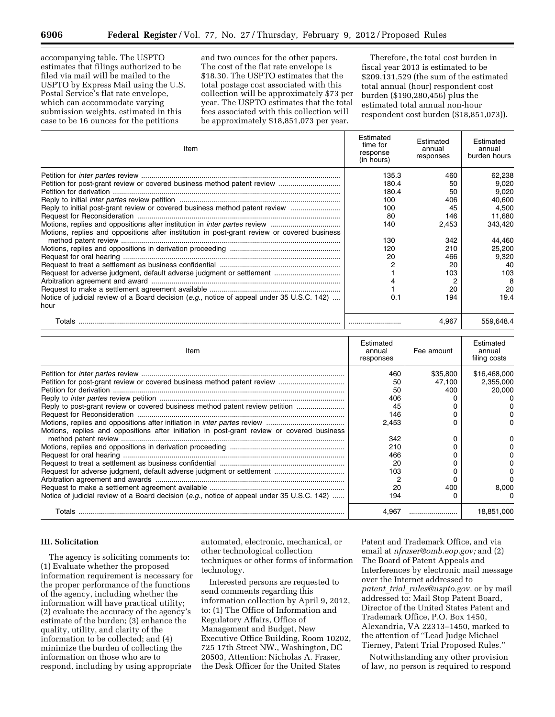accompanying table. The USPTO estimates that filings authorized to be filed via mail will be mailed to the USPTO by Express Mail using the U.S. Postal Service's flat rate envelope, which can accommodate varying submission weights, estimated in this case to be 16 ounces for the petitions

and two ounces for the other papers. The cost of the flat rate envelope is \$18.30. The USPTO estimates that the total postage cost associated with this collection will be approximately \$73 per year. The USPTO estimates that the total fees associated with this collection will be approximately \$18,851,073 per year.

Therefore, the total cost burden in fiscal year 2013 is estimated to be \$209,131,529 (the sum of the estimated total annual (hour) respondent cost burden (\$190,280,456) plus the estimated total annual non-hour respondent cost burden (\$18,851,073)).

| Item                                                                                        | Estimated<br>time for<br>response<br>(in hours) | Estimated<br>annual<br>responses | Estimated<br>annual<br>burden hours |
|---------------------------------------------------------------------------------------------|-------------------------------------------------|----------------------------------|-------------------------------------|
|                                                                                             | 135.3                                           | 460                              | 62,238                              |
|                                                                                             | 180.4                                           | 50                               | 9,020                               |
|                                                                                             | 180.4                                           | 50                               | 9,020                               |
|                                                                                             | 100                                             | 406                              | 40,600                              |
| Reply to initial post-grant review or covered business method patent review                 | 100                                             | 45                               | 4,500                               |
|                                                                                             | 80                                              | 146                              | 11.680                              |
|                                                                                             | 140                                             | 2,453                            | 343,420                             |
| Motions, replies and oppositions after institution in post-grant review or covered business | 130                                             | 342                              | 44,460                              |
|                                                                                             | 120                                             | 210                              | 25,200                              |
|                                                                                             | 20                                              | 466                              | 9,320                               |
|                                                                                             |                                                 | 20                               | 40                                  |
|                                                                                             |                                                 | 103                              | 103                                 |
|                                                                                             |                                                 |                                  | 8                                   |
|                                                                                             |                                                 | 20                               | 20                                  |
| Notice of judicial review of a Board decision (e.g., notice of appeal under 35 U.S.C. 142)  | 0.1                                             | 194                              | 19.4                                |
| hour                                                                                        |                                                 |                                  |                                     |
|                                                                                             |                                                 | 4,967                            | 559,648.4                           |
|                                                                                             | Estimated                                       |                                  | Estimated                           |

| Item                                                                                       | Estimated<br>annual<br>responses | Fee amount | Estimated<br>annual<br>filing costs |
|--------------------------------------------------------------------------------------------|----------------------------------|------------|-------------------------------------|
|                                                                                            | 460                              | \$35,800   | \$16,468,000                        |
|                                                                                            | 50                               | 47.100     | 2,355,000                           |
|                                                                                            | 50                               | 400        | 20,000                              |
|                                                                                            | 406                              |            |                                     |
| Reply to post-grant review or covered business method patent review petition               | 45                               |            |                                     |
|                                                                                            | 146                              |            |                                     |
|                                                                                            | 2.453                            |            |                                     |
| Motions, replies and oppositions after initiation in post-grant review or covered business |                                  |            |                                     |
|                                                                                            | 342                              |            |                                     |
|                                                                                            | 210                              |            |                                     |
|                                                                                            | 466                              |            |                                     |
|                                                                                            | 20                               |            |                                     |
|                                                                                            | 103                              |            |                                     |
|                                                                                            |                                  |            |                                     |
|                                                                                            | 20                               | 400        | 8.000                               |
| Notice of judicial review of a Board decision (e.g., notice of appeal under 35 U.S.C. 142) | 194                              |            |                                     |
| Totals                                                                                     | 4.967                            |            | 18,851,000                          |

# **III. Solicitation**

The agency is soliciting comments to: (1) Evaluate whether the proposed information requirement is necessary for the proper performance of the functions of the agency, including whether the information will have practical utility; (2) evaluate the accuracy of the agency's estimate of the burden; (3) enhance the quality, utility, and clarity of the information to be collected; and (4) minimize the burden of collecting the information on those who are to respond, including by using appropriate

automated, electronic, mechanical, or other technological collection techniques or other forms of information technology.

Interested persons are requested to send comments regarding this information collection by April 9, 2012, to: (1) The Office of Information and Regulatory Affairs, Office of Management and Budget, New Executive Office Building, Room 10202, 725 17th Street NW., Washington, DC 20503, Attention: Nicholas A. Fraser, the Desk Officer for the United States

Patent and Trademark Office, and via email at *[nfraser@omb.eop.gov;](mailto:nfraser@omb.eop.gov)* and (2) The Board of Patent Appeals and Interferences by electronic mail message over the Internet addressed to *patent*\_*trial*\_*[rules@uspto.gov,](mailto:patent_trial_rules@uspto.gov)* or by mail addressed to: Mail Stop Patent Board, Director of the United States Patent and Trademark Office, P.O. Box 1450, Alexandria, VA 22313–1450, marked to the attention of ''Lead Judge Michael Tierney, Patent Trial Proposed Rules.''

Notwithstanding any other provision of law, no person is required to respond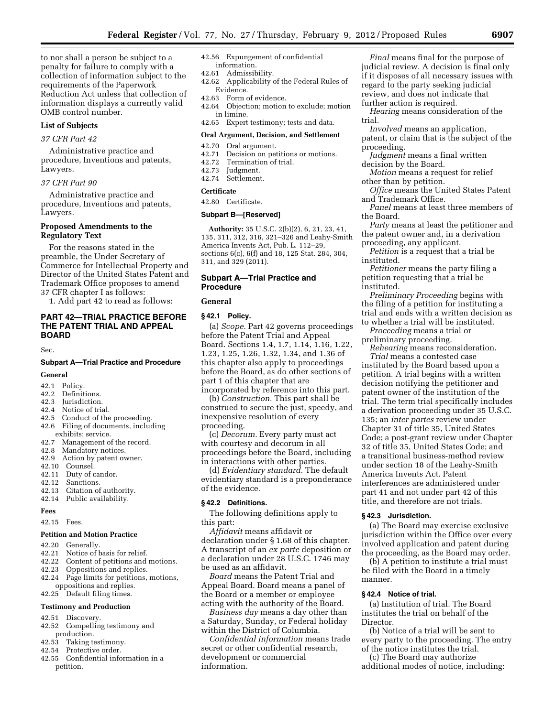to nor shall a person be subject to a penalty for failure to comply with a collection of information subject to the requirements of the Paperwork Reduction Act unless that collection of information displays a currently valid OMB control number.

#### **List of Subjects**

# *37 CFR Part 42*

Administrative practice and procedure, Inventions and patents, Lawyers.

## *37 CFR Part 90*

Administrative practice and procedure, Inventions and patents, Lawyers.

#### **Proposed Amendments to the Regulatory Text**

For the reasons stated in the preamble, the Under Secretary of Commerce for Intellectual Property and Director of the United States Patent and Trademark Office proposes to amend 37 CFR chapter I as follows:

1. Add part 42 to read as follows:

## **PART 42—TRIAL PRACTICE BEFORE THE PATENT TRIAL AND APPEAL BOARD**

Sec.

# **Subpart A—Trial Practice and Procedure**

# **General**

- 42.1 Policy.
- 42.2 Definitions.
- 42.3 Jurisdiction.
- 42.4 Notice of trial.<br>42.5 Conduct of the
- Conduct of the proceeding.
- 42.6 Filing of documents, including exhibits; service.
- 42.7 Management of the record.
- 42.8 Mandatory notices.
- 42.9 Action by patent owner. 42.10 Counsel.
- 
- 42.11 Duty of candor.<br>42.12 Sanctions. Sanctions.
- 42.13 Citation of authority.
- 42.14 Public availability.
- 

# **Fees**

42.15 Fees.

#### **Petition and Motion Practice**

- 42.20 Generally.
- 42.21 Notice of basis for relief.<br>42.22 Content of petitions and
- Content of petitions and motions.
- 42.23 Oppositions and replies.
- 42.24 Page limits for petitions, motions, oppositions and replies.
- 42.25 Default filing times.

# **Testimony and Production**

- 42.51 Discovery.
- 42.52 Compelling testimony and production.
- 42.53 Taking testimony.
- 42.54 Protective order.
- 42.55 Confidential information in a petition.
- 42.56 Expungement of confidential information.
- 42.61 Admissibility.
- 42.62 Applicability of the Federal Rules of Evidence.
- 42.63 Form of evidence.
- 42.64 Objection; motion to exclude; motion in limine.
- 42.65 Expert testimony; tests and data.

#### **Oral Argument, Decision, and Settlement**

## 42.70 Oral argument.

- 42.71 Decision on petitions or motions.<br>42.72 Termination of trial.
- Termination of trial.
- 42.73 Judgment.
- Settlement.

#### **Certificate**

42.80 Certificate.

#### **Subpart B—[Reserved]**

**Authority:** 35 U.S.C. 2(b)(2), 6, 21, 23, 41, 135, 311, 312, 316, 321–326 and Leahy-Smith America Invents Act, Pub. L. 112–29, sections 6(c), 6(f) and 18, 125 Stat. 284, 304, 311, and 329 (2011).

# **Subpart A—Trial Practice and Procedure**

#### **General**

#### **§ 42.1 Policy.**

(a) *Scope.* Part 42 governs proceedings before the Patent Trial and Appeal Board. Sections 1.4, 1.7, 1.14, 1.16, 1.22, 1.23, 1.25, 1.26, 1.32, 1.34, and 1.36 of this chapter also apply to proceedings before the Board, as do other sections of part 1 of this chapter that are incorporated by reference into this part.

(b) *Construction.* This part shall be construed to secure the just, speedy, and inexpensive resolution of every proceeding.

(c) *Decorum.* Every party must act with courtesy and decorum in all proceedings before the Board, including in interactions with other parties.

(d) *Evidentiary standard.* The default evidentiary standard is a preponderance of the evidence.

#### **§ 42.2 Definitions.**

The following definitions apply to this part:

*Affidavit* means affidavit or declaration under § 1.68 of this chapter. A transcript of an *ex parte* deposition or a declaration under 28 U.S.C. 1746 may be used as an affidavit.

*Board* means the Patent Trial and Appeal Board. Board means a panel of the Board or a member or employee acting with the authority of the Board.

*Business day* means a day other than a Saturday, Sunday, or Federal holiday within the District of Columbia.

*Confidential information* means trade secret or other confidential research, development or commercial information.

*Final* means final for the purpose of judicial review. A decision is final only if it disposes of all necessary issues with regard to the party seeking judicial review, and does not indicate that further action is required.

*Hearing* means consideration of the trial.

*Involved* means an application,

patent, or claim that is the subject of the proceeding.

*Judgment* means a final written decision by the Board.

*Motion* means a request for relief other than by petition.

*Office* means the United States Patent and Trademark Office.

*Panel* means at least three members of the Board.

*Party* means at least the petitioner and the patent owner and, in a derivation proceeding, any applicant.

*Petition* is a request that a trial be instituted.

*Petitioner* means the party filing a petition requesting that a trial be instituted.

*Preliminary Proceeding* begins with the filing of a petition for instituting a trial and ends with a written decision as to whether a trial will be instituted.

*Proceeding* means a trial or preliminary proceeding.

*Rehearing* means reconsideration.

*Trial* means a contested case instituted by the Board based upon a petition. A trial begins with a written decision notifying the petitioner and patent owner of the institution of the trial. The term trial specifically includes a derivation proceeding under 35 U.S.C. 135; an *inter partes* review under Chapter 31 of title 35, United States Code; a post-grant review under Chapter 32 of title 35, United States Code; and a transitional business-method review under section 18 of the Leahy-Smith America Invents Act. Patent interferences are administered under part 41 and not under part 42 of this title, and therefore are not trials.

#### **§ 42.3 Jurisdiction.**

(a) The Board may exercise exclusive jurisdiction within the Office over every involved application and patent during the proceeding, as the Board may order.

(b) A petition to institute a trial must be filed with the Board in a timely manner.

#### **§ 42.4 Notice of trial.**

(a) Institution of trial. The Board institutes the trial on behalf of the Director.

(b) Notice of a trial will be sent to every party to the proceeding. The entry of the notice institutes the trial.

(c) The Board may authorize additional modes of notice, including: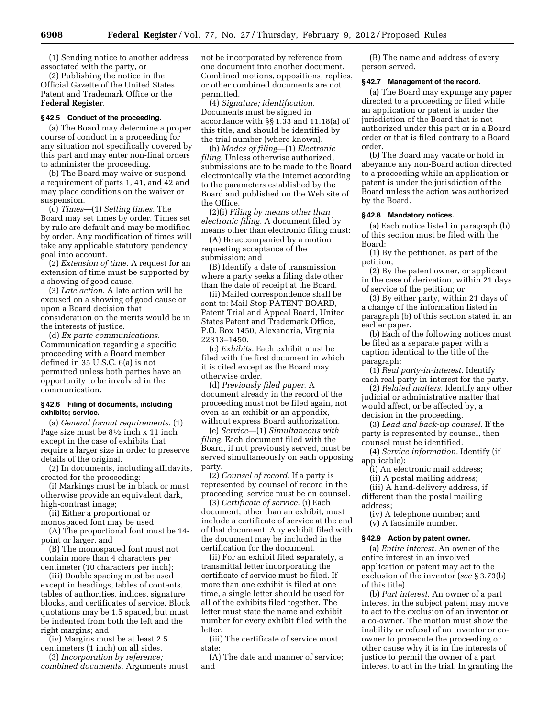(1) Sending notice to another address associated with the party, or

(2) Publishing the notice in the Official Gazette of the United States Patent and Trademark Office or the **Federal Register**.

## **§ 42.5 Conduct of the proceeding.**

(a) The Board may determine a proper course of conduct in a proceeding for any situation not specifically covered by this part and may enter non-final orders to administer the proceeding.

(b) The Board may waive or suspend a requirement of parts 1, 41, and 42 and may place conditions on the waiver or suspension.

(c) *Times*—(1) *Setting times.* The Board may set times by order. Times set by rule are default and may be modified by order. Any modification of times will take any applicable statutory pendency goal into account.

(2) *Extension of time.* A request for an extension of time must be supported by a showing of good cause.

(3) *Late action.* A late action will be excused on a showing of good cause or upon a Board decision that consideration on the merits would be in the interests of justice.

(d) *Ex parte communications.*  Communication regarding a specific proceeding with a Board member defined in 35 U.S.C. 6(a) is not permitted unless both parties have an opportunity to be involved in the communication.

#### **§ 42.6 Filing of documents, including exhibits; service.**

(a) *General format requirements.* (1) Page size must be 81⁄2 inch x 11 inch except in the case of exhibits that require a larger size in order to preserve details of the original.

(2) In documents, including affidavits, created for the proceeding:

(i) Markings must be in black or must otherwise provide an equivalent dark, high-contrast image;

(ii) Either a proportional or

monospaced font may be used: (A) The proportional font must be 14-

point or larger, and (B) The monospaced font must not

contain more than 4 characters per centimeter (10 characters per inch);

(iii) Double spacing must be used except in headings, tables of contents, tables of authorities, indices, signature blocks, and certificates of service. Block quotations may be 1.5 spaced, but must be indented from both the left and the right margins; and

(iv) Margins must be at least 2.5 centimeters (1 inch) on all sides.

(3) *Incorporation by reference; combined documents.* Arguments must not be incorporated by reference from one document into another document. Combined motions, oppositions, replies, or other combined documents are not permitted.

(4) *Signature; identification.*  Documents must be signed in accordance with §§ 1.33 and 11.18(a) of this title, and should be identified by the trial number (where known).

(b) *Modes of filing*—(1) *Electronic filing.* Unless otherwise authorized, submissions are to be made to the Board electronically via the Internet according to the parameters established by the Board and published on the Web site of the Office.

(2)(i) *Filing by means other than electronic filing.* A document filed by means other than electronic filing must:

(A) Be accompanied by a motion requesting acceptance of the submission; and

(B) Identify a date of transmission where a party seeks a filing date other than the date of receipt at the Board.

(ii) Mailed correspondence shall be sent to: Mail Stop PATENT BOARD, Patent Trial and Appeal Board, United States Patent and Trademark Office, P.O. Box 1450, Alexandria, Virginia 22313–1450.

(c) *Exhibits.* Each exhibit must be filed with the first document in which it is cited except as the Board may otherwise order.

(d) *Previously filed paper.* A document already in the record of the proceeding must not be filed again, not even as an exhibit or an appendix, without express Board authorization.

(e) *Service*—(1) *Simultaneous with filing.* Each document filed with the Board, if not previously served, must be served simultaneously on each opposing party.

(2) *Counsel of record.* If a party is represented by counsel of record in the proceeding, service must be on counsel.

(3) *Certificate of service.* (i) Each document, other than an exhibit, must include a certificate of service at the end of that document. Any exhibit filed with the document may be included in the certification for the document.

(ii) For an exhibit filed separately, a transmittal letter incorporating the certificate of service must be filed. If more than one exhibit is filed at one time, a single letter should be used for all of the exhibits filed together. The letter must state the name and exhibit number for every exhibit filed with the letter.

(iii) The certificate of service must state:

(A) The date and manner of service; and

(B) The name and address of every person served.

## **§ 42.7 Management of the record.**

(a) The Board may expunge any paper directed to a proceeding or filed while an application or patent is under the jurisdiction of the Board that is not authorized under this part or in a Board order or that is filed contrary to a Board order.

(b) The Board may vacate or hold in abeyance any non-Board action directed to a proceeding while an application or patent is under the jurisdiction of the Board unless the action was authorized by the Board.

## **§ 42.8 Mandatory notices.**

(a) Each notice listed in paragraph (b) of this section must be filed with the Board:

(1) By the petitioner, as part of the petition;

(2) By the patent owner, or applicant in the case of derivation, within 21 days of service of the petition; or

(3) By either party, within 21 days of a change of the information listed in paragraph (b) of this section stated in an earlier paper.

(b) Each of the following notices must be filed as a separate paper with a caption identical to the title of the paragraph:

(1) *Real party-in-interest.* Identify each real party-in-interest for the party.

(2) *Related matters.* Identify any other judicial or administrative matter that would affect, or be affected by, a decision in the proceeding.

(3) *Lead and back-up counsel.* If the party is represented by counsel, then counsel must be identified.

(4) *Service information.* Identify (if applicable):

(i) An electronic mail address;

(ii) A postal mailing address;

(iii) A hand-delivery address, if different than the postal mailing address;

(iv) A telephone number; and (v) A facsimile number.

#### **§ 42.9 Action by patent owner.**

(a) *Entire interest.* An owner of the entire interest in an involved application or patent may act to the exclusion of the inventor (*see* § 3.73(b) of this title).

(b) *Part interest.* An owner of a part interest in the subject patent may move to act to the exclusion of an inventor or a co-owner. The motion must show the inability or refusal of an inventor or coowner to prosecute the proceeding or other cause why it is in the interests of justice to permit the owner of a part interest to act in the trial. In granting the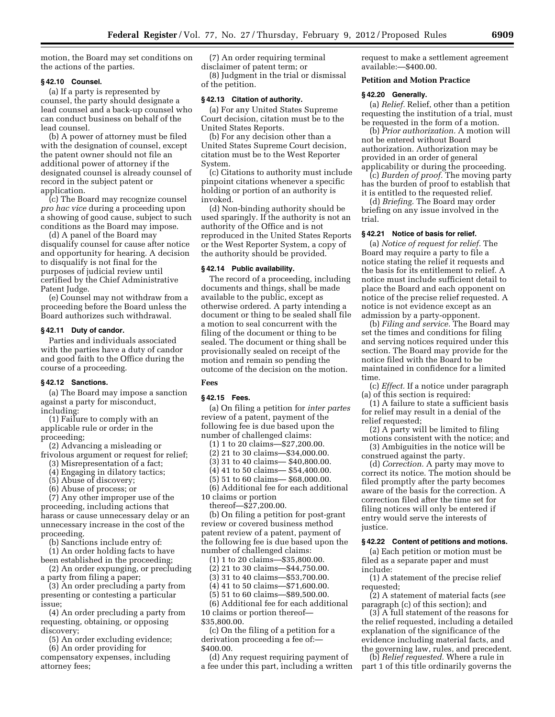motion, the Board may set conditions on the actions of the parties.

#### **§ 42.10 Counsel.**

(a) If a party is represented by counsel, the party should designate a lead counsel and a back-up counsel who can conduct business on behalf of the lead counsel.

(b) A power of attorney must be filed with the designation of counsel, except the patent owner should not file an additional power of attorney if the designated counsel is already counsel of record in the subject patent or application.

(c) The Board may recognize counsel *pro hac vice* during a proceeding upon a showing of good cause, subject to such conditions as the Board may impose.

(d) A panel of the Board may disqualify counsel for cause after notice and opportunity for hearing. A decision to disqualify is not final for the purposes of judicial review until certified by the Chief Administrative Patent Judge.

(e) Counsel may not withdraw from a proceeding before the Board unless the Board authorizes such withdrawal.

#### **§ 42.11 Duty of candor.**

Parties and individuals associated with the parties have a duty of candor and good faith to the Office during the course of a proceeding.

# **§ 42.12 Sanctions.**

(a) The Board may impose a sanction against a party for misconduct, including:

(1) Failure to comply with an applicable rule or order in the proceeding;

(2) Advancing a misleading or frivolous argument or request for relief;

- (3) Misrepresentation of a fact;
- (4) Engaging in dilatory tactics;
- (5) Abuse of discovery;
- (6) Abuse of process; or

(7) Any other improper use of the proceeding, including actions that harass or cause unnecessary delay or an unnecessary increase in the cost of the proceeding.

(b) Sanctions include entry of:

(1) An order holding facts to have been established in the proceeding;

(2) An order expunging, or precluding

a party from filing a paper; (3) An order precluding a party from

presenting or contesting a particular issue;

(4) An order precluding a party from requesting, obtaining, or opposing discovery;

(5) An order excluding evidence;

(6) An order providing for

compensatory expenses, including attorney fees;

(7) An order requiring terminal disclaimer of patent term; or (8) Judgment in the trial or dismissal of the petition.

#### **§ 42.13 Citation of authority.**

(a) For any United States Supreme Court decision, citation must be to the United States Reports.

(b) For any decision other than a United States Supreme Court decision, citation must be to the West Reporter System.

(c) Citations to authority must include pinpoint citations whenever a specific holding or portion of an authority is invoked.

(d) Non-binding authority should be used sparingly. If the authority is not an authority of the Office and is not reproduced in the United States Reports or the West Reporter System, a copy of the authority should be provided.

#### **§ 42.14 Public availability.**

The record of a proceeding, including documents and things, shall be made available to the public, except as otherwise ordered. A party intending a document or thing to be sealed shall file a motion to seal concurrent with the filing of the document or thing to be sealed. The document or thing shall be provisionally sealed on receipt of the motion and remain so pending the outcome of the decision on the motion.

# **Fees**

# **§ 42.15 Fees.**

(a) On filing a petition for *inter partes*  review of a patent, payment of the following fee is due based upon the number of challenged claims:

(1) 1 to 20 claims—\$27,200.00.

(2) 21 to 30 claims—\$34,000.00.

(3) 31 to 40 claims— \$40,800.00.

(4) 41 to 50 claims— \$54,400.00.

(5) 51 to 60 claims— \$68,000.00.

(6) Additional fee for each additional 10 claims or portion

thereof—\$27,200.00.

(b) On filing a petition for post-grant review or covered business method patent review of a patent, payment of the following fee is due based upon the number of challenged claims:

(1) 1 to 20 claims—\$35,800.00. (2) 21 to 30 claims—\$44,750.00.

(3) 31 to 40 claims—\$53,700.00.

(4) 41 to 50 claims—\$71,600.00.

(5) 51 to 60 claims—\$89,500.00.

(6) Additional fee for each additional 10 claims or portion thereof—

\$35,800.00.

(c) On the filing of a petition for a derivation proceeding a fee of:— \$400.00.

(d) Any request requiring payment of a fee under this part, including a written request to make a settlement agreement available:—\$400.00.

# **Petition and Motion Practice**

#### **§ 42.20 Generally.**

(a) *Relief.* Relief, other than a petition requesting the institution of a trial, must be requested in the form of a motion.

(b) *Prior authorization.* A motion will not be entered without Board authorization. Authorization may be provided in an order of general applicability or during the proceeding.

(c) *Burden of proof.* The moving party has the burden of proof to establish that it is entitled to the requested relief.

(d) *Briefing.* The Board may order briefing on any issue involved in the trial.

## **§ 42.21 Notice of basis for relief.**

(a) *Notice of request for relief.* The Board may require a party to file a notice stating the relief it requests and the basis for its entitlement to relief. A notice must include sufficient detail to place the Board and each opponent on notice of the precise relief requested. A notice is not evidence except as an admission by a party-opponent.

(b) *Filing and service.* The Board may set the times and conditions for filing and serving notices required under this section. The Board may provide for the notice filed with the Board to be maintained in confidence for a limited time.

(c) *Effect.* If a notice under paragraph (a) of this section is required:

(1) A failure to state a sufficient basis for relief may result in a denial of the relief requested;

(2) A party will be limited to filing motions consistent with the notice; and

(3) Ambiguities in the notice will be construed against the party.

(d) *Correction.* A party may move to correct its notice. The motion should be filed promptly after the party becomes aware of the basis for the correction. A correction filed after the time set for filing notices will only be entered if entry would serve the interests of justice.

#### **§ 42.22 Content of petitions and motions.**

(a) Each petition or motion must be filed as a separate paper and must include:

(1) A statement of the precise relief requested;

(2) A statement of material facts (*see*  paragraph (c) of this section); and

(3) A full statement of the reasons for the relief requested, including a detailed explanation of the significance of the evidence including material facts, and the governing law, rules, and precedent.

(b) *Relief requested.* Where a rule in part 1 of this title ordinarily governs the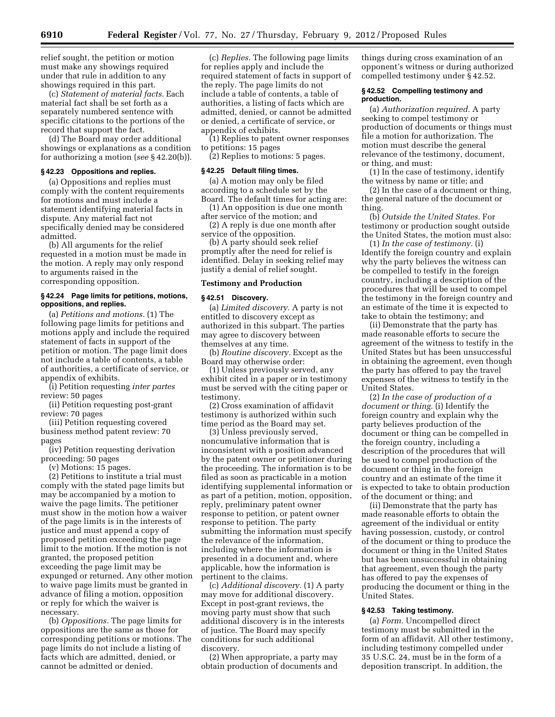relief sought, the petition or motion must make any showings required under that rule in addition to any showings required in this part.

(c) *Statement of material facts.* Each material fact shall be set forth as a separately numbered sentence with specific citations to the portions of the record that support the fact.

(d) The Board may order additional showings or explanations as a condition for authorizing a motion (*see* § 42.20(b)).

#### **§ 42.23 Oppositions and replies.**

(a) Oppositions and replies must comply with the content requirements for motions and must include a statement identifying material facts in dispute. Any material fact not specifically denied may be considered admitted.

(b) All arguments for the relief requested in a motion must be made in the motion. A reply may only respond to arguments raised in the corresponding opposition.

#### **§ 42.24 Page limits for petitions, motions, oppositions, and replies.**

(a) *Petitions and motions.* (1) The following page limits for petitions and motions apply and include the required statement of facts in support of the petition or motion. The page limit does not include a table of contents, a table of authorities, a certificate of service, or appendix of exhibits.

(i) Petition requesting *inter partes*  review: 50 pages

(ii) Petition requesting post-grant review: 70 pages

(iii) Petition requesting covered business method patent review: 70 pages

(iv) Petition requesting derivation proceeding: 50 pages

(v) Motions: 15 pages.

(2) Petitions to institute a trial must comply with the stated page limits but may be accompanied by a motion to waive the page limits. The petitioner must show in the motion how a waiver of the page limits is in the interests of justice and must append a copy of proposed petition exceeding the page limit to the motion. If the motion is not granted, the proposed petition exceeding the page limit may be expunged or returned. Any other motion to waive page limits must be granted in advance of filing a motion, opposition or reply for which the waiver is necessary.

(b) *Oppositions.* The page limits for oppositions are the same as those for corresponding petitions or motions. The page limits do not include a listing of facts which are admitted, denied, or cannot be admitted or denied.

(c) *Replies.* The following page limits for replies apply and include the required statement of facts in support of the reply. The page limits do not include a table of contents, a table of authorities, a listing of facts which are admitted, denied, or cannot be admitted or denied, a certificate of service, or appendix of exhibits.

(1) Replies to patent owner responses to petitions: 15 pages

(2) Replies to motions: 5 pages.

#### **§ 42.25 Default filing times.**

(a) A motion may only be filed according to a schedule set by the Board. The default times for acting are:

(1) An opposition is due one month after service of the motion; and

(2) A reply is due one month after service of the opposition.

(b) A party should seek relief promptly after the need for relief is identified. Delay in seeking relief may justify a denial of relief sought.

#### **Testimony and Production**

#### **§ 42.51 Discovery.**

(a) *Limited discovery.* A party is not entitled to discovery except as authorized in this subpart. The parties may agree to discovery between themselves at any time.

(b) *Routine discovery.* Except as the Board may otherwise order:

(1) Unless previously served, any exhibit cited in a paper or in testimony must be served with the citing paper or testimony.

(2) Cross examination of affidavit testimony is authorized within such time period as the Board may set.

(3) Unless previously served, noncumulative information that is inconsistent with a position advanced by the patent owner or petitioner during the proceeding. The information is to be filed as soon as practicable in a motion identifying supplemental information or as part of a petition, motion, opposition, reply, preliminary patent owner response to petition, or patent owner response to petition. The party submitting the information must specify the relevance of the information, including where the information is presented in a document and, where applicable, how the information is pertinent to the claims.

(c) *Additional discovery.* (1) A party may move for additional discovery. Except in post-grant reviews, the moving party must show that such additional discovery is in the interests of justice. The Board may specify conditions for such additional discovery.

(2) When appropriate, a party may obtain production of documents and things during cross examination of an opponent's witness or during authorized compelled testimony under § 42.52.

#### **§ 42.52 Compelling testimony and production.**

(a) *Authorization required.* A party seeking to compel testimony or production of documents or things must file a motion for authorization. The motion must describe the general relevance of the testimony, document, or thing, and must:

(1) In the case of testimony, identify the witness by name or title; and

(2) In the case of a document or thing, the general nature of the document or thing.

(b) *Outside the United States.* For testimony or production sought outside the United States, the motion must also:

(1) *In the case of testimony.* (i) Identify the foreign country and explain why the party believes the witness can be compelled to testify in the foreign country, including a description of the procedures that will be used to compel the testimony in the foreign country and an estimate of the time it is expected to take to obtain the testimony; and

(ii) Demonstrate that the party has made reasonable efforts to secure the agreement of the witness to testify in the United States but has been unsuccessful in obtaining the agreement, even though the party has offered to pay the travel expenses of the witness to testify in the United States.

(2) *In the case of production of a document or thing.* (i) Identify the foreign country and explain why the party believes production of the document or thing can be compelled in the foreign country, including a description of the procedures that will be used to compel production of the document or thing in the foreign country and an estimate of the time it is expected to take to obtain production of the document or thing; and

(ii) Demonstrate that the party has made reasonable efforts to obtain the agreement of the individual or entity having possession, custody, or control of the document or thing to produce the document or thing in the United States but has been unsuccessful in obtaining that agreement, even though the party has offered to pay the expenses of producing the document or thing in the United States.

# **§ 42.53 Taking testimony.**

(a) *Form.* Uncompelled direct testimony must be submitted in the form of an affidavit. All other testimony, including testimony compelled under 35 U.S.C. 24, must be in the form of a deposition transcript. In addition, the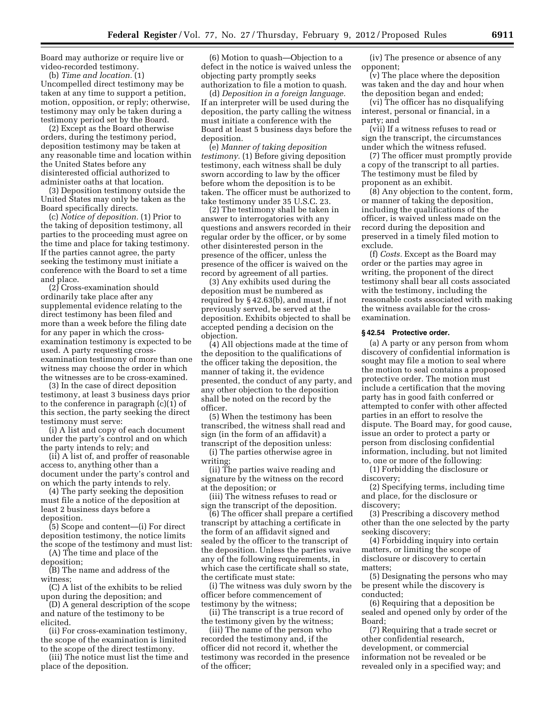Board may authorize or require live or video-recorded testimony.

(b) *Time and location.* (1) Uncompelled direct testimony may be taken at any time to support a petition, motion, opposition, or reply; otherwise, testimony may only be taken during a testimony period set by the Board.

(2) Except as the Board otherwise orders, during the testimony period, deposition testimony may be taken at any reasonable time and location within the United States before any disinterested official authorized to administer oaths at that location.

(3) Deposition testimony outside the United States may only be taken as the Board specifically directs.

(c) *Notice of deposition.* (1) Prior to the taking of deposition testimony, all parties to the proceeding must agree on the time and place for taking testimony. If the parties cannot agree, the party seeking the testimony must initiate a conference with the Board to set a time and place.

(2) Cross-examination should ordinarily take place after any supplemental evidence relating to the direct testimony has been filed and more than a week before the filing date for any paper in which the crossexamination testimony is expected to be used. A party requesting crossexamination testimony of more than one witness may choose the order in which the witnesses are to be cross-examined.

(3) In the case of direct deposition testimony, at least 3 business days prior to the conference in paragraph (c)(1) of this section, the party seeking the direct testimony must serve:

(i) A list and copy of each document under the party's control and on which the party intends to rely; and

(ii) A list of, and proffer of reasonable access to, anything other than a document under the party's control and on which the party intends to rely.

(4) The party seeking the deposition must file a notice of the deposition at least 2 business days before a deposition.

(5) Scope and content—(i) For direct deposition testimony, the notice limits the scope of the testimony and must list:

(A) The time and place of the deposition;

(B) The name and address of the witness;

(C) A list of the exhibits to be relied upon during the deposition; and

(D) A general description of the scope and nature of the testimony to be elicited.

(ii) For cross-examination testimony, the scope of the examination is limited to the scope of the direct testimony.

(iii) The notice must list the time and place of the deposition.

(6) Motion to quash—Objection to a defect in the notice is waived unless the objecting party promptly seeks authorization to file a motion to quash.

(d) *Deposition in a foreign language.*  If an interpreter will be used during the deposition, the party calling the witness must initiate a conference with the Board at least 5 business days before the deposition.

(e) *Manner of taking deposition testimony.* (1) Before giving deposition testimony, each witness shall be duly sworn according to law by the officer before whom the deposition is to be taken. The officer must be authorized to take testimony under 35 U.S.C. 23.

(2) The testimony shall be taken in answer to interrogatories with any questions and answers recorded in their regular order by the officer, or by some other disinterested person in the presence of the officer, unless the presence of the officer is waived on the record by agreement of all parties.

(3) Any exhibits used during the deposition must be numbered as required by § 42.63(b), and must, if not previously served, be served at the deposition. Exhibits objected to shall be accepted pending a decision on the objection.

(4) All objections made at the time of the deposition to the qualifications of the officer taking the deposition, the manner of taking it, the evidence presented, the conduct of any party, and any other objection to the deposition shall be noted on the record by the officer.

(5) When the testimony has been transcribed, the witness shall read and sign (in the form of an affidavit) a transcript of the deposition unless:

(i) The parties otherwise agree in writing;

(ii) The parties waive reading and signature by the witness on the record at the deposition; or

(iii) The witness refuses to read or sign the transcript of the deposition.

(6) The officer shall prepare a certified transcript by attaching a certificate in the form of an affidavit signed and sealed by the officer to the transcript of the deposition. Unless the parties waive any of the following requirements, in which case the certificate shall so state, the certificate must state:

(i) The witness was duly sworn by the officer before commencement of testimony by the witness;

(ii) The transcript is a true record of the testimony given by the witness;

(iii) The name of the person who recorded the testimony and, if the officer did not record it, whether the testimony was recorded in the presence of the officer;

(iv) The presence or absence of any opponent;

(v) The place where the deposition was taken and the day and hour when the deposition began and ended;

(vi) The officer has no disqualifying interest, personal or financial, in a party; and

(vii) If a witness refuses to read or sign the transcript, the circumstances under which the witness refused.

(7) The officer must promptly provide a copy of the transcript to all parties. The testimony must be filed by proponent as an exhibit.

(8) Any objection to the content, form, or manner of taking the deposition, including the qualifications of the officer, is waived unless made on the record during the deposition and preserved in a timely filed motion to exclude.

(f) *Costs.* Except as the Board may order or the parties may agree in writing, the proponent of the direct testimony shall bear all costs associated with the testimony, including the reasonable costs associated with making the witness available for the crossexamination.

# **§ 42.54 Protective order.**

(a) A party or any person from whom discovery of confidential information is sought may file a motion to seal where the motion to seal contains a proposed protective order. The motion must include a certification that the moving party has in good faith conferred or attempted to confer with other affected parties in an effort to resolve the dispute. The Board may, for good cause, issue an order to protect a party or person from disclosing confidential information, including, but not limited to, one or more of the following:

(1) Forbidding the disclosure or discovery;

(2) Specifying terms, including time and place, for the disclosure or discovery;

(3) Prescribing a discovery method other than the one selected by the party seeking discovery;

(4) Forbidding inquiry into certain matters, or limiting the scope of disclosure or discovery to certain matters;

(5) Designating the persons who may be present while the discovery is conducted;

(6) Requiring that a deposition be sealed and opened only by order of the Board;

(7) Requiring that a trade secret or other confidential research, development, or commercial information not be revealed or be revealed only in a specified way; and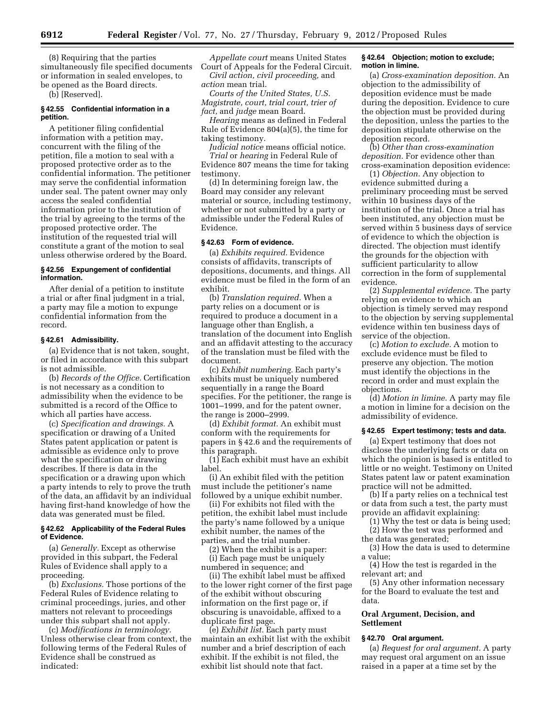(8) Requiring that the parties simultaneously file specified documents or information in sealed envelopes, to be opened as the Board directs.

(b) [Reserved].

## **§ 42.55 Confidential information in a petition.**

A petitioner filing confidential information with a petition may, concurrent with the filing of the petition, file a motion to seal with a proposed protective order as to the confidential information. The petitioner may serve the confidential information under seal. The patent owner may only access the sealed confidential information prior to the institution of the trial by agreeing to the terms of the proposed protective order. The institution of the requested trial will constitute a grant of the motion to seal unless otherwise ordered by the Board.

## **§ 42.56 Expungement of confidential information.**

After denial of a petition to institute a trial or after final judgment in a trial, a party may file a motion to expunge confidential information from the record.

## **§ 42.61 Admissibility.**

(a) Evidence that is not taken, sought, or filed in accordance with this subpart is not admissible.

(b) *Records of the Office.* Certification is not necessary as a condition to admissibility when the evidence to be submitted is a record of the Office to which all parties have access.

(c) *Specification and drawings.* A specification or drawing of a United States patent application or patent is admissible as evidence only to prove what the specification or drawing describes. If there is data in the specification or a drawing upon which a party intends to rely to prove the truth of the data, an affidavit by an individual having first-hand knowledge of how the data was generated must be filed.

#### **§ 42.62 Applicability of the Federal Rules of Evidence.**

(a) *Generally.* Except as otherwise provided in this subpart, the Federal Rules of Evidence shall apply to a proceeding.

(b) *Exclusions.* Those portions of the Federal Rules of Evidence relating to criminal proceedings, juries, and other matters not relevant to proceedings under this subpart shall not apply.

(c) *Modifications in terminology.*  Unless otherwise clear from context, the following terms of the Federal Rules of Evidence shall be construed as indicated:

*Appellate court* means United States Court of Appeals for the Federal Circuit. *Civil action, civil proceeding,* and

*action* mean trial. *Courts of the United States, U.S. Magistrate, court, trial court, trier of fact,* and *judge* mean Board.

*Hearing* means as defined in Federal Rule of Evidence 804(a)(5), the time for taking testimony.

*Judicial notice* means official notice. *Trial* or *hearing* in Federal Rule of Evidence 807 means the time for taking testimony.

(d) In determining foreign law, the Board may consider any relevant material or source, including testimony, whether or not submitted by a party or admissible under the Federal Rules of Evidence.

# **§ 42.63 Form of evidence.**

(a) *Exhibits required.* Evidence consists of affidavits, transcripts of depositions, documents, and things. All evidence must be filed in the form of an exhibit.

(b) *Translation required.* When a party relies on a document or is required to produce a document in a language other than English, a translation of the document into English and an affidavit attesting to the accuracy of the translation must be filed with the document.

(c) *Exhibit numbering.* Each party's exhibits must be uniquely numbered sequentially in a range the Board specifies. For the petitioner, the range is 1001–1999, and for the patent owner, the range is 2000–2999.

(d) *Exhibit format.* An exhibit must conform with the requirements for papers in § 42.6 and the requirements of this paragraph.

(1) Each exhibit must have an exhibit label.

(i) An exhibit filed with the petition must include the petitioner's name followed by a unique exhibit number.

(ii) For exhibits not filed with the petition, the exhibit label must include the party's name followed by a unique exhibit number, the names of the parties, and the trial number.

(2) When the exhibit is a paper: (i) Each page must be uniquely

numbered in sequence; and

(ii) The exhibit label must be affixed to the lower right corner of the first page of the exhibit without obscuring information on the first page or, if obscuring is unavoidable, affixed to a duplicate first page.

(e) *Exhibit list.* Each party must maintain an exhibit list with the exhibit number and a brief description of each exhibit. If the exhibit is not filed, the exhibit list should note that fact.

#### **§ 42.64 Objection; motion to exclude; motion in limine.**

(a) *Cross-examination deposition.* An objection to the admissibility of deposition evidence must be made during the deposition. Evidence to cure the objection must be provided during the deposition, unless the parties to the deposition stipulate otherwise on the deposition record.

(b) *Other than cross-examination deposition.* For evidence other than cross-examination deposition evidence:

(1) *Objection.* Any objection to evidence submitted during a preliminary proceeding must be served within 10 business days of the institution of the trial. Once a trial has been instituted, any objection must be served within 5 business days of service of evidence to which the objection is directed. The objection must identify the grounds for the objection with sufficient particularity to allow correction in the form of supplemental evidence.

(2) *Supplemental evidence.* The party relying on evidence to which an objection is timely served may respond to the objection by serving supplemental evidence within ten business days of service of the objection.

(c) *Motion to exclude.* A motion to exclude evidence must be filed to preserve any objection. The motion must identify the objections in the record in order and must explain the objections.

(d) *Motion in limine.* A party may file a motion in limine for a decision on the admissibility of evidence.

#### **§ 42.65 Expert testimony; tests and data.**

(a) Expert testimony that does not disclose the underlying facts or data on which the opinion is based is entitled to little or no weight. Testimony on United States patent law or patent examination practice will not be admitted.

(b) If a party relies on a technical test or data from such a test, the party must provide an affidavit explaining:

(1) Why the test or data is being used;

(2) How the test was performed and the data was generated;

(3) How the data is used to determine a value;

(4) How the test is regarded in the relevant art; and

(5) Any other information necessary for the Board to evaluate the test and data.

## **Oral Argument, Decision, and Settlement**

## **§ 42.70 Oral argument.**

(a) *Request for oral argument.* A party may request oral argument on an issue raised in a paper at a time set by the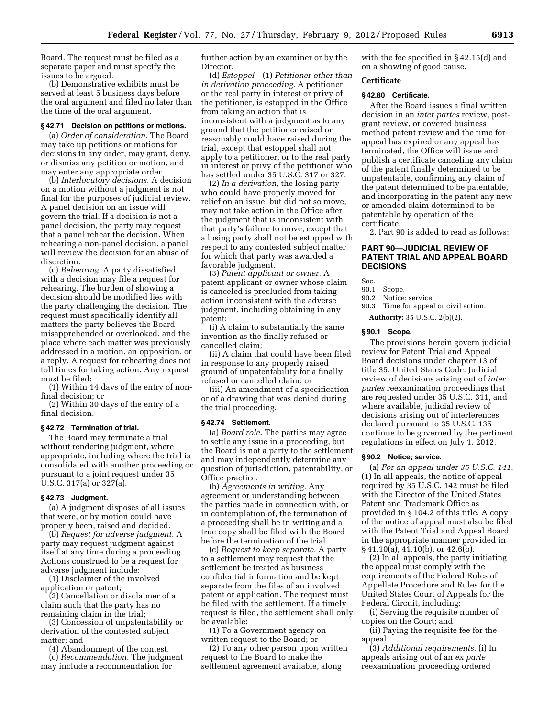Board. The request must be filed as a separate paper and must specify the issues to be argued.

(b) Demonstrative exhibits must be served at least 5 business days before the oral argument and filed no later than the time of the oral argument.

#### **§ 42.71 Decision on petitions or motions.**

(a) *Order of consideration.* The Board may take up petitions or motions for decisions in any order, may grant, deny, or dismiss any petition or motion, and may enter any appropriate order.

(b) *Interlocutory decisions.* A decision on a motion without a judgment is not final for the purposes of judicial review. A panel decision on an issue will govern the trial. If a decision is not a panel decision, the party may request that a panel rehear the decision. When rehearing a non-panel decision, a panel will review the decision for an abuse of discretion.

(c) *Rehearing.* A party dissatisfied with a decision may file a request for rehearing. The burden of showing a decision should be modified lies with the party challenging the decision. The request must specifically identify all matters the party believes the Board misapprehended or overlooked, and the place where each matter was previously addressed in a motion, an opposition, or a reply. A request for rehearing does not toll times for taking action. Any request must be filed:

(1) Within 14 days of the entry of nonfinal decision; or

(2) Within 30 days of the entry of a final decision.

#### **§ 42.72 Termination of trial.**

The Board may terminate a trial without rendering judgment, where appropriate, including where the trial is consolidated with another proceeding or pursuant to a joint request under 35 U.S.C. 317(a) or 327(a).

# **§ 42.73 Judgment.**

(a) A judgment disposes of all issues that were, or by motion could have properly been, raised and decided.

(b) *Request for adverse judgment.* A party may request judgment against itself at any time during a proceeding. Actions construed to be a request for adverse judgment include:

(1) Disclaimer of the involved application or patent;

(2) Cancellation or disclaimer of a claim such that the party has no remaining claim in the trial;

(3) Concession of unpatentability or derivation of the contested subject matter; and

(4) Abandonment of the contest. (c) *Recommendation.* The judgment may include a recommendation for

further action by an examiner or by the Director.

(d) *Estoppel*—(1) *Petitioner other than in derivation proceeding.* A petitioner, or the real party in interest or privy of the petitioner, is estopped in the Office from taking an action that is inconsistent with a judgment as to any ground that the petitioner raised or reasonably could have raised during the trial, except that estoppel shall not apply to a petitioner, or to the real party in interest or privy of the petitioner who has settled under 35 U.S.C. 317 or 327.

(2) *In a derivation,* the losing party who could have properly moved for relief on an issue, but did not so move, may not take action in the Office after the judgment that is inconsistent with that party's failure to move, except that a losing party shall not be estopped with respect to any contested subject matter for which that party was awarded a favorable judgment.

(3) *Patent applicant or owner.* A patent applicant or owner whose claim is canceled is precluded from taking action inconsistent with the adverse judgment, including obtaining in any patent:

(i) A claim to substantially the same invention as the finally refused or cancelled claim;

(ii) A claim that could have been filed in response to any properly raised ground of unpatentability for a finally refused or cancelled claim; or

(iii) An amendment of a specification or of a drawing that was denied during the trial proceeding.

#### **§ 42.74 Settlement.**

(a) *Board role.* The parties may agree to settle any issue in a proceeding, but the Board is not a party to the settlement and may independently determine any question of jurisdiction, patentability, or Office practice.

(b) *Agreements in writing.* Any agreement or understanding between the parties made in connection with, or in contemplation of, the termination of a proceeding shall be in writing and a true copy shall be filed with the Board before the termination of the trial.

(c) *Request to keep separate.* A party to a settlement may request that the settlement be treated as business confidential information and be kept separate from the files of an involved patent or application. The request must be filed with the settlement. If a timely request is filed, the settlement shall only be available:

(1) To a Government agency on written request to the Board; or

(2) To any other person upon written request to the Board to make the settlement agreement available, along

with the fee specified in § 42.15(d) and on a showing of good cause.

## **Certificate**

# **§ 42.80 Certificate.**

After the Board issues a final written decision in an *inter partes* review, postgrant review, or covered business method patent review and the time for appeal has expired or any appeal has terminated, the Office will issue and publish a certificate canceling any claim of the patent finally determined to be unpatentable, confirming any claim of the patent determined to be patentable, and incorporating in the patent any new or amended claim determined to be patentable by operation of the certificate.

2. Part 90 is added to read as follows:

# **PART 90—JUDICIAL REVIEW OF PATENT TRIAL AND APPEAL BOARD DECISIONS**

Sec.

- 90.1 Scope.
- 90.2 Notice; service.
- 90.3 Time for appeal or civil action.

**Authority:** 35 U.S.C. 2(b)(2).

## **§ 90.1 Scope.**

The provisions herein govern judicial review for Patent Trial and Appeal Board decisions under chapter 13 of title 35, United States Code. Judicial review of decisions arising out of *inter partes* reexamination proceedings that are requested under 35 U.S.C. 311, and where available, judicial review of decisions arising out of interferences declared pursuant to 35 U.S.C. 135 continue to be governed by the pertinent regulations in effect on July 1, 2012.

#### **§ 90.2 Notice; service.**

(a) *For an appeal under 35 U.S.C. 141.*  (1) In all appeals, the notice of appeal required by 35 U.S.C. 142 must be filed with the Director of the United States Patent and Trademark Office as provided in § 104.2 of this title. A copy of the notice of appeal must also be filed with the Patent Trial and Appeal Board in the appropriate manner provided in § 41.10(a), 41.10(b), or 42.6(b).

(2) In all appeals, the party initiating the appeal must comply with the requirements of the Federal Rules of Appellate Procedure and Rules for the United States Court of Appeals for the Federal Circuit, including:

(i) Serving the requisite number of copies on the Court; and

(ii) Paying the requisite fee for the appeal.

(3) *Additional requirements.* (i) In appeals arising out of an *ex parte*  reexamination proceeding ordered